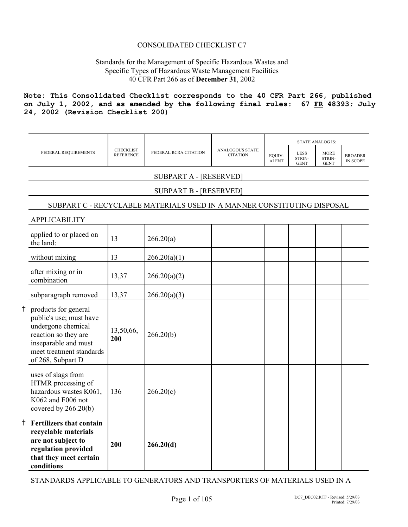## CONSOLIDATED CHECKLIST C7

## Standards for the Management of Specific Hazardous Wastes and Specific Types of Hazardous Waste Management Facilities 40 CFR Part 266 as of **December 31**, 2002

**Note: This Consolidated Checklist corresponds to the 40 CFR Part 266, published on July 1, 2002, and as amended by the following final rules: 67 FR 48393; July 24, 2002 (Revision Checklist 200)**

|    |                                                                                                                                                                          |                                      |                                                                         |                                           | EQUIV-       |                                      | <b>STATE ANALOG IS:</b>              |                                   |
|----|--------------------------------------------------------------------------------------------------------------------------------------------------------------------------|--------------------------------------|-------------------------------------------------------------------------|-------------------------------------------|--------------|--------------------------------------|--------------------------------------|-----------------------------------|
|    | FEDERAL REQUIREMENTS                                                                                                                                                     | <b>CHECKLIST</b><br><b>REFERENCE</b> | FEDERAL RCRA CITATION                                                   | <b>ANALOGOUS STATE</b><br><b>CITATION</b> | <b>ALENT</b> | <b>LESS</b><br>STRIN-<br><b>GENT</b> | <b>MORE</b><br>STRIN-<br><b>GENT</b> | <b>BROADER</b><br><b>IN SCOPE</b> |
|    |                                                                                                                                                                          |                                      | <b>SUBPART A - [RESERVED]</b>                                           |                                           |              |                                      |                                      |                                   |
|    |                                                                                                                                                                          |                                      | <b>SUBPART B - [RESERVED]</b>                                           |                                           |              |                                      |                                      |                                   |
|    |                                                                                                                                                                          |                                      | SUBPART C - RECYCLABLE MATERIALS USED IN A MANNER CONSTITUTING DISPOSAL |                                           |              |                                      |                                      |                                   |
|    | <b>APPLICABILITY</b>                                                                                                                                                     |                                      |                                                                         |                                           |              |                                      |                                      |                                   |
|    | applied to or placed on<br>the land:                                                                                                                                     | 13                                   | 266.20(a)                                                               |                                           |              |                                      |                                      |                                   |
|    | without mixing                                                                                                                                                           | 13                                   | 266.20(a)(1)                                                            |                                           |              |                                      |                                      |                                   |
|    | after mixing or in<br>combination                                                                                                                                        | 13,37                                | 266.20(a)(2)                                                            |                                           |              |                                      |                                      |                                   |
|    | subparagraph removed                                                                                                                                                     | 13,37                                | 266.20(a)(3)                                                            |                                           |              |                                      |                                      |                                   |
|    | † products for general<br>public's use; must have<br>undergone chemical<br>reaction so they are<br>inseparable and must<br>meet treatment standards<br>of 268, Subpart D | 13,50,66,<br>200                     | 266.20(b)                                                               |                                           |              |                                      |                                      |                                   |
|    | uses of slags from<br>HTMR processing of<br>hazardous wastes K061,<br>K062 and F006 not<br>covered by 266.20(b)                                                          | 136                                  | 266.20(c)                                                               |                                           |              |                                      |                                      |                                   |
| Ť. | <b>Fertilizers that contain</b><br>recyclable materials<br>are not subject to<br>regulation provided<br>that they meet certain<br>conditions                             | 200                                  | 266.20(d)                                                               |                                           |              |                                      |                                      |                                   |

STANDARDS APPLICABLE TO GENERATORS AND TRANSPORTERS OF MATERIALS USED IN A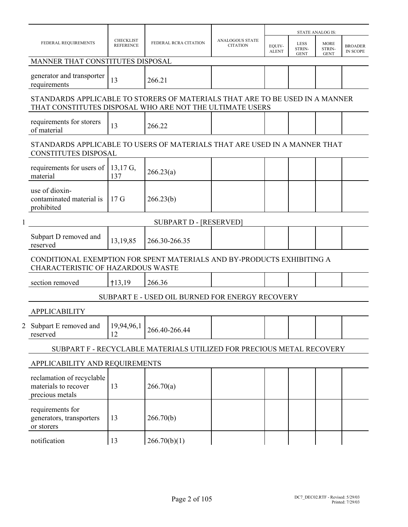|   |                                                                                                                                          |                                      |                                                                       |                                           |                        |                               | <b>STATE ANALOG IS:</b>              |                                   |
|---|------------------------------------------------------------------------------------------------------------------------------------------|--------------------------------------|-----------------------------------------------------------------------|-------------------------------------------|------------------------|-------------------------------|--------------------------------------|-----------------------------------|
|   | FEDERAL REQUIREMENTS                                                                                                                     | <b>CHECKLIST</b><br><b>REFERENCE</b> | FEDERAL RCRA CITATION                                                 | <b>ANALOGOUS STATE</b><br><b>CITATION</b> | EOUIV-<br><b>ALENT</b> | LESS<br>STRIN-<br><b>GENT</b> | <b>MORE</b><br>STRIN-<br><b>GENT</b> | <b>BROADER</b><br><b>IN SCOPE</b> |
|   | MANNER THAT CONSTITUTES DISPOSAL                                                                                                         |                                      |                                                                       |                                           |                        |                               |                                      |                                   |
|   | generator and transporter<br>requirements                                                                                                | 13                                   | 266.21                                                                |                                           |                        |                               |                                      |                                   |
|   | STANDARDS APPLICABLE TO STORERS OF MATERIALS THAT ARE TO BE USED IN A MANNER<br>THAT CONSTITUTES DISPOSAL WHO ARE NOT THE ULTIMATE USERS |                                      |                                                                       |                                           |                        |                               |                                      |                                   |
|   | requirements for storers<br>of material                                                                                                  | 13                                   | 266.22                                                                |                                           |                        |                               |                                      |                                   |
|   | STANDARDS APPLICABLE TO USERS OF MATERIALS THAT ARE USED IN A MANNER THAT<br><b>CONSTITUTES DISPOSAL</b>                                 |                                      |                                                                       |                                           |                        |                               |                                      |                                   |
|   | requirements for users of<br>material                                                                                                    | $13,17$ G,<br>137                    | 266.23(a)                                                             |                                           |                        |                               |                                      |                                   |
|   | use of dioxin-<br>contaminated material is<br>prohibited                                                                                 | 17 <sub>G</sub>                      | 266.23(b)                                                             |                                           |                        |                               |                                      |                                   |
| 1 |                                                                                                                                          |                                      | <b>SUBPART D - [RESERVED]</b>                                         |                                           |                        |                               |                                      |                                   |
|   | Subpart D removed and<br>reserved                                                                                                        | 13,19,85                             | 266.30-266.35                                                         |                                           |                        |                               |                                      |                                   |
|   | CONDITIONAL EXEMPTION FOR SPENT MATERIALS AND BY-PRODUCTS EXHIBITING A<br>CHARACTERISTIC OF HAZARDOUS WASTE                              |                                      |                                                                       |                                           |                        |                               |                                      |                                   |
|   | section removed                                                                                                                          | $+13,19$                             | 266.36                                                                |                                           |                        |                               |                                      |                                   |
|   |                                                                                                                                          |                                      | SUBPART E - USED OIL BURNED FOR ENERGY RECOVERY                       |                                           |                        |                               |                                      |                                   |
|   | <b>APPLICABILITY</b>                                                                                                                     |                                      |                                                                       |                                           |                        |                               |                                      |                                   |
|   | Subpart E removed and<br>reserved                                                                                                        | 19,94,96,1<br>12                     | 266.40-266.44                                                         |                                           |                        |                               |                                      |                                   |
|   |                                                                                                                                          |                                      | SUBPART F - RECYCLABLE MATERIALS UTILIZED FOR PRECIOUS METAL RECOVERY |                                           |                        |                               |                                      |                                   |
|   | APPLICABILITY AND REQUIREMENTS                                                                                                           |                                      |                                                                       |                                           |                        |                               |                                      |                                   |
|   | reclamation of recyclable<br>materials to recover<br>precious metals                                                                     | 13                                   | 266.70(a)                                                             |                                           |                        |                               |                                      |                                   |
|   | requirements for<br>generators, transporters<br>or storers                                                                               | 13                                   | 266.70(b)                                                             |                                           |                        |                               |                                      |                                   |
|   | notification                                                                                                                             | 13                                   | 266.70(b)(1)                                                          |                                           |                        |                               |                                      |                                   |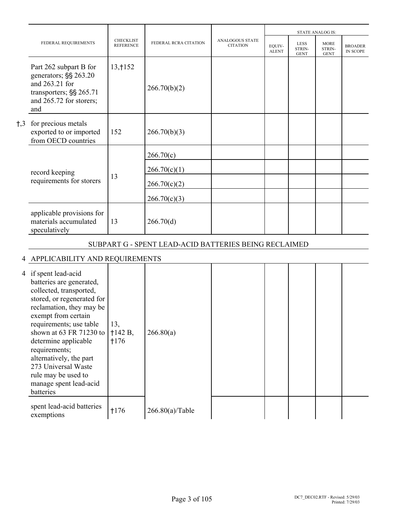|              |                                                                                                                                |                                      |                                                       |                                           |                        | <b>STATE ANALOG IS:</b><br><b>LESS</b><br><b>MORE</b><br>STRIN-<br>STRIN-<br><b>GENT</b><br><b>GENT</b> |  |                                   |
|--------------|--------------------------------------------------------------------------------------------------------------------------------|--------------------------------------|-------------------------------------------------------|-------------------------------------------|------------------------|---------------------------------------------------------------------------------------------------------|--|-----------------------------------|
|              | FEDERAL REQUIREMENTS                                                                                                           | <b>CHECKLIST</b><br><b>REFERENCE</b> | FEDERAL RCRA CITATION                                 | <b>ANALOGOUS STATE</b><br><b>CITATION</b> | EOUIV-<br><b>ALENT</b> |                                                                                                         |  | <b>BROADER</b><br><b>IN SCOPE</b> |
|              | Part 262 subpart B for<br>generators; §§ 263.20<br>and 263.21 for<br>transporters; §§ 265.71<br>and 265.72 for storers;<br>and | 13, 152                              | 266.70(b)(2)                                          |                                           |                        |                                                                                                         |  |                                   |
| $\dagger$ ,3 | for precious metals<br>exported to or imported<br>from OECD countries                                                          | 152                                  | 266.70(b)(3)                                          |                                           |                        |                                                                                                         |  |                                   |
|              |                                                                                                                                |                                      | 266.70(c)                                             |                                           |                        |                                                                                                         |  |                                   |
|              | record keeping                                                                                                                 |                                      | 266.70(c)(1)                                          |                                           |                        |                                                                                                         |  |                                   |
|              | requirements for storers                                                                                                       | 13                                   | 266.70(c)(2)                                          |                                           |                        |                                                                                                         |  |                                   |
|              |                                                                                                                                |                                      | 266.70(c)(3)                                          |                                           |                        |                                                                                                         |  |                                   |
|              | applicable provisions for<br>materials accumulated<br>speculatively                                                            | 13                                   | 266.70(d)                                             |                                           |                        |                                                                                                         |  |                                   |
|              |                                                                                                                                |                                      | SUBPART G - SPENT LEAD-ACID BATTERIES BEING RECLAIMED |                                           |                        |                                                                                                         |  |                                   |
|              | DDLIC LDH ITV LAID DEOLIIDEN IEMT                                                                                              |                                      |                                                       |                                           |                        |                                                                                                         |  |                                   |

## 4 APPLICABILITY AND REQUIREMENTS 4 if spent lead-acid batteries are generated, collected, transported, stored, or regenerated for reclamation, they may be exempt from certain requirements; use table shown at 63 FR 71230 to |  $\dagger$ 142 B, determine applicable requirements; alternatively, the part 273 Universal Waste rule may be used to manage spent lead-acid batteries 13, H176 266.80(a) spent lead-acid batteries spent lead-acid batteries  $1176$   $266.80(a)/Table$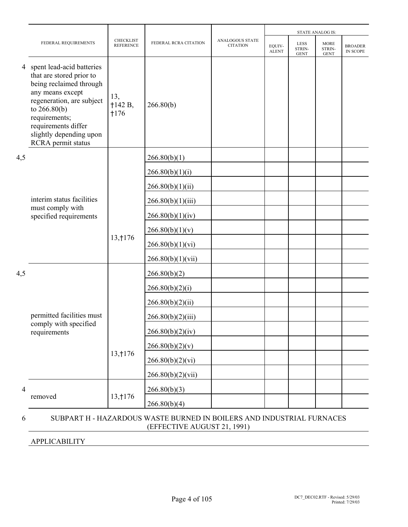|                | FEDERAL REQUIREMENTS                                                                                                                                                                                                                         | <b>CHECKLIST</b><br><b>REFERENCE</b> | FEDERAL RCRA CITATION | ANALOGOUS STATE<br><b>CITATION</b> | EQUIV-<br><b>ALENT</b> | <b>LESS</b><br>STRIN-<br><b>GENT</b> | <b>MORE</b><br>STRIN-<br><b>GENT</b> | <b>BROADER</b><br>IN SCOPE |
|----------------|----------------------------------------------------------------------------------------------------------------------------------------------------------------------------------------------------------------------------------------------|--------------------------------------|-----------------------|------------------------------------|------------------------|--------------------------------------|--------------------------------------|----------------------------|
| 4              | spent lead-acid batteries<br>that are stored prior to<br>being reclaimed through<br>any means except<br>regeneration, are subject<br>to $266.80(b)$<br>requirements;<br>requirements differ<br>slightly depending upon<br>RCRA permit status | 13,<br>$+142 B,$<br>$+176$           | 266.80(b)             |                                    |                        |                                      |                                      |                            |
| 4,5            |                                                                                                                                                                                                                                              |                                      | 266.80(b)(1)          |                                    |                        |                                      |                                      |                            |
|                |                                                                                                                                                                                                                                              |                                      | 266.80(b)(1)(i)       |                                    |                        |                                      |                                      |                            |
|                |                                                                                                                                                                                                                                              |                                      | 266.80(b)(1)(ii)      |                                    |                        |                                      |                                      |                            |
|                | interim status facilities<br>must comply with                                                                                                                                                                                                |                                      | 266.80(b)(1)(iii)     |                                    |                        |                                      |                                      |                            |
|                | specified requirements                                                                                                                                                                                                                       |                                      | 266.80(b)(1)(iv)      |                                    |                        |                                      | <b>STATE ANALOG IS:</b>              |                            |
|                |                                                                                                                                                                                                                                              |                                      | 266.80(b)(1)(v)       |                                    |                        |                                      |                                      |                            |
|                |                                                                                                                                                                                                                                              | 13, 176                              | 266.80(b)(1)(vi)      |                                    |                        |                                      |                                      |                            |
|                |                                                                                                                                                                                                                                              |                                      | 266.80(b)(1)(vii)     |                                    |                        |                                      |                                      |                            |
| 4,5            |                                                                                                                                                                                                                                              |                                      | 266.80(b)(2)          |                                    |                        |                                      |                                      |                            |
|                |                                                                                                                                                                                                                                              |                                      | 266.80(b)(2)(i)       |                                    |                        |                                      |                                      |                            |
|                |                                                                                                                                                                                                                                              |                                      | 266.80(b)(2)(ii)      |                                    |                        |                                      |                                      |                            |
|                | permitted facilities must<br>comply with specified                                                                                                                                                                                           |                                      | 266.80(b)(2)(iii)     |                                    |                        |                                      |                                      |                            |
|                | requirements                                                                                                                                                                                                                                 |                                      | 266.80(b)(2)(iv)      |                                    |                        |                                      |                                      |                            |
|                |                                                                                                                                                                                                                                              | 13, 176                              | 266.80(b)(2)(v)       |                                    |                        |                                      |                                      |                            |
|                |                                                                                                                                                                                                                                              |                                      | 266.80(b)(2)(vi)      |                                    |                        |                                      |                                      |                            |
|                |                                                                                                                                                                                                                                              |                                      | 266.80(b)(2)(vii)     |                                    |                        |                                      |                                      |                            |
| $\overline{4}$ | removed                                                                                                                                                                                                                                      | 13, † 176                            | 266.80(b)(3)          |                                    |                        |                                      |                                      |                            |
|                |                                                                                                                                                                                                                                              |                                      | 266.80(b)(4)          |                                    |                        |                                      |                                      |                            |
| 6              | SUBPART H - HAZARDOUS WASTE BURNED IN BOILERS AND INDUSTRIAL FURNACES<br>(EFFECTIVE AUGUST 21, 1991)                                                                                                                                         |                                      |                       |                                    |                        |                                      |                                      |                            |

## APPLICABILITY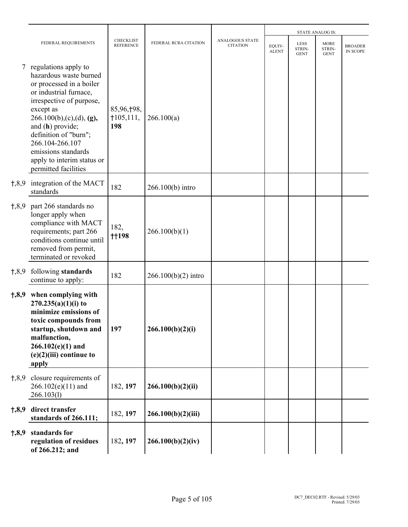|           |                                                                                                                                                                                                                                                                                                                       |                                      |                       |                                           |                        |                                      | <b>STATE ANALOG IS:</b>              |                                   |
|-----------|-----------------------------------------------------------------------------------------------------------------------------------------------------------------------------------------------------------------------------------------------------------------------------------------------------------------------|--------------------------------------|-----------------------|-------------------------------------------|------------------------|--------------------------------------|--------------------------------------|-----------------------------------|
|           | FEDERAL REQUIREMENTS                                                                                                                                                                                                                                                                                                  | <b>CHECKLIST</b><br><b>REFERENCE</b> | FEDERAL RCRA CITATION | <b>ANALOGOUS STATE</b><br><b>CITATION</b> | EQUIV-<br><b>ALENT</b> | <b>LESS</b><br>STRIN-<br><b>GENT</b> | <b>MORE</b><br>STRIN-<br><b>GENT</b> | <b>BROADER</b><br><b>IN SCOPE</b> |
| 7         | regulations apply to<br>hazardous waste burned<br>or processed in a boiler<br>or industrial furnace,<br>irrespective of purpose,<br>except as<br>266.100(b),(c),(d),(g),<br>and (h) provide;<br>definition of "burn";<br>266.104-266.107<br>emissions standards<br>apply to interim status or<br>permitted facilities | 85,96,†98,<br>$+105, 111,$<br>198    | 266.100(a)            |                                           |                        |                                      |                                      |                                   |
| $+, 8, 9$ | integration of the MACT<br>standards                                                                                                                                                                                                                                                                                  | 182                                  | 266.100(b) intro      |                                           |                        |                                      |                                      |                                   |
| 1,8,9     | part 266 standards no<br>longer apply when<br>compliance with MACT<br>requirements; part 266<br>conditions continue until<br>removed from permit,<br>terminated or revoked                                                                                                                                            | 182,<br><b>t</b> 198                 | 266.100(b)(1)         |                                           |                        |                                      |                                      |                                   |
| 1,8,9     | following standards<br>continue to apply:                                                                                                                                                                                                                                                                             | 182                                  | $266.100(b)(2)$ intro |                                           |                        |                                      |                                      |                                   |
| 1,8,9     | when complying with<br>$270.235(a)(1)(i)$ to<br>minimize emissions of<br>toxic compounds from<br>startup, shutdown and<br>malfunction,<br>$266.102(e)(1)$ and<br>$(e)(2)(iii)$ continue to<br>apply                                                                                                                   | 197                                  | 266.100(b)(2)(i)      |                                           |                        |                                      |                                      |                                   |
| 1,8,9     | closure requirements of<br>$266.102(e)(11)$ and<br>266.103(l)                                                                                                                                                                                                                                                         | 182, 197                             | 266.100(b)(2)(ii)     |                                           |                        |                                      |                                      |                                   |
| 1,8,9     | direct transfer<br>standards of 266.111;                                                                                                                                                                                                                                                                              | 182, 197                             | 266.100(b)(2)(iii)    |                                           |                        |                                      |                                      |                                   |
| 1,8,9     | standards for<br>regulation of residues<br>of 266.212; and                                                                                                                                                                                                                                                            | 182, 197                             | 266.100(b)(2)(iv)     |                                           |                        |                                      |                                      |                                   |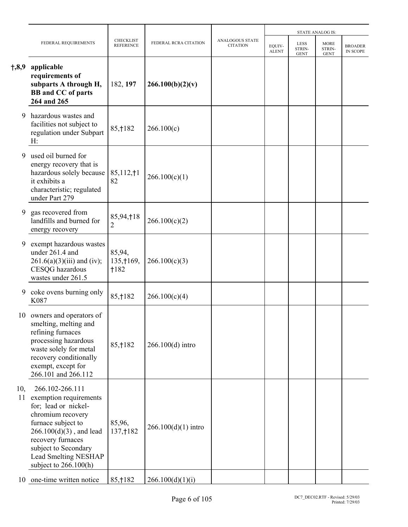|           |                                                                                                                                                                                                                                                   |                                      |                       |                                           |                        |                                      | <b>STATE ANALOG IS:</b>              |                                   |
|-----------|---------------------------------------------------------------------------------------------------------------------------------------------------------------------------------------------------------------------------------------------------|--------------------------------------|-----------------------|-------------------------------------------|------------------------|--------------------------------------|--------------------------------------|-----------------------------------|
|           | FEDERAL REQUIREMENTS                                                                                                                                                                                                                              | <b>CHECKLIST</b><br><b>REFERENCE</b> | FEDERAL RCRA CITATION | <b>ANALOGOUS STATE</b><br><b>CITATION</b> | EQUIV-<br><b>ALENT</b> | <b>LESS</b><br>STRIN-<br><b>GENT</b> | <b>MORE</b><br>STRIN-<br><b>GENT</b> | <b>BROADER</b><br><b>IN SCOPE</b> |
| †,8,9     | applicable<br>requirements of<br>subparts A through H,<br><b>BB</b> and CC of parts<br>264 and 265                                                                                                                                                | 182, 197                             | 266.100(b)(2)(v)      |                                           |                        |                                      |                                      |                                   |
| 9         | hazardous wastes and<br>facilities not subject to<br>regulation under Subpart<br>H:                                                                                                                                                               | 85, † 182                            | 266.100(c)            |                                           |                        |                                      |                                      |                                   |
| 9         | used oil burned for<br>energy recovery that is<br>hazardous solely because<br>it exhibits a<br>characteristic; regulated<br>under Part 279                                                                                                        | 85,112,11<br>82                      | 266.100(c)(1)         |                                           |                        |                                      |                                      |                                   |
| 9         | gas recovered from<br>landfills and burned for<br>energy recovery                                                                                                                                                                                 | 85,94,†18<br>2                       | 266.100(c)(2)         |                                           |                        |                                      |                                      |                                   |
| 9         | exempt hazardous wastes<br>under 261.4 and<br>$261.6(a)(3)(iii)$ and (iv);<br>CESQG hazardous<br>wastes under 261.5                                                                                                                               | 85,94,<br>135, † 169,<br>$+182$      | 266.100(c)(3)         |                                           |                        |                                      |                                      |                                   |
| 9         | coke ovens burning only<br>K087                                                                                                                                                                                                                   | 85, † 182                            | 266.100(c)(4)         |                                           |                        |                                      |                                      |                                   |
| 10        | owners and operators of<br>smelting, melting and<br>refining furnaces<br>processing hazardous<br>waste solely for metal<br>recovery conditionally<br>exempt, except for<br>266.101 and 266.112                                                    | 85, † 182                            | 266.100(d) intro      |                                           |                        |                                      |                                      |                                   |
| 10,<br>11 | 266.102-266.111<br>exemption requirements<br>for; lead or nickel-<br>chromium recovery<br>furnace subject to<br>$266.100(d)(3)$ , and lead<br>recovery furnaces<br>subject to Secondary<br><b>Lead Smelting NESHAP</b><br>subject to $266.100(h)$ | 85,96,<br>137, † 182                 | $266.100(d)(1)$ intro |                                           |                        |                                      |                                      |                                   |
|           | 10 one-time written notice                                                                                                                                                                                                                        | 85, † 182                            | 266.100(d)(1)(i)      |                                           |                        |                                      |                                      |                                   |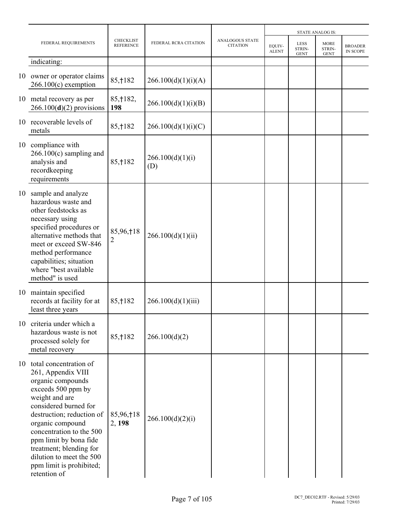|    |                                                                                                                                                                                                                                                                                                                                                 |                                      |                         |                                           |                        |                                      | <b>STATE ANALOG IS:</b>              |                                   |
|----|-------------------------------------------------------------------------------------------------------------------------------------------------------------------------------------------------------------------------------------------------------------------------------------------------------------------------------------------------|--------------------------------------|-------------------------|-------------------------------------------|------------------------|--------------------------------------|--------------------------------------|-----------------------------------|
|    | FEDERAL REQUIREMENTS                                                                                                                                                                                                                                                                                                                            | <b>CHECKLIST</b><br><b>REFERENCE</b> | FEDERAL RCRA CITATION   | <b>ANALOGOUS STATE</b><br><b>CITATION</b> | EOUIV-<br><b>ALENT</b> | <b>LESS</b><br>STRIN-<br><b>GENT</b> | <b>MORE</b><br>STRIN-<br><b>GENT</b> | <b>BROADER</b><br><b>IN SCOPE</b> |
|    | indicating:                                                                                                                                                                                                                                                                                                                                     |                                      |                         |                                           |                        |                                      |                                      |                                   |
|    | 10 owner or operator claims<br>$266.100(c)$ exemption                                                                                                                                                                                                                                                                                           | 85, † 182                            | 266.100(d)(1)(i)(A)     |                                           |                        |                                      |                                      |                                   |
|    | 10 metal recovery as per<br>$266.100(d)(2)$ provisions                                                                                                                                                                                                                                                                                          | 85, † 182,<br>198                    | 266.100(d)(1)(i)(B)     |                                           |                        |                                      |                                      |                                   |
| 10 | recoverable levels of<br>metals                                                                                                                                                                                                                                                                                                                 | 85, † 182                            | 266.100(d)(1)(i)(C)     |                                           |                        |                                      |                                      |                                   |
|    | 10 compliance with<br>$266.100(c)$ sampling and<br>analysis and<br>recordkeeping<br>requirements                                                                                                                                                                                                                                                | 85, † 182                            | 266.100(d)(1)(i)<br>(D) |                                           |                        |                                      |                                      |                                   |
| 10 | sample and analyze<br>hazardous waste and<br>other feedstocks as<br>necessary using<br>specified procedures or<br>alternative methods that<br>meet or exceed SW-846<br>method performance<br>capabilities; situation<br>where "best available<br>method" is used                                                                                | 85,96,†18<br>$\overline{2}$          | 266.100(d)(1)(ii)       |                                           |                        |                                      |                                      |                                   |
|    | 10 maintain specified<br>records at facility for at<br>least three years                                                                                                                                                                                                                                                                        | 85, † 182                            | 266.100(d)(1)(iii)      |                                           |                        |                                      |                                      |                                   |
|    | 10 criteria under which a<br>hazardous waste is not<br>processed solely for<br>metal recovery                                                                                                                                                                                                                                                   | 85, † 182                            | 266.100(d)(2)           |                                           |                        |                                      |                                      |                                   |
|    | 10 total concentration of<br>261, Appendix VIII<br>organic compounds<br>exceeds 500 ppm by<br>weight and are<br>considered burned for<br>destruction; reduction of<br>organic compound<br>concentration to the 500<br>ppm limit by bona fide<br>treatment; blending for<br>dilution to meet the 500<br>ppm limit is prohibited;<br>retention of | 85,96,†18<br>2, 198                  | 266.100(d)(2)(i)        |                                           |                        |                                      |                                      |                                   |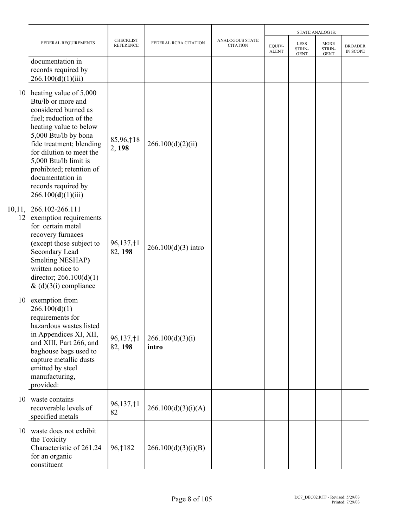|        |                                                                                                                                                                                                                                                                                                                                   |                                      |                           |                                    |                        |                                      | <b>STATE ANALOG IS:</b>              |                                   |
|--------|-----------------------------------------------------------------------------------------------------------------------------------------------------------------------------------------------------------------------------------------------------------------------------------------------------------------------------------|--------------------------------------|---------------------------|------------------------------------|------------------------|--------------------------------------|--------------------------------------|-----------------------------------|
|        | FEDERAL REQUIREMENTS                                                                                                                                                                                                                                                                                                              | <b>CHECKLIST</b><br><b>REFERENCE</b> | FEDERAL RCRA CITATION     | ANALOGOUS STATE<br><b>CITATION</b> | EQUIV-<br><b>ALENT</b> | <b>LESS</b><br>STRIN-<br><b>GENT</b> | <b>MORE</b><br>STRIN-<br><b>GENT</b> | <b>BROADER</b><br><b>IN SCOPE</b> |
|        | documentation in<br>records required by<br>266.100(d)(1)(iii)                                                                                                                                                                                                                                                                     |                                      |                           |                                    |                        |                                      |                                      |                                   |
|        | 10 heating value of 5,000<br>Btu/lb or more and<br>considered burned as<br>fuel; reduction of the<br>heating value to below<br>5,000 Btu/lb by bona<br>fide treatment; blending<br>for dilution to meet the<br>5,000 Btu/lb limit is<br>prohibited; retention of<br>documentation in<br>records required by<br>266.100(d)(1)(iii) | 85,96,†18<br>2, 198                  | 266.100(d)(2)(ii)         |                                    |                        |                                      |                                      |                                   |
| 10,11, | 266.102-266.111<br>12 exemption requirements<br>for certain metal<br>recovery furnaces<br>(except those subject to<br>Secondary Lead<br>Smelting NESHAP)<br>written notice to<br>director; $266.100(d)(1)$<br>& $(d)(3(i)$ compliance                                                                                             | 96,137,†1<br>82, 198                 | $266.100(d)(3)$ intro     |                                    |                        |                                      |                                      |                                   |
|        | 10 exemption from<br>266.100(d)(1)<br>requirements for<br>hazardous wastes listed<br>in Appendices XI, XII,<br>and XIII, Part 266, and<br>baghouse bags used to<br>capture metallic dusts<br>emitted by steel<br>manufacturing,<br>provided:                                                                                      | 96,137,†1<br>82, 198                 | 266.100(d)(3)(i)<br>intro |                                    |                        |                                      |                                      |                                   |
|        | 10 waste contains<br>recoverable levels of<br>specified metals                                                                                                                                                                                                                                                                    | 96,137,†1<br>82                      | 266.100(d)(3)(i)(A)       |                                    |                        |                                      |                                      |                                   |
|        | 10 waste does not exhibit<br>the Toxicity<br>Characteristic of 261.24<br>for an organic<br>constituent                                                                                                                                                                                                                            | 96, † 182                            | 266.100(d)(3)(i)(B)       |                                    |                        |                                      |                                      |                                   |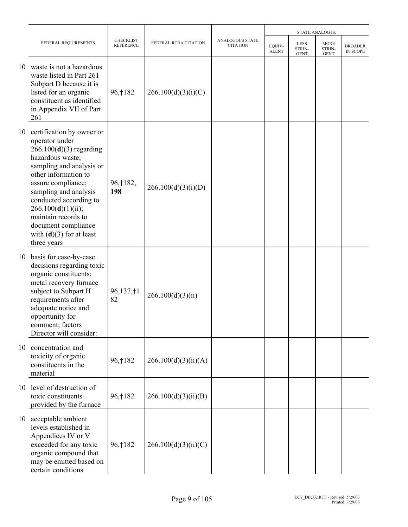|    |                                                                                                                                                                                                                                                                                                                                            |                                      |                       |                                           |                        |                                      | <b>STATE ANALOG IS:</b>              |                            |
|----|--------------------------------------------------------------------------------------------------------------------------------------------------------------------------------------------------------------------------------------------------------------------------------------------------------------------------------------------|--------------------------------------|-----------------------|-------------------------------------------|------------------------|--------------------------------------|--------------------------------------|----------------------------|
|    | FEDERAL REQUIREMENTS                                                                                                                                                                                                                                                                                                                       | <b>CHECKLIST</b><br><b>REFERENCE</b> | FEDERAL RCRA CITATION | <b>ANALOGOUS STATE</b><br><b>CITATION</b> | EQUIV-<br><b>ALENT</b> | <b>LESS</b><br>STRIN-<br><b>GENT</b> | <b>MORE</b><br>STRIN-<br><b>GENT</b> | <b>BROADER</b><br>IN SCOPE |
| 10 | waste is not a hazardous<br>waste listed in Part 261<br>Subpart D because it is<br>listed for an organic<br>constituent as identified<br>in Appendix VII of Part<br>261                                                                                                                                                                    | 96, † 182                            | 266.100(d)(3)(i)(C)   |                                           |                        |                                      |                                      |                            |
| 10 | certification by owner or<br>operator under<br>$266.100(d)(3)$ regarding<br>hazardous waste;<br>sampling and analysis or<br>other information to<br>assure compliance;<br>sampling and analysis<br>conducted according to<br>266.100(d)(1)(ii);<br>maintain records to<br>document compliance<br>with $(d)(3)$ for at least<br>three years | 96, † 182,<br>198                    | 266.100(d)(3)(i)(D)   |                                           |                        |                                      |                                      |                            |
|    | 10 basis for case-by-case<br>decisions regarding toxic<br>organic constituents;<br>metal recovery furnace<br>subject to Subpart H<br>requirements after<br>adequate notice and<br>opportunity for<br>comment; factors<br>Director will consider:                                                                                           | 96,137, †1<br>82                     | 266.100(d)(3)(ii)     |                                           |                        |                                      |                                      |                            |
| 10 | concentration and<br>toxicity of organic<br>constituents in the<br>material                                                                                                                                                                                                                                                                | 96, † 182                            | 266.100(d)(3)(ii)(A)  |                                           |                        |                                      |                                      |                            |
| 10 | level of destruction of<br>toxic constituents<br>provided by the furnace                                                                                                                                                                                                                                                                   | 96, † 182                            | 266.100(d)(3)(ii)(B)  |                                           |                        |                                      |                                      |                            |
| 10 | acceptable ambient<br>levels established in<br>Appendices IV or V<br>exceeded for any toxic<br>organic compound that<br>may be emitted based on<br>certain conditions                                                                                                                                                                      | 96, † 182                            | 266.100(d)(3)(ii)(C)  |                                           |                        |                                      |                                      |                            |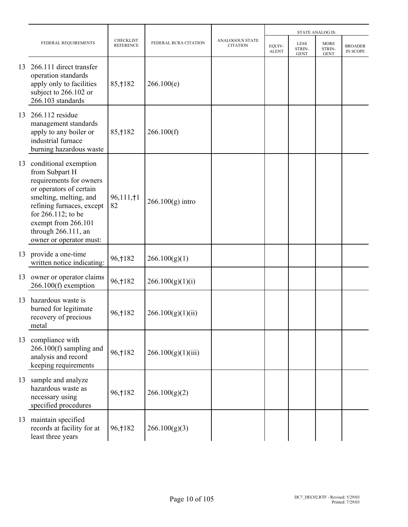|    |                                                                                                                                                                                                                                                        |                                      |                       |                                           |                        |                               | <b>STATE ANALOG IS:</b>              |                            |
|----|--------------------------------------------------------------------------------------------------------------------------------------------------------------------------------------------------------------------------------------------------------|--------------------------------------|-----------------------|-------------------------------------------|------------------------|-------------------------------|--------------------------------------|----------------------------|
|    | FEDERAL REQUIREMENTS                                                                                                                                                                                                                                   | <b>CHECKLIST</b><br><b>REFERENCE</b> | FEDERAL RCRA CITATION | <b>ANALOGOUS STATE</b><br><b>CITATION</b> | EQUIV-<br><b>ALENT</b> | LESS<br>STRIN-<br><b>GENT</b> | <b>MORE</b><br>STRIN-<br><b>GENT</b> | <b>BROADER</b><br>IN SCOPE |
| 13 | 266.111 direct transfer<br>operation standards<br>apply only to facilities<br>subject to 266.102 or<br>266.103 standards                                                                                                                               | 85, † 182                            | 266.100(e)            |                                           |                        |                               |                                      |                            |
| 13 | 266.112 residue<br>management standards<br>apply to any boiler or<br>industrial furnace<br>burning hazardous waste                                                                                                                                     | 85, † 182                            | 266.100(f)            |                                           |                        |                               |                                      |                            |
| 13 | conditional exemption<br>from Subpart H<br>requirements for owners<br>or operators of certain<br>smelting, melting, and<br>refining furnaces, except<br>for 266.112; to be<br>exempt from 266.101<br>through $266.111$ , an<br>owner or operator must: | 96,111,†1<br>82                      | $266.100(g)$ intro    |                                           |                        |                               |                                      |                            |
| 13 | provide a one-time<br>written notice indicating:                                                                                                                                                                                                       | 96, † 182                            | 266.100(g)(1)         |                                           |                        |                               |                                      |                            |
| 13 | owner or operator claims<br>$266.100(f)$ exemption                                                                                                                                                                                                     | 96, † 182                            | 266.100(g)(1)(i)      |                                           |                        |                               |                                      |                            |
| 13 | hazardous waste is<br>burned for legitimate<br>recovery of precious<br>metal                                                                                                                                                                           | 96, † 182                            | 266.100(g)(1)(ii)     |                                           |                        |                               |                                      |                            |
|    | 13 compliance with<br>$266.100(f)$ sampling and<br>analysis and record<br>keeping requirements                                                                                                                                                         | 96, † 182                            | 266.100(g)(1)(iii)    |                                           |                        |                               |                                      |                            |
|    | 13 sample and analyze<br>hazardous waste as<br>necessary using<br>specified procedures                                                                                                                                                                 | 96, † 182                            | 266.100(g)(2)         |                                           |                        |                               |                                      |                            |
|    | 13 maintain specified<br>records at facility for at<br>least three years                                                                                                                                                                               | 96, † 182                            | 266.100(g)(3)         |                                           |                        |                               |                                      |                            |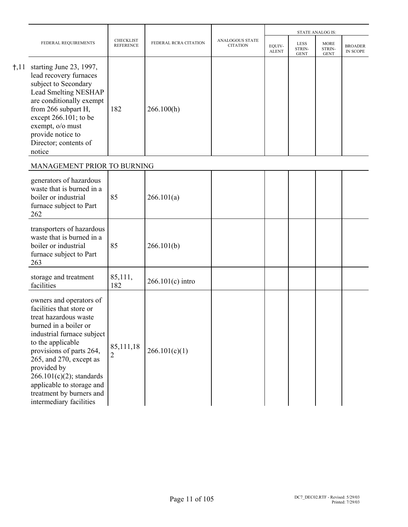|               |                                                                                                                                                                                                                                                                                                                                                         |                                      |                       |                                    |                        |                                             | <b>STATE ANALOG IS:</b>              |                            |
|---------------|---------------------------------------------------------------------------------------------------------------------------------------------------------------------------------------------------------------------------------------------------------------------------------------------------------------------------------------------------------|--------------------------------------|-----------------------|------------------------------------|------------------------|---------------------------------------------|--------------------------------------|----------------------------|
|               | FEDERAL REQUIREMENTS                                                                                                                                                                                                                                                                                                                                    | <b>CHECKLIST</b><br><b>REFERENCE</b> | FEDERAL RCRA CITATION | ANALOGOUS STATE<br><b>CITATION</b> | EQUIV-<br><b>ALENT</b> | <b>LESS</b><br><b>STRIN-</b><br><b>GENT</b> | <b>MORE</b><br>STRIN-<br><b>GENT</b> | <b>BROADER</b><br>IN SCOPE |
| $\dagger$ ,11 | starting June 23, 1997,<br>lead recovery furnaces<br>subject to Secondary<br><b>Lead Smelting NESHAP</b><br>are conditionally exempt<br>from 266 subpart H,<br>except 266.101; to be<br>exempt, o/o must<br>provide notice to<br>Director; contents of<br>notice                                                                                        | 182                                  | 266.100(h)            |                                    |                        |                                             |                                      |                            |
|               | MANAGEMENT PRIOR TO BURNING                                                                                                                                                                                                                                                                                                                             |                                      |                       |                                    |                        |                                             |                                      |                            |
|               | generators of hazardous<br>waste that is burned in a<br>boiler or industrial<br>furnace subject to Part<br>262                                                                                                                                                                                                                                          | 85                                   | 266.101(a)            |                                    |                        |                                             |                                      |                            |
|               | transporters of hazardous<br>waste that is burned in a<br>boiler or industrial<br>furnace subject to Part<br>263                                                                                                                                                                                                                                        | 85                                   | 266.101(b)            |                                    |                        |                                             |                                      |                            |
|               | storage and treatment<br>facilities                                                                                                                                                                                                                                                                                                                     | 85,111,<br>182                       | $266.101(c)$ intro    |                                    |                        |                                             |                                      |                            |
|               | owners and operators of<br>facilities that store or<br>treat hazardous waste<br>burned in a boiler or<br>industrial furnace subject<br>to the applicable<br>provisions of parts 264,<br>$265$ , and $270$ , except as<br>provided by<br>$266.101(c)(2)$ ; standards<br>applicable to storage and<br>treatment by burners and<br>intermediary facilities | 85,111,18<br>2                       | 266.101(c)(1)         |                                    |                        |                                             |                                      |                            |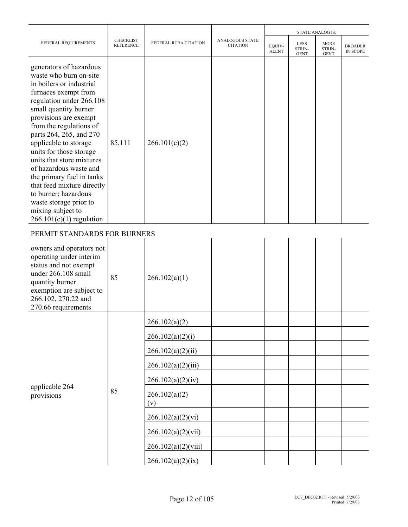|                                                                                                                                                                                                                                                                                                                                                                                                                                                                                                                      |                                      |                       |                                    |                        |                                      | <b>STATE ANALOG IS:</b>              |                            |
|----------------------------------------------------------------------------------------------------------------------------------------------------------------------------------------------------------------------------------------------------------------------------------------------------------------------------------------------------------------------------------------------------------------------------------------------------------------------------------------------------------------------|--------------------------------------|-----------------------|------------------------------------|------------------------|--------------------------------------|--------------------------------------|----------------------------|
| FEDERAL REQUIREMENTS                                                                                                                                                                                                                                                                                                                                                                                                                                                                                                 | <b>CHECKLIST</b><br><b>REFERENCE</b> | FEDERAL RCRA CITATION | ANALOGOUS STATE<br><b>CITATION</b> | EQUIV-<br><b>ALENT</b> | <b>LESS</b><br>STRIN-<br><b>GENT</b> | <b>MORE</b><br>STRIN-<br><b>GENT</b> | <b>BROADER</b><br>IN SCOPE |
| generators of hazardous<br>waste who burn on-site<br>in boilers or industrial<br>furnaces exempt from<br>regulation under 266.108<br>small quantity burner<br>provisions are exempt<br>from the regulations of<br>parts 264, 265, and 270<br>applicable to storage<br>units for those storage<br>units that store mixtures<br>of hazardous waste and<br>the primary fuel in tanks<br>that feed mixture directly<br>to burner; hazardous<br>waste storage prior to<br>mixing subject to<br>$266.101(c)(1)$ regulation | 85,111                               | 266.101(c)(2)         |                                    |                        |                                      |                                      |                            |
| PERMIT STANDARDS FOR BURNERS                                                                                                                                                                                                                                                                                                                                                                                                                                                                                         |                                      |                       |                                    |                        |                                      |                                      |                            |
| owners and operators not<br>operating under interim<br>status and not exempt<br>under 266.108 small<br>quantity burner<br>exemption are subject to<br>266.102, 270.22 and<br>270.66 requirements                                                                                                                                                                                                                                                                                                                     | 85                                   | 266.102(a)(1)         |                                    |                        |                                      |                                      |                            |
|                                                                                                                                                                                                                                                                                                                                                                                                                                                                                                                      |                                      | 266.102(a)(2)         |                                    |                        |                                      |                                      |                            |
|                                                                                                                                                                                                                                                                                                                                                                                                                                                                                                                      |                                      | 266.102(a)(2)(i)      |                                    |                        |                                      |                                      |                            |
|                                                                                                                                                                                                                                                                                                                                                                                                                                                                                                                      |                                      | 266.102(a)(2)(ii)     |                                    |                        |                                      |                                      |                            |
|                                                                                                                                                                                                                                                                                                                                                                                                                                                                                                                      |                                      | 266.102(a)(2)(iii)    |                                    |                        |                                      |                                      |                            |
|                                                                                                                                                                                                                                                                                                                                                                                                                                                                                                                      |                                      | 266.102(a)(2)(iv)     |                                    |                        |                                      |                                      |                            |
| applicable 264<br>provisions                                                                                                                                                                                                                                                                                                                                                                                                                                                                                         | 85                                   | 266.102(a)(2)<br>(v)  |                                    |                        |                                      |                                      |                            |
|                                                                                                                                                                                                                                                                                                                                                                                                                                                                                                                      |                                      | 266.102(a)(2)(vi)     |                                    |                        |                                      |                                      |                            |
|                                                                                                                                                                                                                                                                                                                                                                                                                                                                                                                      |                                      | 266.102(a)(2)(vii)    |                                    |                        |                                      |                                      |                            |
|                                                                                                                                                                                                                                                                                                                                                                                                                                                                                                                      |                                      | 266.102(a)(2)(viii)   |                                    |                        |                                      |                                      |                            |
|                                                                                                                                                                                                                                                                                                                                                                                                                                                                                                                      |                                      | 266.102(a)(2)(ix)     |                                    |                        |                                      |                                      |                            |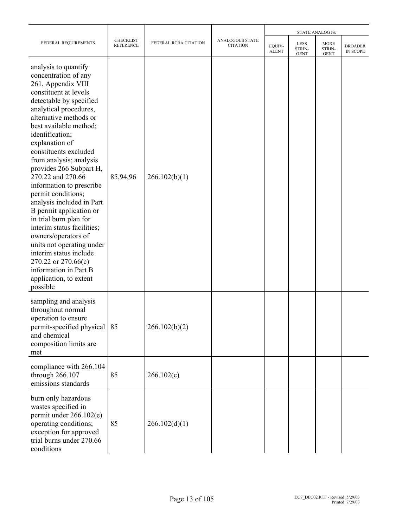|                                                                                                                                                                                                                                                                                                                                                                                                                                                                                                                                                                                                                                                                                     |                                      |                       |                                           |                        |                                      | <b>STATE ANALOG IS:</b>              |                                   |
|-------------------------------------------------------------------------------------------------------------------------------------------------------------------------------------------------------------------------------------------------------------------------------------------------------------------------------------------------------------------------------------------------------------------------------------------------------------------------------------------------------------------------------------------------------------------------------------------------------------------------------------------------------------------------------------|--------------------------------------|-----------------------|-------------------------------------------|------------------------|--------------------------------------|--------------------------------------|-----------------------------------|
| FEDERAL REQUIREMENTS                                                                                                                                                                                                                                                                                                                                                                                                                                                                                                                                                                                                                                                                | <b>CHECKLIST</b><br><b>REFERENCE</b> | FEDERAL RCRA CITATION | <b>ANALOGOUS STATE</b><br><b>CITATION</b> | EQUIV-<br><b>ALENT</b> | <b>LESS</b><br>STRIN-<br><b>GENT</b> | <b>MORE</b><br>STRIN-<br><b>GENT</b> | <b>BROADER</b><br><b>IN SCOPE</b> |
| analysis to quantify<br>concentration of any<br>261, Appendix VIII<br>constituent at levels<br>detectable by specified<br>analytical procedures,<br>alternative methods or<br>best available method;<br>identification;<br>explanation of<br>constituents excluded<br>from analysis; analysis<br>provides 266 Subpart H,<br>270.22 and 270.66<br>information to prescribe<br>permit conditions;<br>analysis included in Part<br>B permit application or<br>in trial burn plan for<br>interim status facilities;<br>owners/operators of<br>units not operating under<br>interim status include<br>270.22 or 270.66(c)<br>information in Part B<br>application, to extent<br>possible | 85,94,96                             | 266.102(b)(1)         |                                           |                        |                                      |                                      |                                   |
| sampling and analysis<br>throughout normal<br>operation to ensure<br>permit-specified physical   85<br>and chemical<br>composition limits are<br>met                                                                                                                                                                                                                                                                                                                                                                                                                                                                                                                                |                                      | 266.102(b)(2)         |                                           |                        |                                      |                                      |                                   |
| compliance with 266.104<br>through 266.107<br>emissions standards                                                                                                                                                                                                                                                                                                                                                                                                                                                                                                                                                                                                                   | 85                                   | 266.102(c)            |                                           |                        |                                      |                                      |                                   |
| burn only hazardous<br>wastes specified in<br>permit under 266.102(e)<br>operating conditions;<br>exception for approved<br>trial burns under 270.66<br>conditions                                                                                                                                                                                                                                                                                                                                                                                                                                                                                                                  | 85                                   | 266.102(d)(1)         |                                           |                        |                                      |                                      |                                   |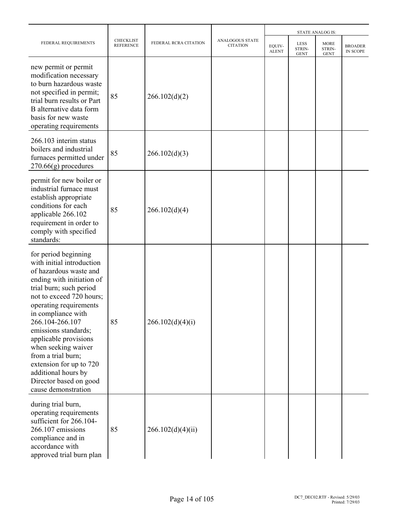|                                                                                                                                                                                                                                                                                                                                                                                                                                     |                               |                       |                                    | <b>STATE ANALOG IS:</b> |                               |                               |                                   |  |
|-------------------------------------------------------------------------------------------------------------------------------------------------------------------------------------------------------------------------------------------------------------------------------------------------------------------------------------------------------------------------------------------------------------------------------------|-------------------------------|-----------------------|------------------------------------|-------------------------|-------------------------------|-------------------------------|-----------------------------------|--|
| FEDERAL REQUIREMENTS                                                                                                                                                                                                                                                                                                                                                                                                                | CHECKLIST<br><b>REFERENCE</b> | FEDERAL RCRA CITATION | ANALOGOUS STATE<br><b>CITATION</b> | EQUIV-<br><b>ALENT</b>  | LESS<br>STRIN-<br><b>GENT</b> | MORE<br>STRIN-<br><b>GENT</b> | <b>BROADER</b><br><b>IN SCOPE</b> |  |
| new permit or permit<br>modification necessary<br>to burn hazardous waste<br>not specified in permit;<br>trial burn results or Part<br>B alternative data form<br>basis for new waste<br>operating requirements                                                                                                                                                                                                                     | 85                            | 266.102(d)(2)         |                                    |                         |                               |                               |                                   |  |
| 266.103 interim status<br>boilers and industrial<br>furnaces permitted under<br>$270.66(g)$ procedures                                                                                                                                                                                                                                                                                                                              | 85                            | 266.102(d)(3)         |                                    |                         |                               |                               |                                   |  |
| permit for new boiler or<br>industrial furnace must<br>establish appropriate<br>conditions for each<br>applicable 266.102<br>requirement in order to<br>comply with specified<br>standards:                                                                                                                                                                                                                                         | 85                            | 266.102(d)(4)         |                                    |                         |                               |                               |                                   |  |
| for period beginning<br>with initial introduction<br>of hazardous waste and<br>ending with initiation of<br>trial burn; such period<br>not to exceed 720 hours;<br>operating requirements<br>in compliance with<br>266.104-266.107<br>emissions standards;<br>applicable provisions<br>when seeking waiver<br>from a trial burn;<br>extension for up to 720<br>additional hours by<br>Director based on good<br>cause demonstration | 85                            | 266.102(d)(4)(i)      |                                    |                         |                               |                               |                                   |  |
| during trial burn,<br>operating requirements<br>sufficient for 266.104-<br>266.107 emissions<br>compliance and in<br>accordance with<br>approved trial burn plan                                                                                                                                                                                                                                                                    | 85                            | 266.102(d)(4)(ii)     |                                    |                         |                               |                               |                                   |  |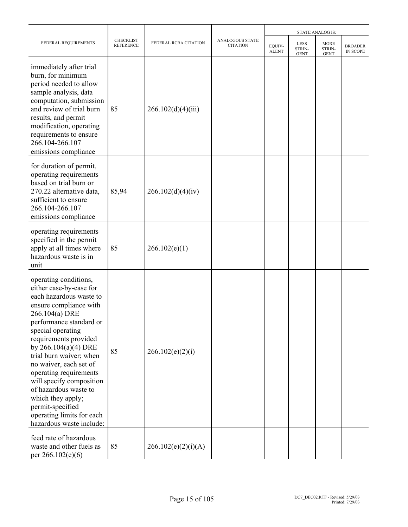|                                                                                                                                                                                                                                                                                                                                                                                                                                                                  |                                      |                       |                                           | <b>STATE ANALOG IS:</b> |                                      |                                      |                            |  |
|------------------------------------------------------------------------------------------------------------------------------------------------------------------------------------------------------------------------------------------------------------------------------------------------------------------------------------------------------------------------------------------------------------------------------------------------------------------|--------------------------------------|-----------------------|-------------------------------------------|-------------------------|--------------------------------------|--------------------------------------|----------------------------|--|
| FEDERAL REQUIREMENTS                                                                                                                                                                                                                                                                                                                                                                                                                                             | <b>CHECKLIST</b><br><b>REFERENCE</b> | FEDERAL RCRA CITATION | <b>ANALOGOUS STATE</b><br><b>CITATION</b> | EQUIV-<br><b>ALENT</b>  | <b>LESS</b><br>STRIN-<br><b>GENT</b> | <b>MORE</b><br>STRIN-<br><b>GENT</b> | <b>BROADER</b><br>IN SCOPE |  |
| immediately after trial<br>burn, for minimum<br>period needed to allow<br>sample analysis, data<br>computation, submission<br>and review of trial burn<br>results, and permit<br>modification, operating<br>requirements to ensure<br>266.104-266.107<br>emissions compliance                                                                                                                                                                                    | 85                                   | 266.102(d)(4)(iii)    |                                           |                         |                                      |                                      |                            |  |
| for duration of permit,<br>operating requirements<br>based on trial burn or<br>270.22 alternative data,<br>sufficient to ensure<br>266.104-266.107<br>emissions compliance                                                                                                                                                                                                                                                                                       | 85,94                                | 266.102(d)(4)(iv)     |                                           |                         |                                      |                                      |                            |  |
| operating requirements<br>specified in the permit<br>apply at all times where<br>hazardous waste is in<br>unit                                                                                                                                                                                                                                                                                                                                                   | 85                                   | 266.102(e)(1)         |                                           |                         |                                      |                                      |                            |  |
| operating conditions,<br>either case-by-case for<br>each hazardous waste to<br>ensure compliance with<br>266.104(a) DRE<br>performance standard or<br>special operating<br>requirements provided<br>by $266.104(a)(4) DRE$<br>trial burn waiver; when<br>no waiver, each set of<br>operating requirements<br>will specify composition<br>of hazardous waste to<br>which they apply;<br>permit-specified<br>operating limits for each<br>hazardous waste include: | 85                                   | 266.102(e)(2)(i)      |                                           |                         |                                      |                                      |                            |  |
| feed rate of hazardous<br>waste and other fuels as<br>per 266.102(e)(6)                                                                                                                                                                                                                                                                                                                                                                                          | 85                                   | 266.102(e)(2)(i)(A)   |                                           |                         |                                      |                                      |                            |  |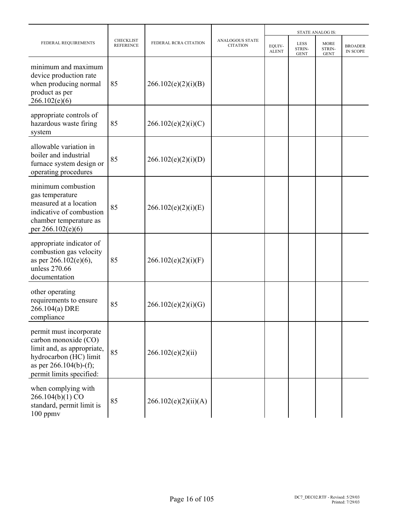|                                                                                                                                                                  |                                      |                       |                                           |                        |                                      | <b>STATE ANALOG IS:</b>              |                                   |  |
|------------------------------------------------------------------------------------------------------------------------------------------------------------------|--------------------------------------|-----------------------|-------------------------------------------|------------------------|--------------------------------------|--------------------------------------|-----------------------------------|--|
| FEDERAL REQUIREMENTS                                                                                                                                             | <b>CHECKLIST</b><br><b>REFERENCE</b> | FEDERAL RCRA CITATION | <b>ANALOGOUS STATE</b><br><b>CITATION</b> | EQUIV-<br><b>ALENT</b> | <b>LESS</b><br>STRIN-<br><b>GENT</b> | <b>MORE</b><br>STRIN-<br><b>GENT</b> | <b>BROADER</b><br><b>IN SCOPE</b> |  |
| minimum and maximum<br>device production rate<br>when producing normal<br>product as per<br>266.102(e)(6)                                                        | 85                                   | 266.102(e)(2)(i)(B)   |                                           |                        |                                      |                                      |                                   |  |
| appropriate controls of<br>hazardous waste firing<br>system                                                                                                      | 85                                   | 266.102(e)(2)(i)(C)   |                                           |                        |                                      |                                      |                                   |  |
| allowable variation in<br>boiler and industrial<br>furnace system design or<br>operating procedures                                                              | 85                                   | 266.102(e)(2)(i)(D)   |                                           |                        |                                      |                                      |                                   |  |
| minimum combustion<br>gas temperature<br>measured at a location<br>indicative of combustion<br>chamber temperature as<br>per 266.102(e)(6)                       | 85                                   | 266.102(e)(2)(i)(E)   |                                           |                        |                                      |                                      |                                   |  |
| appropriate indicator of<br>combustion gas velocity<br>as per $266.102(e)(6)$ ,<br>unless 270.66<br>documentation                                                | 85                                   | 266.102(e)(2)(i)(F)   |                                           |                        |                                      |                                      |                                   |  |
| other operating<br>requirements to ensure<br>266.104(a) DRE<br>compliance                                                                                        | 85                                   | 266.102(e)(2)(i)(G)   |                                           |                        |                                      |                                      |                                   |  |
| permit must incorporate<br>carbon monoxide (CO)<br>limit and, as appropriate,<br>hydrocarbon (HC) limit<br>as per $266.104(b)$ -(f);<br>permit limits specified: | 85                                   | 266.102(e)(2)(ii)     |                                           |                        |                                      |                                      |                                   |  |
| when complying with<br>266.104(b)(1) CO<br>standard, permit limit is<br>$100$ ppm $v$                                                                            | 85                                   | 266.102(e)(2)(ii)(A)  |                                           |                        |                                      |                                      |                                   |  |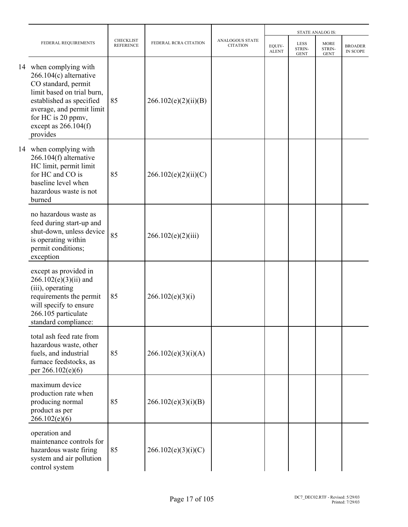|                                                                                                                                                                                                                              |                                      |                       |                                    |                        |                                      | <b>STATE ANALOG IS:</b>              |                            |
|------------------------------------------------------------------------------------------------------------------------------------------------------------------------------------------------------------------------------|--------------------------------------|-----------------------|------------------------------------|------------------------|--------------------------------------|--------------------------------------|----------------------------|
| FEDERAL REQUIREMENTS                                                                                                                                                                                                         | <b>CHECKLIST</b><br><b>REFERENCE</b> | FEDERAL RCRA CITATION | ANALOGOUS STATE<br><b>CITATION</b> | EQUIV-<br><b>ALENT</b> | <b>LESS</b><br>STRIN-<br><b>GENT</b> | <b>MORE</b><br>STRIN-<br><b>GENT</b> | <b>BROADER</b><br>IN SCOPE |
| 14 when complying with<br>$266.104(c)$ alternative<br>CO standard, permit<br>limit based on trial burn,<br>established as specified<br>average, and permit limit<br>for HC is 20 ppmv,<br>except as $266.104(f)$<br>provides | 85                                   | 266.102(e)(2)(ii)(B)  |                                    |                        |                                      |                                      |                            |
| 14 when complying with<br>$266.104(f)$ alternative<br>HC limit, permit limit<br>for HC and CO is<br>baseline level when<br>hazardous waste is not<br>burned                                                                  | 85                                   | 266.102(e)(2)(ii)(C)  |                                    |                        |                                      |                                      |                            |
| no hazardous waste as<br>feed during start-up and<br>shut-down, unless device<br>is operating within<br>permit conditions;<br>exception                                                                                      | 85                                   | 266.102(e)(2)(iii)    |                                    |                        |                                      |                                      |                            |
| except as provided in<br>$266.102(e)(3)(ii)$ and<br>(iii), operating<br>requirements the permit<br>will specify to ensure<br>266.105 particulate<br>standard compliance:                                                     | 85                                   | 266.102(e)(3)(i)      |                                    |                        |                                      |                                      |                            |
| total ash feed rate from<br>hazardous waste, other<br>fuels, and industrial<br>furnace feedstocks, as<br>per 266.102(e)(6)                                                                                                   | 85                                   | 266.102(e)(3)(i)(A)   |                                    |                        |                                      |                                      |                            |
| maximum device<br>production rate when<br>producing normal<br>product as per<br>266.102(e)(6)                                                                                                                                | 85                                   | 266.102(e)(3)(i)(B)   |                                    |                        |                                      |                                      |                            |
| operation and<br>maintenance controls for<br>hazardous waste firing<br>system and air pollution<br>control system                                                                                                            | 85                                   | 266.102(e)(3)(i)(C)   |                                    |                        |                                      |                                      |                            |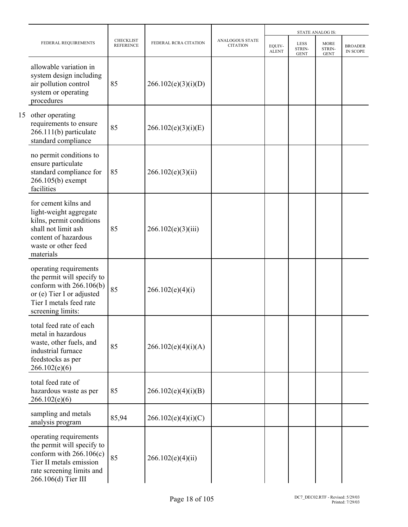|                                                                                                                                                                  |                                      |                       |                                           |                        |                                      | <b>STATE ANALOG IS:</b>              |                            |
|------------------------------------------------------------------------------------------------------------------------------------------------------------------|--------------------------------------|-----------------------|-------------------------------------------|------------------------|--------------------------------------|--------------------------------------|----------------------------|
| FEDERAL REQUIREMENTS                                                                                                                                             | <b>CHECKLIST</b><br><b>REFERENCE</b> | FEDERAL RCRA CITATION | <b>ANALOGOUS STATE</b><br><b>CITATION</b> | EOUIV-<br><b>ALENT</b> | <b>LESS</b><br>STRIN-<br><b>GENT</b> | <b>MORE</b><br>STRIN-<br><b>GENT</b> | <b>BROADER</b><br>IN SCOPE |
| allowable variation in<br>system design including<br>air pollution control<br>system or operating<br>procedures                                                  | 85                                   | 266.102(e)(3)(i)(D)   |                                           |                        |                                      |                                      |                            |
| 15 other operating<br>requirements to ensure<br>266.111(b) particulate<br>standard compliance                                                                    | 85                                   | 266.102(e)(3)(i)(E)   |                                           |                        |                                      |                                      |                            |
| no permit conditions to<br>ensure particulate<br>standard compliance for<br>$266.105(b)$ exempt<br>facilities                                                    | 85                                   | 266.102(e)(3)(ii)     |                                           |                        |                                      |                                      |                            |
| for cement kilns and<br>light-weight aggregate<br>kilns, permit conditions<br>shall not limit ash<br>content of hazardous<br>waste or other feed<br>materials    | 85                                   | 266.102(e)(3)(iii)    |                                           |                        |                                      |                                      |                            |
| operating requirements<br>the permit will specify to<br>conform with $266.106(b)$<br>or (e) Tier I or adjusted<br>Tier I metals feed rate<br>screening limits:   | 85                                   | 266.102(e)(4)(i)      |                                           |                        |                                      |                                      |                            |
| total feed rate of each<br>metal in hazardous<br>waste, other fuels, and<br>industrial furnace<br>feedstocks as per<br>266.102(e)(6)                             | 85                                   | 266.102(e)(4)(i)(A)   |                                           |                        |                                      |                                      |                            |
| total feed rate of<br>hazardous waste as per<br>266.102(e)(6)                                                                                                    | 85                                   | 266.102(e)(4)(i)(B)   |                                           |                        |                                      |                                      |                            |
| sampling and metals<br>analysis program                                                                                                                          | 85,94                                | 266.102(e)(4)(i)(C)   |                                           |                        |                                      |                                      |                            |
| operating requirements<br>the permit will specify to<br>conform with $266.106(c)$<br>Tier II metals emission<br>rate screening limits and<br>266.106(d) Tier III | 85                                   | 266.102(e)(4)(ii)     |                                           |                        |                                      |                                      |                            |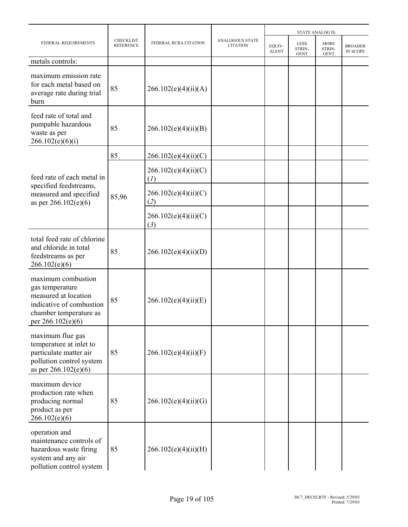|                                                                                                                                          |                                      |                             |                                           | <b>STATE ANALOG IS:</b> |                               |                                      |                                   |  |
|------------------------------------------------------------------------------------------------------------------------------------------|--------------------------------------|-----------------------------|-------------------------------------------|-------------------------|-------------------------------|--------------------------------------|-----------------------------------|--|
| FEDERAL REQUIREMENTS                                                                                                                     | <b>CHECKLIST</b><br><b>REFERENCE</b> | FEDERAL RCRA CITATION       | <b>ANALOGOUS STATE</b><br><b>CITATION</b> | EQUIV-<br><b>ALENT</b>  | LESS<br>STRIN-<br><b>GENT</b> | <b>MORE</b><br>STRIN-<br><b>GENT</b> | <b>BROADER</b><br><b>IN SCOPE</b> |  |
| metals controls:                                                                                                                         |                                      |                             |                                           |                         |                               |                                      |                                   |  |
| maximum emission rate<br>for each metal based on<br>average rate during trial<br>burn                                                    | 85                                   | 266.102(e)(4)(ii)(A)        |                                           |                         |                               |                                      |                                   |  |
| feed rate of total and<br>pumpable hazardous<br>waste as per<br>266.102(e)(6)(i)                                                         | 85                                   | 266.102(e)(4)(ii)(B)        |                                           |                         |                               |                                      |                                   |  |
|                                                                                                                                          | 85                                   | 266.102(e)(4)(ii)(C)        |                                           |                         |                               |                                      |                                   |  |
| feed rate of each metal in<br>specified feedstreams,<br>measured and specified<br>as per $266.102(e)(6)$                                 |                                      | 266.102(e)(4)(ii)(C)<br>(I) |                                           |                         |                               |                                      |                                   |  |
|                                                                                                                                          | 85,96                                | 266.102(e)(4)(ii)(C)<br>(2) |                                           |                         |                               |                                      |                                   |  |
|                                                                                                                                          |                                      | 266.102(e)(4)(ii)(C)<br>(3) |                                           |                         |                               |                                      |                                   |  |
| total feed rate of chlorine<br>and chloride in total<br>feedstreams as per<br>266.102(e)(6)                                              | 85                                   | 266.102(e)(4)(ii)(D)        |                                           |                         |                               |                                      |                                   |  |
| maximum combustion<br>gas temperature<br>measured at location<br>indicative of combustion<br>chamber temperature as<br>per 266.102(e)(6) | 85                                   | 266.102(e)(4)(ii)(E)        |                                           |                         |                               |                                      |                                   |  |
| maximum flue gas<br>temperature at inlet to<br>particulate matter air<br>pollution control system<br>as per 266.102(e)(6)                | 85                                   | 266.102(e)(4)(ii)(F)        |                                           |                         |                               |                                      |                                   |  |
| maximum device<br>production rate when<br>producing normal<br>product as per<br>266.102(e)(6)                                            | 85                                   | 266.102(e)(4)(ii)(G)        |                                           |                         |                               |                                      |                                   |  |
| operation and<br>maintenance controls of<br>hazardous waste firing<br>system and any air<br>pollution control system                     | 85                                   | 266.102(e)(4)(ii)(H)        |                                           |                         |                               |                                      |                                   |  |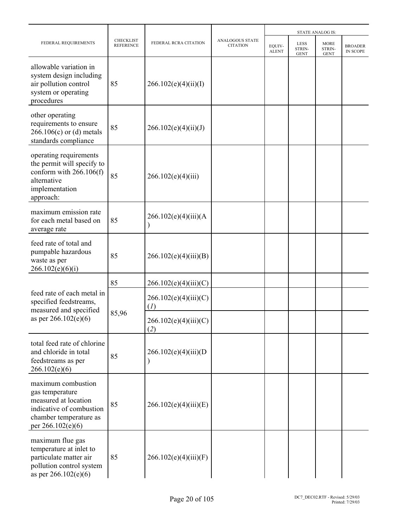|                                                                                                                                          |                                      |                              | <b>STATE ANALOG IS:</b>                   |                        |                                             |                                      |                                   |
|------------------------------------------------------------------------------------------------------------------------------------------|--------------------------------------|------------------------------|-------------------------------------------|------------------------|---------------------------------------------|--------------------------------------|-----------------------------------|
| FEDERAL REQUIREMENTS                                                                                                                     | <b>CHECKLIST</b><br><b>REFERENCE</b> | FEDERAL RCRA CITATION        | <b>ANALOGOUS STATE</b><br><b>CITATION</b> | EQUIV-<br><b>ALENT</b> | <b>LESS</b><br><b>STRIN-</b><br><b>GENT</b> | <b>MORE</b><br>STRIN-<br><b>GENT</b> | <b>BROADER</b><br><b>IN SCOPE</b> |
| allowable variation in<br>system design including<br>air pollution control<br>system or operating<br>procedures                          | 85                                   | 266.102(e)(4)(ii)(I)         |                                           |                        |                                             |                                      |                                   |
| other operating<br>requirements to ensure<br>$266.106(c)$ or (d) metals<br>standards compliance                                          | 85                                   | 266.102(e)(4)(ii)(J)         |                                           |                        |                                             |                                      |                                   |
| operating requirements<br>the permit will specify to<br>conform with $266.106(f)$<br>alternative<br>implementation<br>approach:          | 85                                   | 266.102(e)(4)(iii)           |                                           |                        |                                             |                                      |                                   |
| maximum emission rate<br>for each metal based on<br>average rate                                                                         | 85                                   | 266.102(e)(4)(iii)(A)        |                                           |                        |                                             |                                      |                                   |
| feed rate of total and<br>pumpable hazardous<br>waste as per<br>266.102(e)(6)(i)                                                         | 85                                   | 266.102(e)(4)(iii)(B)        |                                           |                        |                                             |                                      |                                   |
|                                                                                                                                          | 85                                   | 266.102(e)(4)(iii)(C)        |                                           |                        |                                             |                                      |                                   |
| feed rate of each metal in<br>specified feedstreams,<br>measured and specified                                                           |                                      | 266.102(e)(4)(iii)(C)<br>(I) |                                           |                        |                                             |                                      |                                   |
| as per $266.102(e)(6)$                                                                                                                   | 85,96                                | 266.102(e)(4)(iii)(C)<br>(2) |                                           |                        |                                             |                                      |                                   |
| total feed rate of chlorine<br>and chloride in total<br>feedstreams as per<br>266.102(e)(6)                                              | 85                                   | 266.102(e)(4)(iii)(D)        |                                           |                        |                                             |                                      |                                   |
| maximum combustion<br>gas temperature<br>measured at location<br>indicative of combustion<br>chamber temperature as<br>per 266.102(e)(6) | 85                                   | 266.102(e)(4)(iii)(E)        |                                           |                        |                                             |                                      |                                   |
| maximum flue gas<br>temperature at inlet to<br>particulate matter air<br>pollution control system<br>as per 266.102(e)(6)                | 85                                   | 266.102(e)(4)(iii)(F)        |                                           |                        |                                             |                                      |                                   |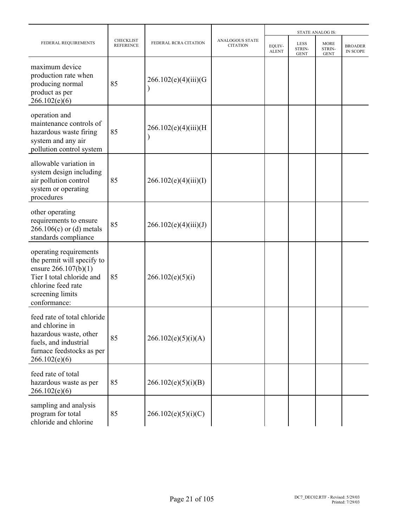|                                                                                                                                                                     |                                      |                       |                                           |                        |                                      | <b>STATE ANALOG IS:</b>              |                                   |  |
|---------------------------------------------------------------------------------------------------------------------------------------------------------------------|--------------------------------------|-----------------------|-------------------------------------------|------------------------|--------------------------------------|--------------------------------------|-----------------------------------|--|
| FEDERAL REQUIREMENTS                                                                                                                                                | <b>CHECKLIST</b><br><b>REFERENCE</b> | FEDERAL RCRA CITATION | <b>ANALOGOUS STATE</b><br><b>CITATION</b> | EOUIV-<br><b>ALENT</b> | <b>LESS</b><br>STRIN-<br><b>GENT</b> | <b>MORE</b><br>STRIN-<br><b>GENT</b> | <b>BROADER</b><br><b>IN SCOPE</b> |  |
| maximum device<br>production rate when<br>producing normal<br>product as per<br>266.102(e)(6)                                                                       | 85                                   | 266.102(e)(4)(iii)(G) |                                           |                        |                                      |                                      |                                   |  |
| operation and<br>maintenance controls of<br>hazardous waste firing<br>system and any air<br>pollution control system                                                | 85                                   | 266.102(e)(4)(iii)(H) |                                           |                        |                                      |                                      |                                   |  |
| allowable variation in<br>system design including<br>air pollution control<br>system or operating<br>procedures                                                     | 85                                   | 266.102(e)(4)(iii)(I) |                                           |                        |                                      |                                      |                                   |  |
| other operating<br>requirements to ensure<br>$266.106(c)$ or (d) metals<br>standards compliance                                                                     | 85                                   | 266.102(e)(4)(iii)(J) |                                           |                        |                                      |                                      |                                   |  |
| operating requirements<br>the permit will specify to<br>ensure 266.107(b)(1)<br>Tier I total chloride and<br>chlorine feed rate<br>screening limits<br>conformance: | 85                                   | 266.102(e)(5)(i)      |                                           |                        |                                      |                                      |                                   |  |
| feed rate of total chloride<br>and chlorine in<br>hazardous waste, other<br>fuels, and industrial<br>furnace feedstocks as per<br>266.102(e)(6)                     | 85                                   | 266.102(e)(5)(i)(A)   |                                           |                        |                                      |                                      |                                   |  |
| feed rate of total<br>hazardous waste as per<br>266.102(e)(6)                                                                                                       | 85                                   | 266.102(e)(5)(i)(B)   |                                           |                        |                                      |                                      |                                   |  |
| sampling and analysis<br>program for total<br>chloride and chlorine                                                                                                 | 85                                   | 266.102(e)(5)(i)(C)   |                                           |                        |                                      |                                      |                                   |  |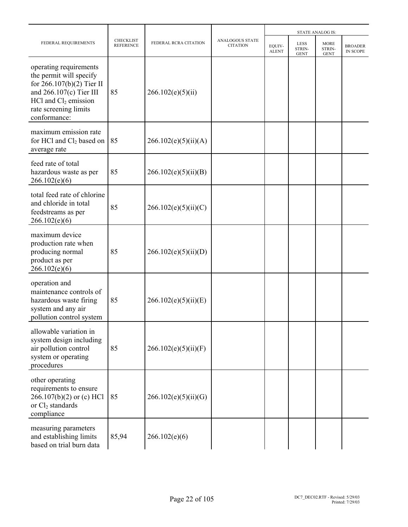|                                                                                                                                                                                    |                                      |                       |                                           |                        |                                      | <b>STATE ANALOG IS:</b>              |                                   |
|------------------------------------------------------------------------------------------------------------------------------------------------------------------------------------|--------------------------------------|-----------------------|-------------------------------------------|------------------------|--------------------------------------|--------------------------------------|-----------------------------------|
| FEDERAL REQUIREMENTS                                                                                                                                                               | <b>CHECKLIST</b><br><b>REFERENCE</b> | FEDERAL RCRA CITATION | <b>ANALOGOUS STATE</b><br><b>CITATION</b> | EQUIV-<br><b>ALENT</b> | <b>LESS</b><br>STRIN-<br><b>GENT</b> | <b>MORE</b><br>STRIN-<br><b>GENT</b> | <b>BROADER</b><br><b>IN SCOPE</b> |
| operating requirements<br>the permit will specify<br>for $266.107(b)(2)$ Tier II<br>and $266.107(c)$ Tier III<br>$HC1$ and $Cl2$ emission<br>rate screening limits<br>conformance: | 85                                   | 266.102(e)(5)(ii)     |                                           |                        |                                      |                                      |                                   |
| maximum emission rate<br>for HCl and $Cl2$ based on<br>average rate                                                                                                                | 85                                   | 266.102(e)(5)(ii)(A)  |                                           |                        |                                      |                                      |                                   |
| feed rate of total<br>hazardous waste as per<br>266.102(e)(6)                                                                                                                      | 85                                   | 266.102(e)(5)(ii)(B)  |                                           |                        |                                      |                                      |                                   |
| total feed rate of chlorine<br>and chloride in total<br>feedstreams as per<br>266.102(e)(6)                                                                                        | 85                                   | 266.102(e)(5)(ii)(C)  |                                           |                        |                                      |                                      |                                   |
| maximum device<br>production rate when<br>producing normal<br>product as per<br>266.102(e)(6)                                                                                      | 85                                   | 266.102(e)(5)(ii)(D)  |                                           |                        |                                      |                                      |                                   |
| operation and<br>maintenance controls of<br>hazardous waste firing<br>system and any air<br>pollution control system                                                               | 85                                   | 266.102(e)(5)(ii)(E)  |                                           |                        |                                      |                                      |                                   |
| allowable variation in<br>system design including<br>air pollution control<br>system or operating<br>procedures                                                                    | 85                                   | 266.102(e)(5)(ii)(F)  |                                           |                        |                                      |                                      |                                   |
| other operating<br>requirements to ensure<br>$266.107(b)(2)$ or (c) HCl<br>or $Cl2$ standards<br>compliance                                                                        | 85                                   | 266.102(e)(5)(ii)(G)  |                                           |                        |                                      |                                      |                                   |
| measuring parameters<br>and establishing limits<br>based on trial burn data                                                                                                        | 85,94                                | 266.102(e)(6)         |                                           |                        |                                      |                                      |                                   |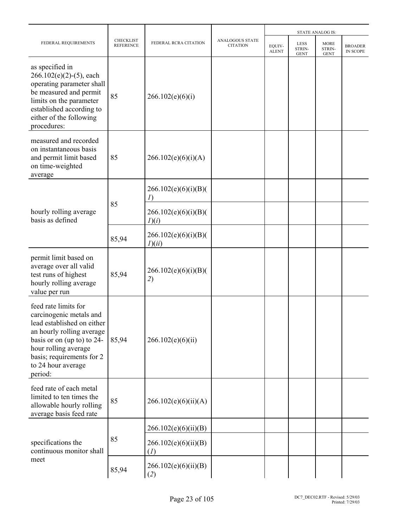|                                                                                                                                                                                                                                |                                      |                                | <b>STATE ANALOG IS:</b>            |                        |                                             |                                      |                                   |
|--------------------------------------------------------------------------------------------------------------------------------------------------------------------------------------------------------------------------------|--------------------------------------|--------------------------------|------------------------------------|------------------------|---------------------------------------------|--------------------------------------|-----------------------------------|
| FEDERAL REQUIREMENTS                                                                                                                                                                                                           | <b>CHECKLIST</b><br><b>REFERENCE</b> | FEDERAL RCRA CITATION          | ANALOGOUS STATE<br><b>CITATION</b> | EQUIV-<br><b>ALENT</b> | <b>LESS</b><br><b>STRIN-</b><br><b>GENT</b> | <b>MORE</b><br>STRIN-<br><b>GENT</b> | <b>BROADER</b><br><b>IN SCOPE</b> |
| as specified in<br>$266.102(e)(2)-(5)$ , each<br>operating parameter shall<br>be measured and permit<br>limits on the parameter<br>established according to<br>either of the following<br>procedures:                          | 85                                   | 266.102(e)(6)(i)               |                                    |                        |                                             |                                      |                                   |
| measured and recorded<br>on instantaneous basis<br>and permit limit based<br>on time-weighted<br>average                                                                                                                       | 85                                   | 266.102(e)(6)(i)(A)            |                                    |                        |                                             |                                      |                                   |
|                                                                                                                                                                                                                                |                                      | 266.102(e)(6)(i)(B)(<br>I)     |                                    |                        |                                             |                                      |                                   |
| hourly rolling average<br>basis as defined                                                                                                                                                                                     | 85                                   | 266.102(e)(6)(i)(B)(<br>I)(i)  |                                    |                        |                                             |                                      |                                   |
|                                                                                                                                                                                                                                | 85,94                                | 266.102(e)(6)(i)(B)(<br>I)(ii) |                                    |                        |                                             |                                      |                                   |
| permit limit based on<br>average over all valid<br>test runs of highest<br>hourly rolling average<br>value per run                                                                                                             | 85,94                                | 266.102(e)(6)(i)(B)(<br>2)     |                                    |                        |                                             |                                      |                                   |
| feed rate limits for<br>carcinogenic metals and<br>lead established on either<br>an hourly rolling average<br>basis or on (up to) to 24-<br>hour rolling average<br>basis; requirements for 2<br>to 24 hour average<br>period: | 85,94                                | 266.102(e)(6)(ii)              |                                    |                        |                                             |                                      |                                   |
| feed rate of each metal<br>limited to ten times the<br>allowable hourly rolling<br>average basis feed rate                                                                                                                     | 85                                   | 266.102(e)(6)(ii)(A)           |                                    |                        |                                             |                                      |                                   |
|                                                                                                                                                                                                                                |                                      | 266.102(e)(6)(ii)(B)           |                                    |                        |                                             |                                      |                                   |
| specifications the<br>continuous monitor shall                                                                                                                                                                                 | 85                                   | 266.102(e)(6)(ii)(B)<br>(I)    |                                    |                        |                                             |                                      |                                   |
| meet                                                                                                                                                                                                                           | 85,94                                | 266.102(e)(6)(ii)(B)<br>(2)    |                                    |                        |                                             |                                      |                                   |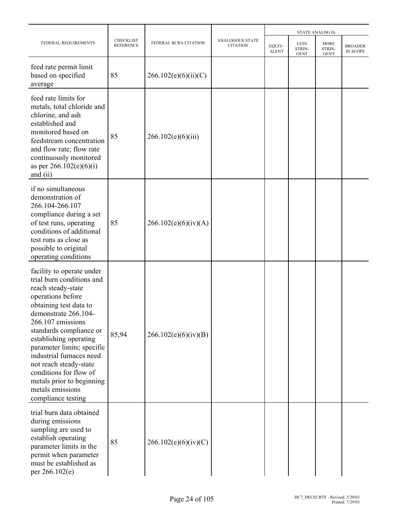|                                                                                                                                                                                                                                                                                                                                                                                                                    |                                      |                       |                                    | <b>STATE ANALOG IS:</b> |                                      |                                      |                                   |  |
|--------------------------------------------------------------------------------------------------------------------------------------------------------------------------------------------------------------------------------------------------------------------------------------------------------------------------------------------------------------------------------------------------------------------|--------------------------------------|-----------------------|------------------------------------|-------------------------|--------------------------------------|--------------------------------------|-----------------------------------|--|
| FEDERAL REQUIREMENTS                                                                                                                                                                                                                                                                                                                                                                                               | <b>CHECKLIST</b><br><b>REFERENCE</b> | FEDERAL RCRA CITATION | ANALOGOUS STATE<br><b>CITATION</b> | EQUIV-<br><b>ALENT</b>  | <b>LESS</b><br>STRIN-<br><b>GENT</b> | <b>MORE</b><br>STRIN-<br><b>GENT</b> | <b>BROADER</b><br><b>IN SCOPE</b> |  |
| feed rate permit limit<br>based on specified<br>average                                                                                                                                                                                                                                                                                                                                                            | 85                                   | 266.102(e)(6)(ii)(C)  |                                    |                         |                                      |                                      |                                   |  |
| feed rate limits for<br>metals, total chloride and<br>chlorine, and ash<br>established and<br>monitored based on<br>feedstream concentration<br>and flow rate; flow rate<br>continuously monitored<br>as per $266.102(e)(6)(i)$<br>and $(ii)$                                                                                                                                                                      | 85                                   | 266.102(e)(6)(iii)    |                                    |                         |                                      |                                      |                                   |  |
| if no simultaneous<br>demonstration of<br>266.104-266.107<br>compliance during a set<br>of test runs, operating<br>conditions of additional<br>test runs as close as<br>possible to original<br>operating conditions                                                                                                                                                                                               | 85                                   | 266.102(e)(6)(iv)(A)  |                                    |                         |                                      |                                      |                                   |  |
| facility to operate under<br>trial burn conditions and<br>reach steady-state<br>operations before<br>obtaining test data to<br>demonstrate 266.104-<br>266.107 emissions<br>standards compliance or<br>establishing operating<br>parameter limits; specific<br>industrial furnaces need<br>not reach steady-state<br>conditions for flow of<br>metals prior to beginning<br>metals emissions<br>compliance testing | 85,94                                | 266.102(e)(6)(iv)(B)  |                                    |                         |                                      |                                      |                                   |  |
| trial burn data obtained<br>during emissions<br>sampling are used to<br>establish operating<br>parameter limits in the<br>permit when parameter<br>must be established as<br>per 266.102(e)                                                                                                                                                                                                                        | 85                                   | 266.102(e)(6)(iv)(C)  |                                    |                         |                                      |                                      |                                   |  |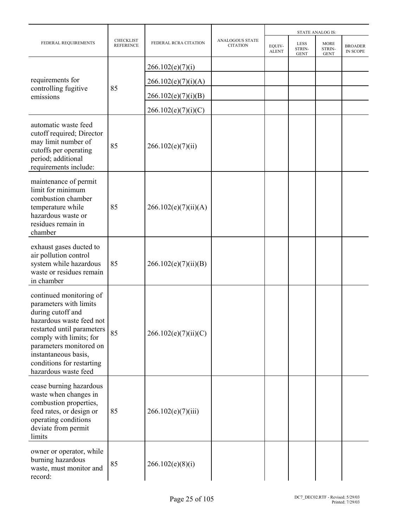|                                                                                                                                                                                                                                                                     |                                      |                       | <b>STATE ANALOG IS:</b>            |                        |                                      |                                      |                                   |
|---------------------------------------------------------------------------------------------------------------------------------------------------------------------------------------------------------------------------------------------------------------------|--------------------------------------|-----------------------|------------------------------------|------------------------|--------------------------------------|--------------------------------------|-----------------------------------|
| FEDERAL REQUIREMENTS                                                                                                                                                                                                                                                | <b>CHECKLIST</b><br><b>REFERENCE</b> | FEDERAL RCRA CITATION | ANALOGOUS STATE<br><b>CITATION</b> | EQUIV-<br><b>ALENT</b> | <b>LESS</b><br>STRIN-<br><b>GENT</b> | <b>MORE</b><br>STRIN-<br><b>GENT</b> | <b>BROADER</b><br><b>IN SCOPE</b> |
|                                                                                                                                                                                                                                                                     |                                      | 266.102(e)(7)(i)      |                                    |                        |                                      |                                      |                                   |
| requirements for                                                                                                                                                                                                                                                    |                                      | 266.102(e)(7)(i)(A)   |                                    |                        |                                      |                                      |                                   |
| controlling fugitive<br>emissions                                                                                                                                                                                                                                   | 85                                   | 266.102(e)(7)(i)(B)   |                                    |                        |                                      |                                      |                                   |
|                                                                                                                                                                                                                                                                     |                                      | 266.102(e)(7)(i)(C)   |                                    |                        |                                      |                                      |                                   |
| automatic waste feed<br>cutoff required; Director<br>may limit number of<br>cutoffs per operating<br>period; additional<br>requirements include:                                                                                                                    | 85                                   | 266.102(e)(7)(ii)     |                                    |                        |                                      |                                      |                                   |
| maintenance of permit<br>limit for minimum<br>combustion chamber<br>temperature while<br>hazardous waste or<br>residues remain in<br>chamber                                                                                                                        | 85                                   | 266.102(e)(7)(ii)(A)  |                                    |                        |                                      |                                      |                                   |
| exhaust gases ducted to<br>air pollution control<br>system while hazardous<br>waste or residues remain<br>in chamber                                                                                                                                                | 85                                   | 266.102(e)(7)(ii)(B)  |                                    |                        |                                      |                                      |                                   |
| continued monitoring of<br>parameters with limits<br>during cutoff and<br>hazardous waste feed not<br>restarted until parameters<br>comply with limits; for<br>parameters monitored on<br>instantaneous basis,<br>conditions for restarting<br>hazardous waste feed | 85                                   | 266.102(e)(7)(ii)(C)  |                                    |                        |                                      |                                      |                                   |
| cease burning hazardous<br>waste when changes in<br>combustion properties,<br>feed rates, or design or<br>operating conditions<br>deviate from permit<br>limits                                                                                                     | 85                                   | 266.102(e)(7)(iii)    |                                    |                        |                                      |                                      |                                   |
| owner or operator, while<br>burning hazardous<br>waste, must monitor and<br>record:                                                                                                                                                                                 | 85                                   | 266.102(e)(8)(i)      |                                    |                        |                                      |                                      |                                   |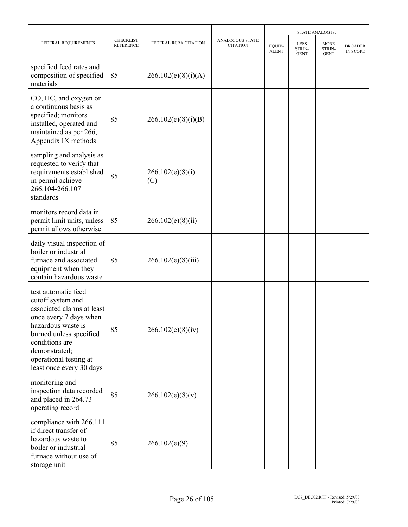|                                                                                                                                                                                                                                            |                                      |                         |                                           |                        | <b>STATE ANALOG IS:</b>              |                                      |                                   |
|--------------------------------------------------------------------------------------------------------------------------------------------------------------------------------------------------------------------------------------------|--------------------------------------|-------------------------|-------------------------------------------|------------------------|--------------------------------------|--------------------------------------|-----------------------------------|
| FEDERAL REQUIREMENTS                                                                                                                                                                                                                       | <b>CHECKLIST</b><br><b>REFERENCE</b> | FEDERAL RCRA CITATION   | <b>ANALOGOUS STATE</b><br><b>CITATION</b> | EQUIV-<br><b>ALENT</b> | <b>LESS</b><br>STRIN-<br><b>GENT</b> | <b>MORE</b><br>STRIN-<br><b>GENT</b> | <b>BROADER</b><br><b>IN SCOPE</b> |
| specified feed rates and<br>composition of specified<br>materials                                                                                                                                                                          | 85                                   | 266.102(e)(8)(i)(A)     |                                           |                        |                                      |                                      |                                   |
| CO, HC, and oxygen on<br>a continuous basis as<br>specified; monitors<br>installed, operated and<br>maintained as per 266,<br>Appendix IX methods                                                                                          | 85                                   | 266.102(e)(8)(i)(B)     |                                           |                        |                                      |                                      |                                   |
| sampling and analysis as<br>requested to verify that<br>requirements established<br>in permit achieve<br>266.104-266.107<br>standards                                                                                                      | 85                                   | 266.102(e)(8)(i)<br>(C) |                                           |                        |                                      |                                      |                                   |
| monitors record data in<br>permit limit units, unless<br>permit allows otherwise                                                                                                                                                           | 85                                   | 266.102(e)(8)(ii)       |                                           |                        |                                      |                                      |                                   |
| daily visual inspection of<br>boiler or industrial<br>furnace and associated<br>equipment when they<br>contain hazardous waste                                                                                                             | 85                                   | 266.102(e)(8)(iii)      |                                           |                        |                                      |                                      |                                   |
| test automatic feed<br>cutoff system and<br>associated alarms at least<br>once every 7 days when<br>hazardous waste is<br>burned unless specified<br>conditions are<br>demonstrated;<br>operational testing at<br>least once every 30 days | 85                                   | 266.102(e)(8)(iv)       |                                           |                        |                                      |                                      |                                   |
| monitoring and<br>inspection data recorded<br>and placed in 264.73<br>operating record                                                                                                                                                     | 85                                   | 266.102(e)(8)(v)        |                                           |                        |                                      |                                      |                                   |
| compliance with 266.111<br>if direct transfer of<br>hazardous waste to<br>boiler or industrial<br>furnace without use of<br>storage unit                                                                                                   | 85                                   | 266.102(e)(9)           |                                           |                        |                                      |                                      |                                   |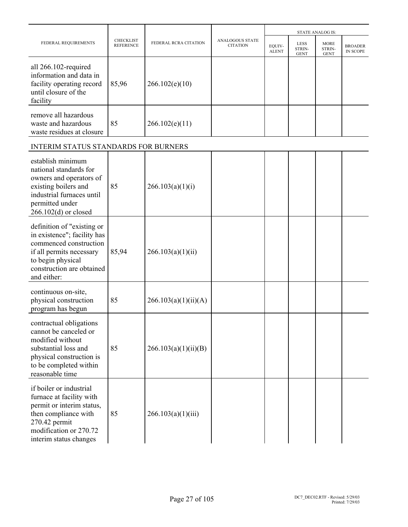|                                                                                                                                                                                  |                                      |                       |                                           |                        |                                      | <b>STATE ANALOG IS:</b>              |                                   |
|----------------------------------------------------------------------------------------------------------------------------------------------------------------------------------|--------------------------------------|-----------------------|-------------------------------------------|------------------------|--------------------------------------|--------------------------------------|-----------------------------------|
| FEDERAL REQUIREMENTS                                                                                                                                                             | <b>CHECKLIST</b><br><b>REFERENCE</b> | FEDERAL RCRA CITATION | <b>ANALOGOUS STATE</b><br><b>CITATION</b> | EQUIV-<br><b>ALENT</b> | <b>LESS</b><br>STRIN-<br><b>GENT</b> | <b>MORE</b><br>STRIN-<br><b>GENT</b> | <b>BROADER</b><br><b>IN SCOPE</b> |
| all 266.102-required<br>information and data in<br>facility operating record<br>until closure of the<br>facility                                                                 | 85,96                                | 266.102(e)(10)        |                                           |                        |                                      |                                      |                                   |
| remove all hazardous<br>waste and hazardous<br>waste residues at closure                                                                                                         | 85                                   | 266.102(e)(11)        |                                           |                        |                                      |                                      |                                   |
| INTERIM STATUS STANDARDS FOR BURNERS                                                                                                                                             |                                      |                       |                                           |                        |                                      |                                      |                                   |
| establish minimum<br>national standards for<br>owners and operators of<br>existing boilers and<br>industrial furnaces until<br>permitted under<br>$266.102(d)$ or closed         | 85                                   | 266.103(a)(1)(i)      |                                           |                        |                                      |                                      |                                   |
| definition of "existing or<br>in existence"; facility has<br>commenced construction<br>if all permits necessary<br>to begin physical<br>construction are obtained<br>and either: | 85,94                                | 266.103(a)(1)(ii)     |                                           |                        |                                      |                                      |                                   |
| continuous on-site,<br>physical construction<br>program has begun                                                                                                                | 85                                   | 266.103(a)(1)(ii)(A)  |                                           |                        |                                      |                                      |                                   |
| contractual obligations<br>cannot be canceled or<br>modified without<br>substantial loss and<br>physical construction is<br>to be completed within<br>reasonable time            | 85                                   | 266.103(a)(1)(ii)(B)  |                                           |                        |                                      |                                      |                                   |
| if boiler or industrial<br>furnace at facility with<br>permit or interim status,<br>then compliance with<br>270.42 permit<br>modification or 270.72<br>interim status changes    | 85                                   | 266.103(a)(1)(iii)    |                                           |                        |                                      |                                      |                                   |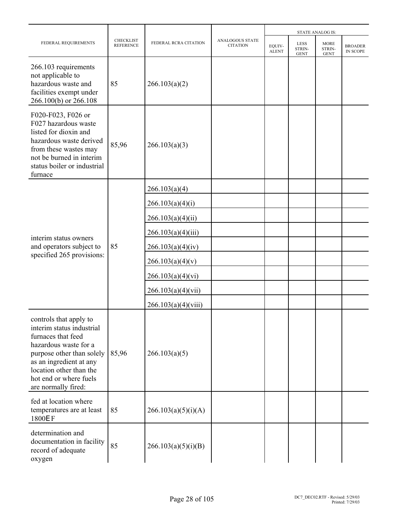|                                                                                                                                                                                                                                        |                                      |                       |                                           |                        |                               | <b>STATE ANALOG IS:</b>              |                                   |
|----------------------------------------------------------------------------------------------------------------------------------------------------------------------------------------------------------------------------------------|--------------------------------------|-----------------------|-------------------------------------------|------------------------|-------------------------------|--------------------------------------|-----------------------------------|
| FEDERAL REQUIREMENTS                                                                                                                                                                                                                   | <b>CHECKLIST</b><br><b>REFERENCE</b> | FEDERAL RCRA CITATION | <b>ANALOGOUS STATE</b><br><b>CITATION</b> | EQUIV-<br><b>ALENT</b> | LESS<br>STRIN-<br><b>GENT</b> | <b>MORE</b><br>STRIN-<br><b>GENT</b> | <b>BROADER</b><br><b>IN SCOPE</b> |
| 266.103 requirements<br>not applicable to<br>hazardous waste and<br>facilities exempt under<br>266.100(b) or 266.108                                                                                                                   | 85                                   | 266.103(a)(2)         |                                           |                        |                               |                                      |                                   |
| F020-F023, F026 or<br>F027 hazardous waste<br>listed for dioxin and<br>hazardous waste derived<br>from these wastes may<br>not be burned in interim<br>status boiler or industrial<br>furnace                                          | 85,96                                | 266.103(a)(3)         |                                           |                        |                               |                                      |                                   |
|                                                                                                                                                                                                                                        |                                      | 266.103(a)(4)         |                                           |                        |                               |                                      |                                   |
|                                                                                                                                                                                                                                        |                                      | 266.103(a)(4)(i)      |                                           |                        |                               |                                      |                                   |
|                                                                                                                                                                                                                                        |                                      | 266.103(a)(4)(ii)     |                                           |                        |                               |                                      |                                   |
| interim status owners                                                                                                                                                                                                                  |                                      | 266.103(a)(4)(iii)    |                                           |                        |                               |                                      |                                   |
| and operators subject to                                                                                                                                                                                                               | 85                                   | 266.103(a)(4)(iv)     |                                           |                        |                               |                                      |                                   |
| specified 265 provisions:                                                                                                                                                                                                              |                                      | 266.103(a)(4)(v)      |                                           |                        |                               |                                      |                                   |
|                                                                                                                                                                                                                                        |                                      | 266.103(a)(4)(vi)     |                                           |                        |                               |                                      |                                   |
|                                                                                                                                                                                                                                        |                                      | 266.103(a)(4)(vii)    |                                           |                        |                               |                                      |                                   |
|                                                                                                                                                                                                                                        |                                      | 266.103(a)(4)(viii)   |                                           |                        |                               |                                      |                                   |
| controls that apply to<br>interim status industrial<br>furnaces that feed<br>hazardous waste for a<br>purpose other than solely<br>as an ingredient at any<br>location other than the<br>hot end or where fuels<br>are normally fired: | 85,96                                | 266.103(a)(5)         |                                           |                        |                               |                                      |                                   |
| fed at location where<br>temperatures are at least<br>1800EF                                                                                                                                                                           | 85                                   | 266.103(a)(5)(i)(A)   |                                           |                        |                               |                                      |                                   |
| determination and<br>documentation in facility<br>record of adequate<br>oxygen                                                                                                                                                         | 85                                   | 266.103(a)(5)(i)(B)   |                                           |                        |                               |                                      |                                   |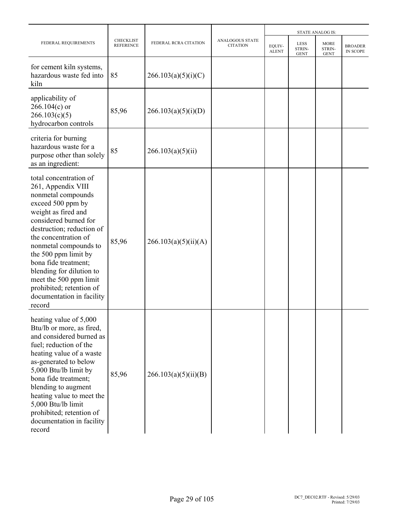|                                                                                                                                                                                                                                                                                                                                                                                                |                                      |                       |                                    |                        |                                      | <b>STATE ANALOG IS:</b>              |                                   |
|------------------------------------------------------------------------------------------------------------------------------------------------------------------------------------------------------------------------------------------------------------------------------------------------------------------------------------------------------------------------------------------------|--------------------------------------|-----------------------|------------------------------------|------------------------|--------------------------------------|--------------------------------------|-----------------------------------|
| FEDERAL REQUIREMENTS                                                                                                                                                                                                                                                                                                                                                                           | <b>CHECKLIST</b><br><b>REFERENCE</b> | FEDERAL RCRA CITATION | ANALOGOUS STATE<br><b>CITATION</b> | EQUIV-<br><b>ALENT</b> | <b>LESS</b><br>STRIN-<br><b>GENT</b> | <b>MORE</b><br>STRIN-<br><b>GENT</b> | <b>BROADER</b><br><b>IN SCOPE</b> |
| for cement kiln systems,<br>hazardous waste fed into<br>kiln                                                                                                                                                                                                                                                                                                                                   | 85                                   | 266.103(a)(5)(i)(C)   |                                    |                        |                                      |                                      |                                   |
| applicability of<br>$266.104(c)$ or<br>266.103(c)(5)<br>hydrocarbon controls                                                                                                                                                                                                                                                                                                                   | 85,96                                | 266.103(a)(5)(i)(D)   |                                    |                        |                                      |                                      |                                   |
| criteria for burning<br>hazardous waste for a<br>purpose other than solely<br>as an ingredient:                                                                                                                                                                                                                                                                                                | 85                                   | 266.103(a)(5)(ii)     |                                    |                        |                                      |                                      |                                   |
| total concentration of<br>261, Appendix VIII<br>nonmetal compounds<br>exceed 500 ppm by<br>weight as fired and<br>considered burned for<br>destruction; reduction of<br>the concentration of<br>nonmetal compounds to<br>the 500 ppm limit by<br>bona fide treatment;<br>blending for dilution to<br>meet the 500 ppm limit<br>prohibited; retention of<br>documentation in facility<br>record | 85,96                                | 266.103(a)(5)(ii)(A)  |                                    |                        |                                      |                                      |                                   |
| heating value of 5,000<br>Btu/lb or more, as fired,<br>and considered burned as<br>fuel; reduction of the<br>heating value of a waste<br>as-generated to below<br>5,000 Btu/lb limit by<br>bona fide treatment;<br>blending to augment<br>heating value to meet the<br>5,000 Btu/lb limit<br>prohibited; retention of<br>documentation in facility<br>record                                   | 85,96                                | 266.103(a)(5)(ii)(B)  |                                    |                        |                                      |                                      |                                   |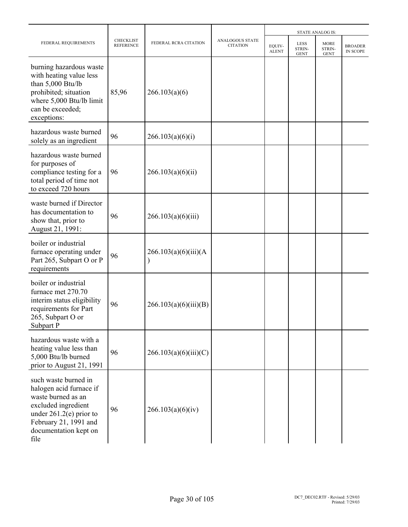|                                                                                                                                                                                     |                                      |                       |                                           |                        |                                      | <b>STATE ANALOG IS:</b>       |                                   |
|-------------------------------------------------------------------------------------------------------------------------------------------------------------------------------------|--------------------------------------|-----------------------|-------------------------------------------|------------------------|--------------------------------------|-------------------------------|-----------------------------------|
| FEDERAL REQUIREMENTS                                                                                                                                                                | <b>CHECKLIST</b><br><b>REFERENCE</b> | FEDERAL RCRA CITATION | <b>ANALOGOUS STATE</b><br><b>CITATION</b> | EQUIV-<br><b>ALENT</b> | <b>LESS</b><br>STRIN-<br><b>GENT</b> | MORE<br>STRIN-<br><b>GENT</b> | <b>BROADER</b><br><b>IN SCOPE</b> |
| burning hazardous waste<br>with heating value less<br>than 5,000 Btu/lb<br>prohibited; situation<br>where 5,000 Btu/lb limit<br>can be exceeded;<br>exceptions:                     | 85,96                                | 266.103(a)(6)         |                                           |                        |                                      |                               |                                   |
| hazardous waste burned<br>solely as an ingredient                                                                                                                                   | 96                                   | 266.103(a)(6)(i)      |                                           |                        |                                      |                               |                                   |
| hazardous waste burned<br>for purposes of<br>compliance testing for a<br>total period of time not<br>to exceed 720 hours                                                            | 96                                   | 266.103(a)(6)(ii)     |                                           |                        |                                      |                               |                                   |
| waste burned if Director<br>has documentation to<br>show that, prior to<br>August 21, 1991:                                                                                         | 96                                   | 266.103(a)(6)(iii)    |                                           |                        |                                      |                               |                                   |
| boiler or industrial<br>furnace operating under<br>Part 265, Subpart O or P<br>requirements                                                                                         | 96                                   | 266.103(a)(6)(iii)(A) |                                           |                        |                                      |                               |                                   |
| boiler or industrial<br>furnace met 270.70<br>interim status eligibility<br>requirements for Part<br>265, Subpart O or<br>Subpart P                                                 | 96                                   | 266.103(a)(6)(iii)(B) |                                           |                        |                                      |                               |                                   |
| hazardous waste with a<br>heating value less than<br>5,000 Btu/lb burned<br>prior to August 21, 1991                                                                                | 96                                   | 266.103(a)(6)(iii)(C) |                                           |                        |                                      |                               |                                   |
| such waste burned in<br>halogen acid furnace if<br>waste burned as an<br>excluded ingredient<br>under $261.2(e)$ prior to<br>February 21, 1991 and<br>documentation kept on<br>file | 96                                   | 266.103(a)(6)(iv)     |                                           |                        |                                      |                               |                                   |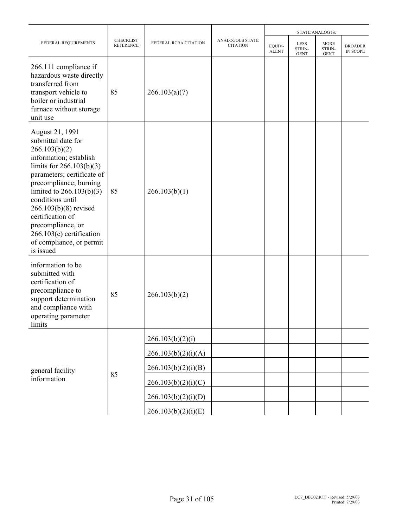|                                                                                                                                                                                                                                                                                                                                                                   |                                      |                       |                                           |                        |                                      | <b>STATE ANALOG IS:</b>              |                            |
|-------------------------------------------------------------------------------------------------------------------------------------------------------------------------------------------------------------------------------------------------------------------------------------------------------------------------------------------------------------------|--------------------------------------|-----------------------|-------------------------------------------|------------------------|--------------------------------------|--------------------------------------|----------------------------|
| FEDERAL REQUIREMENTS                                                                                                                                                                                                                                                                                                                                              | <b>CHECKLIST</b><br><b>REFERENCE</b> | FEDERAL RCRA CITATION | <b>ANALOGOUS STATE</b><br><b>CITATION</b> | EQUIV-<br><b>ALENT</b> | <b>LESS</b><br>STRIN-<br><b>GENT</b> | <b>MORE</b><br>STRIN-<br><b>GENT</b> | <b>BROADER</b><br>IN SCOPE |
| 266.111 compliance if<br>hazardous waste directly<br>transferred from<br>transport vehicle to<br>boiler or industrial<br>furnace without storage<br>unit use                                                                                                                                                                                                      | 85                                   | 266.103(a)(7)         |                                           |                        |                                      |                                      |                            |
| August 21, 1991<br>submittal date for<br>266.103(b)(2)<br>information; establish<br>limits for $266.103(b)(3)$<br>parameters; certificate of<br>precompliance; burning<br>limited to $266.103(b)(3)$<br>conditions until<br>266.103(b)(8) revised<br>certification of<br>precompliance, or<br>$266.103(c)$ certification<br>of compliance, or permit<br>is issued | 85                                   | 266.103(b)(1)         |                                           |                        |                                      |                                      |                            |
| information to be<br>submitted with<br>certification of<br>precompliance to<br>support determination<br>and compliance with<br>operating parameter<br>limits                                                                                                                                                                                                      | 85                                   | 266.103(b)(2)         |                                           |                        |                                      |                                      |                            |
|                                                                                                                                                                                                                                                                                                                                                                   |                                      | 266.103(b)(2)(i)      |                                           |                        |                                      |                                      |                            |
|                                                                                                                                                                                                                                                                                                                                                                   |                                      | 266.103(b)(2)(i)(A)   |                                           |                        |                                      |                                      |                            |
| general facility                                                                                                                                                                                                                                                                                                                                                  |                                      | 266.103(b)(2)(i)(B)   |                                           |                        |                                      |                                      |                            |
| information                                                                                                                                                                                                                                                                                                                                                       | 85                                   | 266.103(b)(2)(i)(C)   |                                           |                        |                                      |                                      |                            |
|                                                                                                                                                                                                                                                                                                                                                                   |                                      | 266.103(b)(2)(i)(D)   |                                           |                        |                                      |                                      |                            |
|                                                                                                                                                                                                                                                                                                                                                                   |                                      | 266.103(b)(2)(i)(E)   |                                           |                        |                                      |                                      |                            |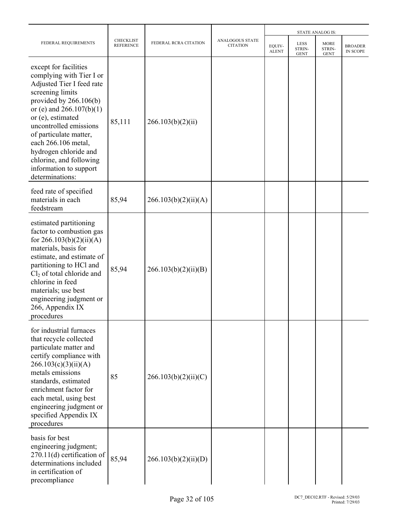|                                                                                                                                                                                                                                                                                                                                                               |                                      |                       |                                           |                        |                                             | <b>STATE ANALOG IS:</b>              |                            |
|---------------------------------------------------------------------------------------------------------------------------------------------------------------------------------------------------------------------------------------------------------------------------------------------------------------------------------------------------------------|--------------------------------------|-----------------------|-------------------------------------------|------------------------|---------------------------------------------|--------------------------------------|----------------------------|
| FEDERAL REQUIREMENTS                                                                                                                                                                                                                                                                                                                                          | <b>CHECKLIST</b><br><b>REFERENCE</b> | FEDERAL RCRA CITATION | <b>ANALOGOUS STATE</b><br><b>CITATION</b> | EQUIV-<br><b>ALENT</b> | <b>LESS</b><br><b>STRIN-</b><br><b>GENT</b> | <b>MORE</b><br>STRIN-<br><b>GENT</b> | <b>BROADER</b><br>IN SCOPE |
| except for facilities<br>complying with Tier I or<br>Adjusted Tier I feed rate<br>screening limits<br>provided by $266.106(b)$<br>or (e) and $266.107(b)(1)$<br>or (e), estimated<br>uncontrolled emissions<br>of particulate matter,<br>each 266.106 metal,<br>hydrogen chloride and<br>chlorine, and following<br>information to support<br>determinations: | 85,111                               | 266.103(b)(2)(ii)     |                                           |                        |                                             |                                      |                            |
| feed rate of specified<br>materials in each<br>feedstream                                                                                                                                                                                                                                                                                                     | 85,94                                | 266.103(b)(2)(ii)(A)  |                                           |                        |                                             |                                      |                            |
| estimated partitioning<br>factor to combustion gas<br>for $266.103(b)(2)(ii)(A)$<br>materials, basis for<br>estimate, and estimate of<br>partitioning to HCl and<br>$Cl2$ of total chloride and<br>chlorine in feed<br>materials; use best<br>engineering judgment or<br>266, Appendix IX<br>procedures                                                       | 85,94                                | 266.103(b)(2)(ii)(B)  |                                           |                        |                                             |                                      |                            |
| for industrial furnaces<br>that recycle collected<br>particulate matter and<br>certify compliance with<br>266.103(c)(3)(ii)(A)<br>metals emissions<br>standards, estimated<br>enrichment factor for<br>each metal, using best<br>engineering judgment or<br>specified Appendix IX<br>procedures                                                               | 85                                   | 266.103(b)(2)(ii)(C)  |                                           |                        |                                             |                                      |                            |
| basis for best<br>engineering judgment;<br>$270.11(d)$ certification of<br>determinations included<br>in certification of<br>precompliance                                                                                                                                                                                                                    | 85,94                                | 266.103(b)(2)(ii)(D)  |                                           |                        |                                             |                                      |                            |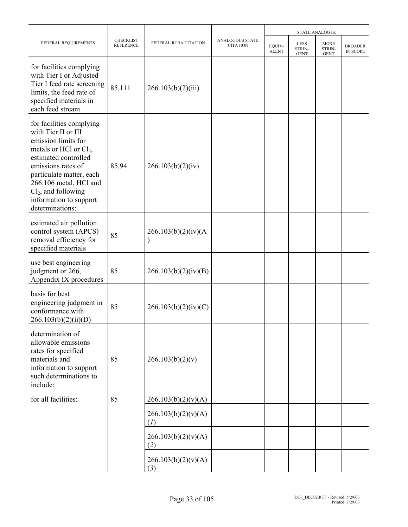|                                                                                                                                                                                                                                                                              |                                      |                                       |                                           |                        | <b>STATE ANALOG IS:</b>       |                                      |                            |
|------------------------------------------------------------------------------------------------------------------------------------------------------------------------------------------------------------------------------------------------------------------------------|--------------------------------------|---------------------------------------|-------------------------------------------|------------------------|-------------------------------|--------------------------------------|----------------------------|
| FEDERAL REQUIREMENTS                                                                                                                                                                                                                                                         | <b>CHECKLIST</b><br><b>REFERENCE</b> | FEDERAL RCRA CITATION                 | <b>ANALOGOUS STATE</b><br><b>CITATION</b> | EQUIV-<br><b>ALENT</b> | LESS<br>STRIN-<br><b>GENT</b> | <b>MORE</b><br>STRIN-<br><b>GENT</b> | <b>BROADER</b><br>IN SCOPE |
| for facilities complying<br>with Tier I or Adjusted<br>Tier I feed rate screening<br>limits, the feed rate of<br>specified materials in<br>each feed stream                                                                                                                  | 85,111                               | 266.103(b)(2)(iii)                    |                                           |                        |                               |                                      |                            |
| for facilities complying<br>with Tier II or III<br>emission limits for<br>metals or HCl or $Cl2$ ,<br>estimated controlled<br>emissions rates of<br>particulate matter, each<br>266.106 metal, HCl and<br>$Cl2$ , and following<br>information to support<br>determinations: | 85,94                                | 266.103(b)(2)(iv)                     |                                           |                        |                               |                                      |                            |
| estimated air pollution<br>control system (APCS)<br>removal efficiency for<br>specified materials                                                                                                                                                                            | 85                                   | 266.103(b)(2)(iv)(A)<br>$\mathcal{C}$ |                                           |                        |                               |                                      |                            |
| use best engineering<br>judgment or 266,<br>Appendix IX procedures                                                                                                                                                                                                           | 85                                   | 266.103(b)(2)(iv)(B)                  |                                           |                        |                               |                                      |                            |
| basis for best<br>engineering judgment in<br>conformance with<br>266.103(b)(2)(ii)(D)                                                                                                                                                                                        | 85                                   | 266.103(b)(2)(iv)(C)                  |                                           |                        |                               |                                      |                            |
| determination of<br>allowable emissions<br>rates for specified<br>materials and<br>information to support<br>such determinations to<br>include:                                                                                                                              | 85                                   | 266.103(b)(2)(v)                      |                                           |                        |                               |                                      |                            |
| for all facilities:                                                                                                                                                                                                                                                          | 85                                   | 266.103(b)(2)(v)(A)                   |                                           |                        |                               |                                      |                            |
|                                                                                                                                                                                                                                                                              |                                      | 266.103(b)(2)(v)(A)<br>(I)            |                                           |                        |                               |                                      |                            |
|                                                                                                                                                                                                                                                                              |                                      | 266.103(b)(2)(v)(A)<br>(2)            |                                           |                        |                               |                                      |                            |
|                                                                                                                                                                                                                                                                              |                                      | 266.103(b)(2)(v)(A)<br>(3)            |                                           |                        |                               |                                      |                            |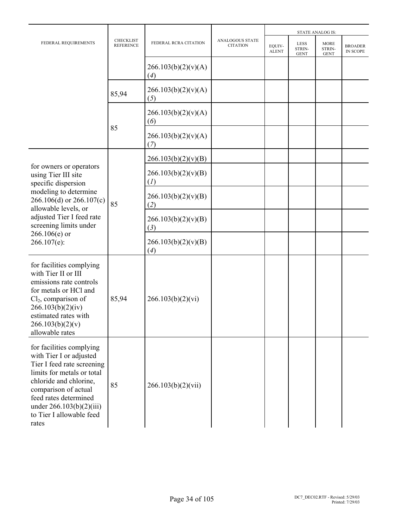|                                                                                                                                                                                                                                                               |                                      |                            |                                           | <b>STATE ANALOG IS:</b> |                                      |                                      |                            |  |
|---------------------------------------------------------------------------------------------------------------------------------------------------------------------------------------------------------------------------------------------------------------|--------------------------------------|----------------------------|-------------------------------------------|-------------------------|--------------------------------------|--------------------------------------|----------------------------|--|
| FEDERAL REQUIREMENTS                                                                                                                                                                                                                                          | <b>CHECKLIST</b><br><b>REFERENCE</b> | FEDERAL RCRA CITATION      | <b>ANALOGOUS STATE</b><br><b>CITATION</b> | EQUIV-<br><b>ALENT</b>  | <b>LESS</b><br>STRIN-<br><b>GENT</b> | <b>MORE</b><br>STRIN-<br><b>GENT</b> | <b>BROADER</b><br>IN SCOPE |  |
|                                                                                                                                                                                                                                                               |                                      | 266.103(b)(2)(v)(A)<br>(4) |                                           |                         |                                      |                                      |                            |  |
|                                                                                                                                                                                                                                                               | 85,94                                | 266.103(b)(2)(v)(A)<br>(5) |                                           |                         |                                      |                                      |                            |  |
|                                                                                                                                                                                                                                                               |                                      | 266.103(b)(2)(v)(A)<br>(6) |                                           |                         |                                      |                                      |                            |  |
|                                                                                                                                                                                                                                                               | 85                                   | 266.103(b)(2)(v)(A)<br>(7) |                                           |                         |                                      |                                      |                            |  |
|                                                                                                                                                                                                                                                               |                                      | 266.103(b)(2)(v)(B)        |                                           |                         |                                      |                                      |                            |  |
| for owners or operators<br>using Tier III site<br>specific dispersion<br>modeling to determine<br>$266.106(d)$ or $266.107(c)$<br>allowable levels, or                                                                                                        |                                      | 266.103(b)(2)(v)(B)<br>(I) |                                           |                         |                                      |                                      |                            |  |
|                                                                                                                                                                                                                                                               | 85                                   | 266.103(b)(2)(v)(B)<br>(2) |                                           |                         |                                      |                                      |                            |  |
| adjusted Tier I feed rate<br>screening limits under                                                                                                                                                                                                           |                                      | 266.103(b)(2)(v)(B)<br>(3) |                                           |                         |                                      |                                      |                            |  |
| $266.106(e)$ or<br>$266.107(e)$ :                                                                                                                                                                                                                             |                                      | 266.103(b)(2)(v)(B)<br>(4) |                                           |                         |                                      |                                      |                            |  |
| for facilities complying<br>with Tier II or III<br>emissions rate controls<br>for metals or HCl and<br>$Cl2$ , comparison of<br>266.103(b)(2)(iv)<br>estimated rates with<br>266.103(b)(2)(v)<br>allowable rates                                              | 85,94                                | 266.103(b)(2)(vi)          |                                           |                         |                                      |                                      |                            |  |
| for facilities complying<br>with Tier I or adjusted<br>Tier I feed rate screening<br>limits for metals or total<br>chloride and chlorine,<br>comparison of actual<br>feed rates determined<br>under $266.103(b)(2)(iii)$<br>to Tier I allowable feed<br>rates | 85                                   | 266.103(b)(2)(vii)         |                                           |                         |                                      |                                      |                            |  |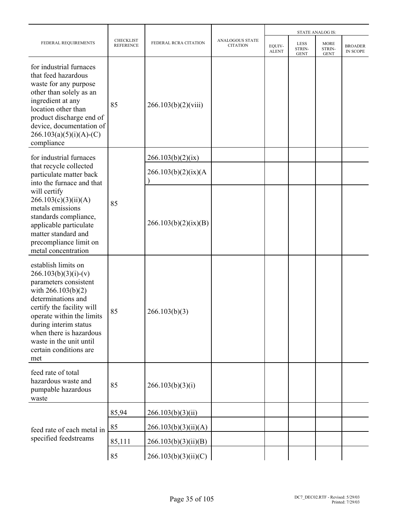|                                                                                                                                                                                                                                                                                                |                                      |                       |                                    |                        |                                      | <b>STATE ANALOG IS:</b>       |                                   |
|------------------------------------------------------------------------------------------------------------------------------------------------------------------------------------------------------------------------------------------------------------------------------------------------|--------------------------------------|-----------------------|------------------------------------|------------------------|--------------------------------------|-------------------------------|-----------------------------------|
| FEDERAL REQUIREMENTS                                                                                                                                                                                                                                                                           | <b>CHECKLIST</b><br><b>REFERENCE</b> | FEDERAL RCRA CITATION | ANALOGOUS STATE<br><b>CITATION</b> | EQUIV-<br><b>ALENT</b> | <b>LESS</b><br>STRIN-<br><b>GENT</b> | MORE<br>STRIN-<br><b>GENT</b> | <b>BROADER</b><br><b>IN SCOPE</b> |
| for industrial furnaces<br>that feed hazardous<br>waste for any purpose<br>other than solely as an<br>ingredient at any<br>location other than<br>product discharge end of<br>device, documentation of<br>$266.103(a)(5)(i)(A)-(C)$<br>compliance                                              | 85                                   | 266.103(b)(2)(viii)   |                                    |                        |                                      |                               |                                   |
| for industrial furnaces                                                                                                                                                                                                                                                                        |                                      | 266.103(b)(2)(ix)     |                                    |                        |                                      |                               |                                   |
| particulate matter back<br>into the furnace and that<br>will certify<br>266.103(c)(3)(ii)(A)<br>metals emissions<br>standards compliance,<br>applicable particulate<br>matter standard and<br>precompliance limit on<br>metal concentration                                                    |                                      | 266.103(b)(2)(ix)(A)  |                                    |                        |                                      |                               |                                   |
|                                                                                                                                                                                                                                                                                                | 85                                   | 266.103(b)(2)(ix)(B)  |                                    |                        |                                      |                               |                                   |
| establish limits on<br>$266.103(b)(3)(i)-(v)$<br>parameters consistent<br>with $266.103(b)(2)$<br>determinations and<br>certify the facility will<br>operate within the limits<br>during interim status<br>when there is hazardous<br>waste in the unit until<br>certain conditions are<br>met | 85                                   | 266.103(b)(3)         |                                    |                        |                                      |                               |                                   |
| feed rate of total<br>hazardous waste and<br>pumpable hazardous<br>waste                                                                                                                                                                                                                       | 85                                   | 266.103(b)(3)(i)      |                                    |                        |                                      |                               |                                   |
|                                                                                                                                                                                                                                                                                                | 85,94                                | 266.103(b)(3)(ii)     |                                    |                        |                                      |                               |                                   |
| that recycle collected<br>feed rate of each metal in<br>specified feedstreams                                                                                                                                                                                                                  | 85                                   | 266.103(b)(3)(ii)(A)  |                                    |                        |                                      |                               |                                   |
|                                                                                                                                                                                                                                                                                                | 85,111                               | 266.103(b)(3)(ii)(B)  |                                    |                        |                                      |                               |                                   |
|                                                                                                                                                                                                                                                                                                | 85                                   | 266.103(b)(3)(ii)(C)  |                                    |                        |                                      |                               |                                   |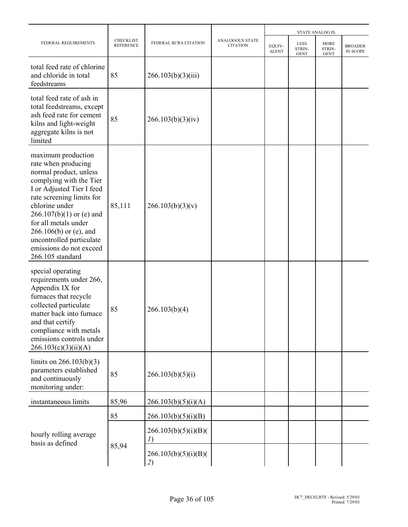|                                                                                                                                                                                                                                                                                                                                         |                                      |                            |                                           |                        |                               | <b>STATE ANALOG IS:</b>              |                                   |
|-----------------------------------------------------------------------------------------------------------------------------------------------------------------------------------------------------------------------------------------------------------------------------------------------------------------------------------------|--------------------------------------|----------------------------|-------------------------------------------|------------------------|-------------------------------|--------------------------------------|-----------------------------------|
| FEDERAL REQUIREMENTS                                                                                                                                                                                                                                                                                                                    | <b>CHECKLIST</b><br><b>REFERENCE</b> | FEDERAL RCRA CITATION      | <b>ANALOGOUS STATE</b><br><b>CITATION</b> | EQUIV-<br><b>ALENT</b> | LESS<br>STRIN-<br><b>GENT</b> | <b>MORE</b><br>STRIN-<br><b>GENT</b> | <b>BROADER</b><br><b>IN SCOPE</b> |
| total feed rate of chlorine<br>and chloride in total<br>feedstreams                                                                                                                                                                                                                                                                     | 85                                   | 266.103(b)(3)(iii)         |                                           |                        |                               |                                      |                                   |
| total feed rate of ash in<br>total feedstreams, except<br>ash feed rate for cement<br>kilns and light-weight<br>aggregate kilns is not<br>limited                                                                                                                                                                                       | 85                                   | 266.103(b)(3)(iv)          |                                           |                        |                               |                                      |                                   |
| maximum production<br>rate when producing<br>normal product, unless<br>complying with the Tier<br>I or Adjusted Tier I feed<br>rate screening limits for<br>chlorine under<br>$266.107(b)(1)$ or (e) and<br>for all metals under<br>$266.106(b)$ or (e), and<br>uncontrolled particulate<br>emissions do not exceed<br>266.105 standard | 85,111                               | 266.103(b)(3)(v)           |                                           |                        |                               |                                      |                                   |
| special operating<br>requirements under 266,<br>Appendix IX for<br>furnaces that recycle<br>collected particulate<br>matter back into furnace<br>and that certify<br>compliance with metals<br>emissions controls under<br>266.103(c)(3)(ii)(A)                                                                                         | 85                                   | 266.103(b)(4)              |                                           |                        |                               |                                      |                                   |
| limits on $266.103(b)(3)$<br>parameters established<br>and continuously<br>monitoring under:                                                                                                                                                                                                                                            | 85                                   | 266.103(b)(5)(i)           |                                           |                        |                               |                                      |                                   |
| instantaneous limits                                                                                                                                                                                                                                                                                                                    | 85,96                                | 266.103(b)(5)(i)(A)        |                                           |                        |                               |                                      |                                   |
|                                                                                                                                                                                                                                                                                                                                         | 85                                   | 266.103(b)(5)(i)(B)        |                                           |                        |                               |                                      |                                   |
| hourly rolling average<br>basis as defined                                                                                                                                                                                                                                                                                              |                                      | 266.103(b)(5)(i)(B)(<br>I) |                                           |                        |                               |                                      |                                   |
|                                                                                                                                                                                                                                                                                                                                         | 85,94                                | 266.103(b)(5)(i)(B)(<br>2) |                                           |                        |                               |                                      |                                   |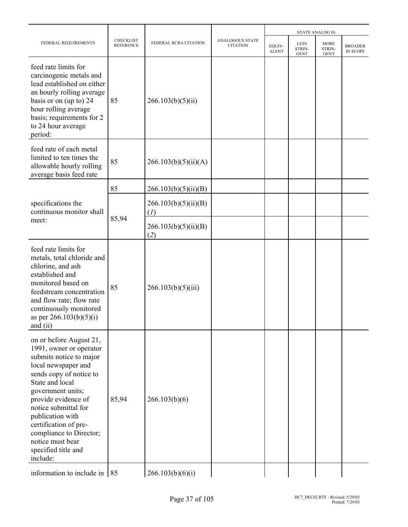|                                                                                                                                                                                                                                                                                                                                                       |                                      |                             |                                    |                        |                                      | <b>STATE ANALOG IS:</b>              |                            |
|-------------------------------------------------------------------------------------------------------------------------------------------------------------------------------------------------------------------------------------------------------------------------------------------------------------------------------------------------------|--------------------------------------|-----------------------------|------------------------------------|------------------------|--------------------------------------|--------------------------------------|----------------------------|
| FEDERAL REQUIREMENTS                                                                                                                                                                                                                                                                                                                                  | <b>CHECKLIST</b><br><b>REFERENCE</b> | FEDERAL RCRA CITATION       | ANALOGOUS STATE<br><b>CITATION</b> | EQUIV-<br><b>ALENT</b> | <b>LESS</b><br>STRIN-<br><b>GENT</b> | <b>MORE</b><br>STRIN-<br><b>GENT</b> | <b>BROADER</b><br>IN SCOPE |
| feed rate limits for<br>carcinogenic metals and<br>lead established on either<br>an hourly rolling average<br>basis or on (up to) 24<br>hour rolling average<br>basis; requirements for 2<br>to 24 hour average<br>period:                                                                                                                            | 85                                   | 266.103(b)(5)(ii)           |                                    |                        |                                      |                                      |                            |
| feed rate of each metal<br>limited to ten times the<br>allowable hourly rolling<br>average basis feed rate                                                                                                                                                                                                                                            | 85                                   | 266.103(b)(5)(ii)(A)        |                                    |                        |                                      |                                      |                            |
|                                                                                                                                                                                                                                                                                                                                                       | 85                                   | 266.103(b)(5)(ii)(B)        |                                    |                        |                                      |                                      |                            |
| specifications the<br>continuous monitor shall                                                                                                                                                                                                                                                                                                        |                                      | 266.103(b)(5)(ii)(B)<br>(I) |                                    |                        |                                      |                                      |                            |
| meet:                                                                                                                                                                                                                                                                                                                                                 | 85,94                                | 266.103(b)(5)(ii)(B)<br>(2) |                                    |                        |                                      |                                      |                            |
| feed rate limits for<br>metals, total chloride and<br>chlorine, and ash<br>established and<br>monitored based on<br>feedstream concentration<br>and flow rate; flow rate<br>continuously monitored<br>as per $266.103(b)(5)(i)$<br>and $(11)$                                                                                                         | 85                                   | 266.103(b)(5)(iii)          |                                    |                        |                                      |                                      |                            |
| on or before August 21,<br>1991, owner or operator<br>submits notice to major<br>local newspaper and<br>sends copy of notice to<br>State and local<br>government units;<br>provide evidence of<br>notice submittal for<br>publication with<br>certification of pre-<br>compliance to Director;<br>notice must bear<br>specified title and<br>include: | 85,94                                | 266.103(b)(6)               |                                    |                        |                                      |                                      |                            |
| information to include in $\vert$ 85                                                                                                                                                                                                                                                                                                                  |                                      | 266.103(b)(6)(i)            |                                    |                        |                                      |                                      |                            |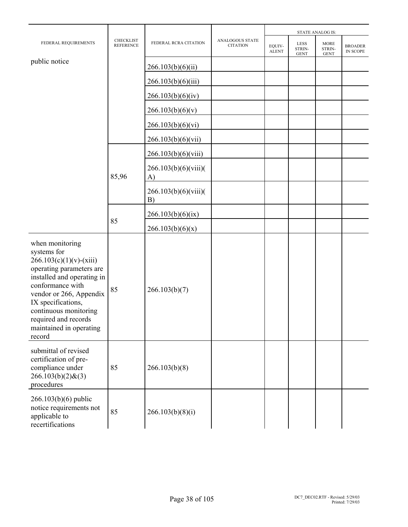|                                                                                                                                                                                                                                                                                  |                               |                            |                                           |                        |                                      | <b>STATE ANALOG IS:</b>              |                            |
|----------------------------------------------------------------------------------------------------------------------------------------------------------------------------------------------------------------------------------------------------------------------------------|-------------------------------|----------------------------|-------------------------------------------|------------------------|--------------------------------------|--------------------------------------|----------------------------|
| FEDERAL REQUIREMENTS                                                                                                                                                                                                                                                             | CHECKLIST<br><b>REFERENCE</b> | FEDERAL RCRA CITATION      | <b>ANALOGOUS STATE</b><br><b>CITATION</b> | EQUIV-<br><b>ALENT</b> | <b>LESS</b><br>STRIN-<br><b>GENT</b> | <b>MORE</b><br>STRIN-<br><b>GENT</b> | <b>BROADER</b><br>IN SCOPE |
| public notice                                                                                                                                                                                                                                                                    |                               | 266.103(b)(6)(ii)          |                                           |                        |                                      |                                      |                            |
|                                                                                                                                                                                                                                                                                  |                               | 266.103(b)(6)(iii)         |                                           |                        |                                      |                                      |                            |
|                                                                                                                                                                                                                                                                                  |                               | 266.103(b)(6)(iv)          |                                           |                        |                                      |                                      |                            |
|                                                                                                                                                                                                                                                                                  |                               | 266.103(b)(6)(v)           |                                           |                        |                                      |                                      |                            |
|                                                                                                                                                                                                                                                                                  |                               | 266.103(b)(6)(vi)          |                                           |                        |                                      |                                      |                            |
|                                                                                                                                                                                                                                                                                  |                               | 266.103(b)(6)(vii)         |                                           |                        |                                      |                                      |                            |
|                                                                                                                                                                                                                                                                                  |                               | 266.103(b)(6)(viii)        |                                           |                        |                                      |                                      |                            |
|                                                                                                                                                                                                                                                                                  | 85,96                         | 266.103(b)(6)(viii)(<br>A) |                                           |                        |                                      |                                      |                            |
|                                                                                                                                                                                                                                                                                  |                               | 266.103(b)(6)(viii)<br>B)  |                                           |                        |                                      |                                      |                            |
|                                                                                                                                                                                                                                                                                  | 85                            | 266.103(b)(6)(ix)          |                                           |                        |                                      |                                      |                            |
|                                                                                                                                                                                                                                                                                  |                               | 266.103(b)(6)(x)           |                                           |                        |                                      |                                      |                            |
| when monitoring<br>systems for<br>$266.103(c)(1)(v)-(xiii)$<br>operating parameters are<br>installed and operating in<br>conformance with<br>vendor or 266, Appendix<br>IX specifications,<br>continuous monitoring<br>required and records<br>maintained in operating<br>record | 85                            | 266.103(b)(7)              |                                           |                        |                                      |                                      |                            |
| submittal of revised<br>certification of pre-<br>compliance under<br>$266.103(b)(2)$ &(3)<br>procedures                                                                                                                                                                          | 85                            | 266.103(b)(8)              |                                           |                        |                                      |                                      |                            |
| $266.103(b)(6)$ public<br>notice requirements not<br>applicable to<br>recertifications                                                                                                                                                                                           | 85                            | 266.103(b)(8)(i)           |                                           |                        |                                      |                                      |                            |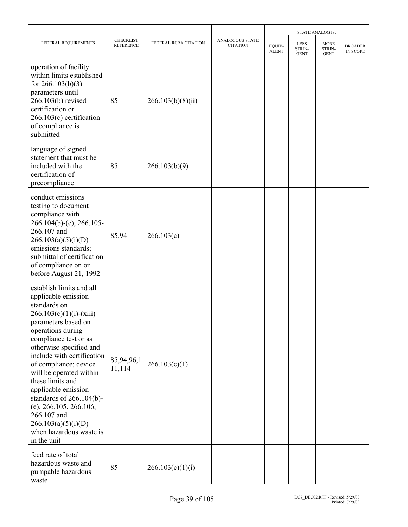|                                                                                                                                                                                                                                                                                                                                                                                                                                                                    |                                      |                       |                                           | <b>STATE ANALOG IS:</b> |                                      |                                      |                                   |  |
|--------------------------------------------------------------------------------------------------------------------------------------------------------------------------------------------------------------------------------------------------------------------------------------------------------------------------------------------------------------------------------------------------------------------------------------------------------------------|--------------------------------------|-----------------------|-------------------------------------------|-------------------------|--------------------------------------|--------------------------------------|-----------------------------------|--|
| FEDERAL REQUIREMENTS                                                                                                                                                                                                                                                                                                                                                                                                                                               | <b>CHECKLIST</b><br><b>REFERENCE</b> | FEDERAL RCRA CITATION | <b>ANALOGOUS STATE</b><br><b>CITATION</b> | EQUIV-<br><b>ALENT</b>  | <b>LESS</b><br>STRIN-<br><b>GENT</b> | <b>MORE</b><br>STRIN-<br><b>GENT</b> | <b>BROADER</b><br><b>IN SCOPE</b> |  |
| operation of facility<br>within limits established<br>for $266.103(b)(3)$<br>parameters until<br>266.103(b) revised<br>certification or<br>$266.103(c)$ certification<br>of compliance is<br>submitted                                                                                                                                                                                                                                                             | 85                                   | 266.103(b)(8)(ii)     |                                           |                         |                                      |                                      |                                   |  |
| language of signed<br>statement that must be<br>included with the<br>certification of<br>precompliance                                                                                                                                                                                                                                                                                                                                                             | 85                                   | 266.103(b)(9)         |                                           |                         |                                      |                                      |                                   |  |
| conduct emissions<br>testing to document<br>compliance with<br>$266.104(b)$ -(e), 266.105-<br>266.107 and<br>266.103(a)(5)(i)(D)<br>emissions standards;<br>submittal of certification<br>of compliance on or<br>before August 21, 1992                                                                                                                                                                                                                            | 85,94                                | 266.103(c)            |                                           |                         |                                      |                                      |                                   |  |
| establish limits and all<br>applicable emission<br>standards on<br>$266.103(c)(1)(i)-(xiii)$<br>parameters based on<br>operations during<br>compliance test or as<br>otherwise specified and<br>include with certification<br>of compliance; device<br>will be operated within<br>these limits and<br>applicable emission<br>standards of $266.104(b)$ -<br>(e), 266.105, 266.106,<br>266.107 and<br>266.103(a)(5)(i)(D)<br>when hazardous waste is<br>in the unit | 85,94,96,1<br>11,114                 | 266.103(c)(1)         |                                           |                         |                                      |                                      |                                   |  |
| feed rate of total<br>hazardous waste and<br>pumpable hazardous<br>waste                                                                                                                                                                                                                                                                                                                                                                                           | 85                                   | 266.103(c)(1)(i)      |                                           |                         |                                      |                                      |                                   |  |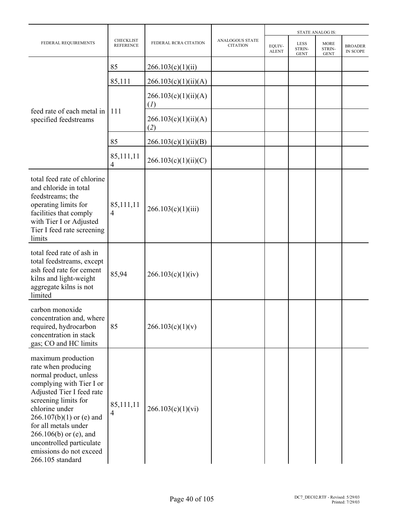|                                                                                                                                                                                                                                                                                                                                     |                                      |                             |                                           |                        |                                      | <b>STATE ANALOG IS:</b>              |                                   |
|-------------------------------------------------------------------------------------------------------------------------------------------------------------------------------------------------------------------------------------------------------------------------------------------------------------------------------------|--------------------------------------|-----------------------------|-------------------------------------------|------------------------|--------------------------------------|--------------------------------------|-----------------------------------|
| FEDERAL REQUIREMENTS                                                                                                                                                                                                                                                                                                                | <b>CHECKLIST</b><br><b>REFERENCE</b> | FEDERAL RCRA CITATION       | <b>ANALOGOUS STATE</b><br><b>CITATION</b> | EQUIV-<br><b>ALENT</b> | <b>LESS</b><br>STRIN-<br><b>GENT</b> | <b>MORE</b><br>STRIN-<br><b>GENT</b> | <b>BROADER</b><br><b>IN SCOPE</b> |
|                                                                                                                                                                                                                                                                                                                                     | 85                                   | 266.103(c)(1)(ii)           |                                           |                        |                                      |                                      |                                   |
|                                                                                                                                                                                                                                                                                                                                     | 85,111                               | 266.103(c)(1)(ii)(A)        |                                           |                        |                                      |                                      |                                   |
|                                                                                                                                                                                                                                                                                                                                     |                                      | 266.103(c)(1)(ii)(A)<br>(I) |                                           |                        |                                      |                                      |                                   |
| feed rate of each metal in<br>specified feedstreams                                                                                                                                                                                                                                                                                 | 111                                  | 266.103(c)(1)(ii)(A)<br>(2) |                                           |                        |                                      |                                      |                                   |
|                                                                                                                                                                                                                                                                                                                                     | 85                                   | 266.103(c)(1)(ii)(B)        |                                           |                        |                                      |                                      |                                   |
|                                                                                                                                                                                                                                                                                                                                     | 85,111,11<br>$\overline{4}$          | 266.103(c)(1)(ii)(C)        |                                           |                        |                                      |                                      |                                   |
| total feed rate of chlorine<br>and chloride in total<br>feedstreams; the<br>operating limits for<br>facilities that comply<br>with Tier I or Adjusted<br>Tier I feed rate screening<br>limits                                                                                                                                       | 85,111,11<br>4                       | 266.103(c)(1)(iii)          |                                           |                        |                                      |                                      |                                   |
| total feed rate of ash in<br>total feedstreams, except<br>ash feed rate for cement<br>kilns and light-weight<br>aggregate kilns is not<br>limited                                                                                                                                                                                   | 85,94                                | 266.103(c)(1)(iv)           |                                           |                        |                                      |                                      |                                   |
| carbon monoxide<br>concentration and, where<br>required, hydrocarbon<br>concentration in stack<br>gas; CO and HC limits                                                                                                                                                                                                             | 85                                   | 266.103(c)(1)(v)            |                                           |                        |                                      |                                      |                                   |
| maximum production<br>rate when producing<br>normal product, unless<br>complying with Tier I or<br>Adjusted Tier I feed rate<br>screening limits for<br>chlorine under<br>$266.107(b)(1)$ or (e) and<br>for all metals under<br>$266.106(b)$ or (e), and<br>uncontrolled particulate<br>emissions do not exceed<br>266.105 standard | 85,111,11<br>4                       | 266.103(c)(1)(vi)           |                                           |                        |                                      |                                      |                                   |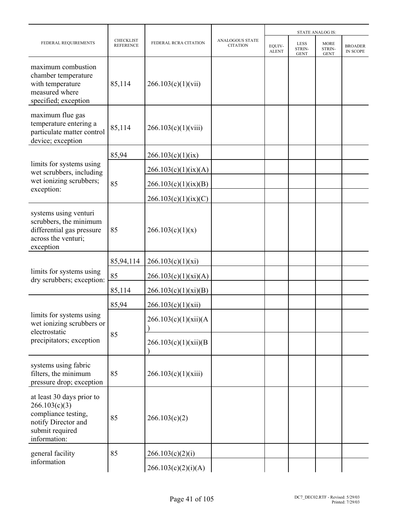|                                                                                                                             |                                      |                       |                                           |                        |                                             | <b>STATE ANALOG IS:</b>              |                                   |
|-----------------------------------------------------------------------------------------------------------------------------|--------------------------------------|-----------------------|-------------------------------------------|------------------------|---------------------------------------------|--------------------------------------|-----------------------------------|
| FEDERAL REQUIREMENTS                                                                                                        | <b>CHECKLIST</b><br><b>REFERENCE</b> | FEDERAL RCRA CITATION | <b>ANALOGOUS STATE</b><br><b>CITATION</b> | EQUIV-<br><b>ALENT</b> | <b>LESS</b><br><b>STRIN-</b><br><b>GENT</b> | <b>MORE</b><br>STRIN-<br><b>GENT</b> | <b>BROADER</b><br><b>IN SCOPE</b> |
| maximum combustion<br>chamber temperature<br>with temperature<br>measured where<br>specified; exception                     | 85,114                               | 266.103(c)(1)(vii)    |                                           |                        |                                             |                                      |                                   |
| maximum flue gas<br>temperature entering a<br>particulate matter control<br>device; exception                               | 85,114                               | 266.103(c)(1)(viii)   |                                           |                        |                                             |                                      |                                   |
|                                                                                                                             | 85,94                                | 266.103(c)(1)(ix)     |                                           |                        |                                             |                                      |                                   |
| limits for systems using<br>wet scrubbers, including                                                                        |                                      | 266.103(c)(1)(ix)(A)  |                                           |                        |                                             |                                      |                                   |
| wet ionizing scrubbers;                                                                                                     | 85                                   | 266.103(c)(1)(ix)(B)  |                                           |                        |                                             |                                      |                                   |
| exception:                                                                                                                  |                                      | 266.103(c)(1)(ix)(C)  |                                           |                        |                                             |                                      |                                   |
| systems using venturi<br>scrubbers, the minimum<br>differential gas pressure<br>across the venturi;<br>exception            | 85                                   | 266.103(c)(1)(x)      |                                           |                        |                                             |                                      |                                   |
|                                                                                                                             | 85,94,114                            | 266.103(c)(1)(xi)     |                                           |                        |                                             |                                      |                                   |
| limits for systems using<br>dry scrubbers; exception:                                                                       | 85                                   | 266.103(c)(1)(xi)(A)  |                                           |                        |                                             |                                      |                                   |
|                                                                                                                             | 85,114                               | 266.103(c)(1)(xi)(B)  |                                           |                        |                                             |                                      |                                   |
|                                                                                                                             | 85,94                                | 266.103(c)(1)(xii)    |                                           |                        |                                             |                                      |                                   |
| limits for systems using<br>wet ionizing scrubbers or<br>electrostatic                                                      |                                      | 266.103(c)(1)(xii)(A) |                                           |                        |                                             |                                      |                                   |
| precipitators; exception                                                                                                    | 85                                   | 266.103(c)(1)(xii)(B) |                                           |                        |                                             |                                      |                                   |
| systems using fabric<br>filters, the minimum<br>pressure drop; exception                                                    | 85                                   | 266.103(c)(1)(xiii)   |                                           |                        |                                             |                                      |                                   |
| at least 30 days prior to<br>266.103(c)(3)<br>compliance testing,<br>notify Director and<br>submit required<br>information: | 85                                   | 266.103(c)(2)         |                                           |                        |                                             |                                      |                                   |
| general facility                                                                                                            | 85                                   | 266.103(c)(2)(i)      |                                           |                        |                                             |                                      |                                   |
| information                                                                                                                 |                                      | 266.103(c)(2)(i)(A)   |                                           |                        |                                             |                                      |                                   |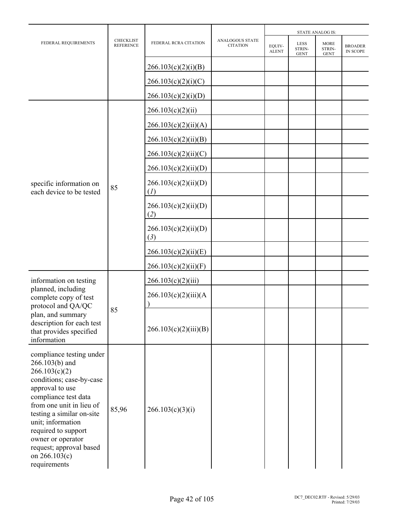|                                                                                                                                                                                                                                                                                                                          |                                      |                             | <b>STATE ANALOG IS:</b>                   |                        |                               |                                      |                            |
|--------------------------------------------------------------------------------------------------------------------------------------------------------------------------------------------------------------------------------------------------------------------------------------------------------------------------|--------------------------------------|-----------------------------|-------------------------------------------|------------------------|-------------------------------|--------------------------------------|----------------------------|
| FEDERAL REQUIREMENTS                                                                                                                                                                                                                                                                                                     | <b>CHECKLIST</b><br><b>REFERENCE</b> | FEDERAL RCRA CITATION       | <b>ANALOGOUS STATE</b><br><b>CITATION</b> | EQUIV-<br><b>ALENT</b> | LESS<br>STRIN-<br><b>GENT</b> | <b>MORE</b><br>STRIN-<br><b>GENT</b> | <b>BROADER</b><br>IN SCOPE |
|                                                                                                                                                                                                                                                                                                                          |                                      | 266.103(c)(2)(i)(B)         |                                           |                        |                               |                                      |                            |
|                                                                                                                                                                                                                                                                                                                          |                                      | 266.103(c)(2)(i)(C)         |                                           |                        |                               |                                      |                            |
|                                                                                                                                                                                                                                                                                                                          |                                      | 266.103(c)(2)(i)(D)         |                                           |                        |                               |                                      |                            |
|                                                                                                                                                                                                                                                                                                                          |                                      | 266.103(c)(2)(ii)           |                                           |                        |                               |                                      |                            |
|                                                                                                                                                                                                                                                                                                                          |                                      | 266.103(c)(2)(ii)(A)        |                                           |                        |                               |                                      |                            |
|                                                                                                                                                                                                                                                                                                                          |                                      | 266.103(c)(2)(ii)(B)        |                                           |                        |                               |                                      |                            |
|                                                                                                                                                                                                                                                                                                                          |                                      | 266.103(c)(2)(ii)(C)        |                                           |                        |                               |                                      |                            |
| specific information on<br>each device to be tested                                                                                                                                                                                                                                                                      |                                      | 266.103(c)(2)(ii)(D)        |                                           |                        |                               |                                      |                            |
|                                                                                                                                                                                                                                                                                                                          | 85                                   | 266.103(c)(2)(ii)(D)<br>(I) |                                           |                        |                               |                                      |                            |
|                                                                                                                                                                                                                                                                                                                          |                                      | 266.103(c)(2)(ii)(D)<br>(2) |                                           |                        |                               |                                      |                            |
|                                                                                                                                                                                                                                                                                                                          |                                      | 266.103(c)(2)(ii)(D)<br>(3) |                                           |                        |                               |                                      |                            |
|                                                                                                                                                                                                                                                                                                                          |                                      | 266.103(c)(2)(ii)(E)        |                                           |                        |                               |                                      |                            |
|                                                                                                                                                                                                                                                                                                                          |                                      | 266.103(c)(2)(ii)(F)        |                                           |                        |                               |                                      |                            |
| information on testing                                                                                                                                                                                                                                                                                                   |                                      | 266.103(c)(2)(iii)          |                                           |                        |                               |                                      |                            |
| planned, including<br>complete copy of test<br>protocol and QA/QC                                                                                                                                                                                                                                                        |                                      | 266.103(c)(2)(iii)(A)       |                                           |                        |                               |                                      |                            |
| plan, and summary<br>description for each test<br>that provides specified<br>information                                                                                                                                                                                                                                 | 85                                   | 266.103(c)(2)(iii)(B)       |                                           |                        |                               |                                      |                            |
| compliance testing under<br>266.103(b) and<br>266.103(c)(2)<br>conditions; case-by-case<br>approval to use<br>compliance test data<br>from one unit in lieu of<br>testing a similar on-site<br>unit; information<br>required to support<br>owner or operator<br>request; approval based<br>on 266.103(c)<br>requirements | 85,96                                | 266.103(c)(3)(i)            |                                           |                        |                               |                                      |                            |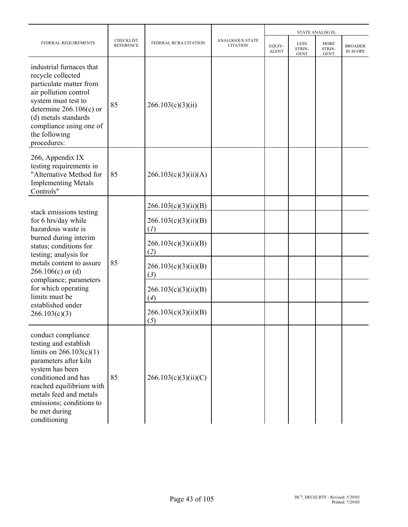|                                                                                                                                                                                                                                                                |                                      |                             |                                           |                        |                                      | <b>STATE ANALOG IS:</b>              |                                   |
|----------------------------------------------------------------------------------------------------------------------------------------------------------------------------------------------------------------------------------------------------------------|--------------------------------------|-----------------------------|-------------------------------------------|------------------------|--------------------------------------|--------------------------------------|-----------------------------------|
| FEDERAL REQUIREMENTS                                                                                                                                                                                                                                           | <b>CHECKLIST</b><br><b>REFERENCE</b> | FEDERAL RCRA CITATION       | <b>ANALOGOUS STATE</b><br><b>CITATION</b> | EQUIV-<br><b>ALENT</b> | <b>LESS</b><br>STRIN-<br><b>GENT</b> | <b>MORE</b><br>STRIN-<br><b>GENT</b> | <b>BROADER</b><br><b>IN SCOPE</b> |
| industrial furnaces that<br>recycle collected<br>particulate matter from<br>air pollution control<br>system must test to<br>determine $266.106(c)$ or<br>(d) metals standards<br>compliance using one of<br>the following<br>procedures:                       | 85                                   | 266.103(c)(3)(ii)           |                                           |                        |                                      |                                      |                                   |
| 266, Appendix IX<br>testing requirements in<br>"Alternative Method for<br><b>Implementing Metals</b><br>Controls"                                                                                                                                              | 85                                   | 266.103(c)(3)(ii)(A)        |                                           |                        |                                      |                                      |                                   |
| stack emissions testing                                                                                                                                                                                                                                        |                                      | 266.103(c)(3)(ii)(B)        |                                           |                        |                                      |                                      |                                   |
| for 6 hrs/day while<br>hazardous waste is                                                                                                                                                                                                                      |                                      | 266.103(c)(3)(ii)(B)<br>(I) |                                           |                        |                                      |                                      |                                   |
| burned during interim<br>status; conditions for<br>testing; analysis for                                                                                                                                                                                       |                                      | 266.103(c)(3)(ii)(B)<br>(2) |                                           |                        |                                      |                                      |                                   |
| metals content to assure<br>$266.106(c)$ or (d)                                                                                                                                                                                                                | 85                                   | 266.103(c)(3)(ii)(B)<br>(3) |                                           |                        |                                      |                                      |                                   |
| compliance; parameters<br>for which operating<br>limits must be                                                                                                                                                                                                |                                      | 266.103(c)(3)(ii)(B)<br>(4) |                                           |                        |                                      |                                      |                                   |
| established under<br>266.103(c)(3)                                                                                                                                                                                                                             |                                      | 266.103(c)(3)(ii)(B)<br>(5) |                                           |                        |                                      |                                      |                                   |
| conduct compliance<br>testing and establish<br>limits on $266.103(c)(1)$<br>parameters after kiln<br>system has been<br>conditioned and has<br>reached equilibrium with<br>metals feed and metals<br>emissions; conditions to<br>be met during<br>conditioning | 85                                   | 266.103(c)(3)(ii)(C)        |                                           |                        |                                      |                                      |                                   |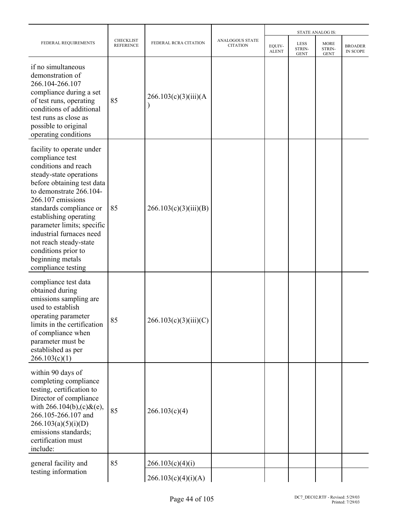|                                                                                                                                                                                                                                                                                                                                                                                         |                                      |                       |                                    |                        |                                      | <b>STATE ANALOG IS:</b>              |                            |
|-----------------------------------------------------------------------------------------------------------------------------------------------------------------------------------------------------------------------------------------------------------------------------------------------------------------------------------------------------------------------------------------|--------------------------------------|-----------------------|------------------------------------|------------------------|--------------------------------------|--------------------------------------|----------------------------|
| FEDERAL REQUIREMENTS                                                                                                                                                                                                                                                                                                                                                                    | <b>CHECKLIST</b><br><b>REFERENCE</b> | FEDERAL RCRA CITATION | ANALOGOUS STATE<br><b>CITATION</b> | EQUIV-<br><b>ALENT</b> | <b>LESS</b><br>STRIN-<br><b>GENT</b> | <b>MORE</b><br>STRIN-<br><b>GENT</b> | <b>BROADER</b><br>IN SCOPE |
| if no simultaneous<br>demonstration of<br>266.104-266.107<br>compliance during a set<br>of test runs, operating<br>conditions of additional<br>test runs as close as<br>possible to original<br>operating conditions                                                                                                                                                                    | 85                                   | 266.103(c)(3)(iii)(A) |                                    |                        |                                      |                                      |                            |
| facility to operate under<br>compliance test<br>conditions and reach<br>steady-state operations<br>before obtaining test data<br>to demonstrate 266.104-<br>266.107 emissions<br>standards compliance or<br>establishing operating<br>parameter limits; specific<br>industrial furnaces need<br>not reach steady-state<br>conditions prior to<br>beginning metals<br>compliance testing | 85                                   | 266.103(c)(3)(iii)(B) |                                    |                        |                                      |                                      |                            |
| compliance test data<br>obtained during<br>emissions sampling are<br>used to establish<br>operating parameter<br>limits in the certification<br>of compliance when<br>parameter must be<br>established as per<br>266.103(c)(1)                                                                                                                                                          | 85                                   | 266.103(c)(3)(iii)(C) |                                    |                        |                                      |                                      |                            |
| within 90 days of<br>completing compliance<br>testing, certification to<br>Director of compliance<br>with $266.104(b)$ , (c) & (e),<br>266.105-266.107 and<br>266.103(a)(5)(i)(D)<br>emissions standards;<br>certification must<br>include:                                                                                                                                             | 85                                   | 266.103(c)(4)         |                                    |                        |                                      |                                      |                            |
| general facility and                                                                                                                                                                                                                                                                                                                                                                    | 85                                   | 266.103(c)(4)(i)      |                                    |                        |                                      |                                      |                            |
| testing information                                                                                                                                                                                                                                                                                                                                                                     |                                      | 266.103(c)(4)(i)(A)   |                                    |                        |                                      |                                      |                            |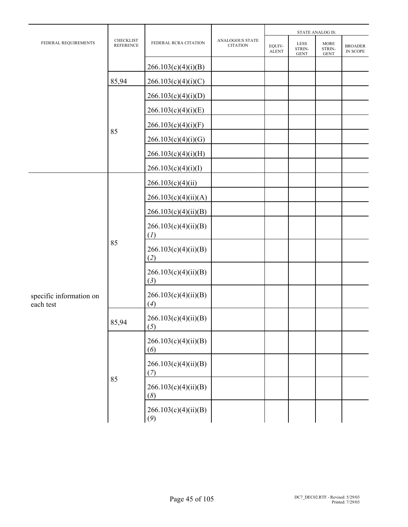| FEDERAL REQUIREMENTS                 |                                      |                             |                                    | <b>STATE ANALOG IS:</b> |                               |                                      |                            |  |
|--------------------------------------|--------------------------------------|-----------------------------|------------------------------------|-------------------------|-------------------------------|--------------------------------------|----------------------------|--|
|                                      | <b>CHECKLIST</b><br><b>REFERENCE</b> | FEDERAL RCRA CITATION       | ANALOGOUS STATE<br><b>CITATION</b> | EQUIV-<br><b>ALENT</b>  | LESS<br>STRIN-<br><b>GENT</b> | <b>MORE</b><br>STRIN-<br><b>GENT</b> | <b>BROADER</b><br>IN SCOPE |  |
|                                      |                                      | 266.103(c)(4)(i)(B)         |                                    |                         |                               |                                      |                            |  |
|                                      | 85,94                                | 266.103(c)(4)(i)(C)         |                                    |                         |                               |                                      |                            |  |
|                                      |                                      | 266.103(c)(4)(i)(D)         |                                    |                         |                               |                                      |                            |  |
|                                      |                                      | 266.103(c)(4)(i)(E)         |                                    |                         |                               |                                      |                            |  |
|                                      | 85                                   | 266.103(c)(4)(i)(F)         |                                    |                         |                               |                                      |                            |  |
|                                      |                                      | 266.103(c)(4)(i)(G)         |                                    |                         |                               |                                      |                            |  |
|                                      |                                      | 266.103(c)(4)(i)(H)         |                                    |                         |                               |                                      |                            |  |
|                                      |                                      | 266.103(c)(4)(i)(I)         |                                    |                         |                               |                                      |                            |  |
|                                      |                                      | 266.103(c)(4)(ii)           |                                    |                         |                               |                                      |                            |  |
|                                      |                                      | 266.103(c)(4)(ii)(A)        |                                    |                         |                               |                                      |                            |  |
|                                      | 85                                   | 266.103(c)(4)(ii)(B)        |                                    |                         |                               |                                      |                            |  |
|                                      |                                      | 266.103(c)(4)(ii)(B)<br>(I) |                                    |                         |                               |                                      |                            |  |
|                                      |                                      | 266.103(c)(4)(ii)(B)<br>(2) |                                    |                         |                               |                                      |                            |  |
|                                      |                                      | 266.103(c)(4)(ii)(B)<br>(3) |                                    |                         |                               |                                      |                            |  |
| specific information on<br>each test |                                      | 266.103(c)(4)(ii)(B)<br>(4) |                                    |                         |                               |                                      |                            |  |
|                                      | 85,94                                | 266.103(c)(4)(ii)(B)<br>(5) |                                    |                         |                               |                                      |                            |  |
|                                      |                                      | 266.103(c)(4)(ii)(B)<br>(6) |                                    |                         |                               |                                      |                            |  |
|                                      |                                      | 266.103(c)(4)(ii)(B)<br>(7) |                                    |                         |                               |                                      |                            |  |
|                                      | 85                                   | 266.103(c)(4)(ii)(B)<br>(8) |                                    |                         |                               |                                      |                            |  |
|                                      |                                      | 266.103(c)(4)(ii)(B)<br>(9) |                                    |                         |                               |                                      |                            |  |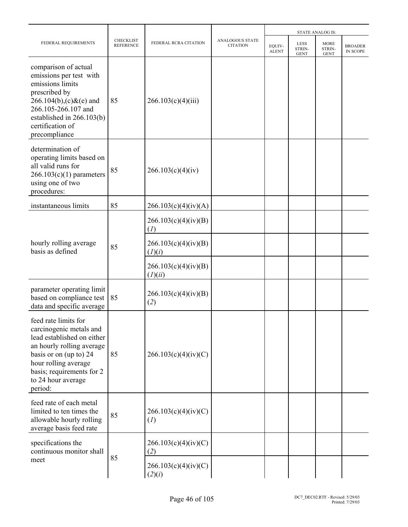|                                                                                                                                                                                                                            |                                      |                                 |                                    |                        |                                             | <b>STATE ANALOG IS:</b>              |                                   |
|----------------------------------------------------------------------------------------------------------------------------------------------------------------------------------------------------------------------------|--------------------------------------|---------------------------------|------------------------------------|------------------------|---------------------------------------------|--------------------------------------|-----------------------------------|
| FEDERAL REQUIREMENTS                                                                                                                                                                                                       | <b>CHECKLIST</b><br><b>REFERENCE</b> | FEDERAL RCRA CITATION           | ANALOGOUS STATE<br><b>CITATION</b> | EQUIV-<br><b>ALENT</b> | <b>LESS</b><br><b>STRIN-</b><br><b>GENT</b> | <b>MORE</b><br>STRIN-<br><b>GENT</b> | <b>BROADER</b><br><b>IN SCOPE</b> |
| comparison of actual<br>emissions per test with<br>emissions limits<br>prescribed by<br>$266.104(b)$ , (c) & (e) and<br>266.105-266.107 and<br>established in 266.103(b)<br>certification of<br>precompliance              | 85                                   | 266.103(c)(4)(iii)              |                                    |                        |                                             |                                      |                                   |
| determination of<br>operating limits based on<br>all valid runs for<br>$266.103(c)(1)$ parameters<br>using one of two<br>procedures:                                                                                       | 85                                   | 266.103(c)(4)(iv)               |                                    |                        |                                             |                                      |                                   |
| instantaneous limits                                                                                                                                                                                                       | 85                                   | 266.103(c)(4)(iv)(A)            |                                    |                        |                                             |                                      |                                   |
|                                                                                                                                                                                                                            | 85                                   | 266.103(c)(4)(iv)(B)<br>(I)     |                                    |                        |                                             |                                      |                                   |
| hourly rolling average<br>basis as defined                                                                                                                                                                                 |                                      | 266.103(c)(4)(iv)(B)<br>(I)(i)  |                                    |                        |                                             |                                      |                                   |
|                                                                                                                                                                                                                            |                                      | 266.103(c)(4)(iv)(B)<br>(I)(ii) |                                    |                        |                                             |                                      |                                   |
| parameter operating limit<br>based on compliance test<br>data and specific average                                                                                                                                         | 85                                   | 266.103(c)(4)(iv)(B)<br>(2)     |                                    |                        |                                             |                                      |                                   |
| feed rate limits for<br>carcinogenic metals and<br>lead established on either<br>an hourly rolling average<br>basis or on (up to) 24<br>hour rolling average<br>basis; requirements for 2<br>to 24 hour average<br>period: | 85                                   | 266.103(c)(4)(iv)(C)            |                                    |                        |                                             |                                      |                                   |
| feed rate of each metal<br>limited to ten times the<br>allowable hourly rolling<br>average basis feed rate                                                                                                                 | 85                                   | 266.103(c)(4)(iv)(C)<br>(I)     |                                    |                        |                                             |                                      |                                   |
| specifications the<br>continuous monitor shall                                                                                                                                                                             |                                      | 266.103(c)(4)(iv)(C)<br>(2)     |                                    |                        |                                             |                                      |                                   |
| meet                                                                                                                                                                                                                       | 85                                   | 266.103(c)(4)(iv)(C)<br>(2)(i)  |                                    |                        |                                             |                                      |                                   |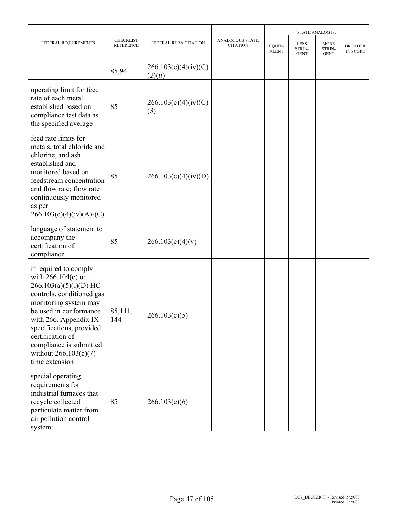|                                                                                                                                                                                                                                                                                                            |                                      |                                 |                                    |                        |                               | <b>STATE ANALOG IS:</b>              |                            |
|------------------------------------------------------------------------------------------------------------------------------------------------------------------------------------------------------------------------------------------------------------------------------------------------------------|--------------------------------------|---------------------------------|------------------------------------|------------------------|-------------------------------|--------------------------------------|----------------------------|
| FEDERAL REQUIREMENTS                                                                                                                                                                                                                                                                                       | <b>CHECKLIST</b><br><b>REFERENCE</b> | FEDERAL RCRA CITATION           | ANALOGOUS STATE<br><b>CITATION</b> | EQUIV-<br><b>ALENT</b> | LESS<br>STRIN-<br><b>GENT</b> | <b>MORE</b><br>STRIN-<br><b>GENT</b> | <b>BROADER</b><br>IN SCOPE |
|                                                                                                                                                                                                                                                                                                            | 85,94                                | 266.103(c)(4)(iv)(C)<br>(2)(ii) |                                    |                        |                               |                                      |                            |
| operating limit for feed<br>rate of each metal<br>established based on<br>compliance test data as<br>the specified average                                                                                                                                                                                 | 85                                   | 266.103(c)(4)(iv)(C)<br>(3)     |                                    |                        |                               |                                      |                            |
| feed rate limits for<br>metals, total chloride and<br>chlorine, and ash<br>established and<br>monitored based on<br>feedstream concentration<br>and flow rate; flow rate<br>continuously monitored<br>as per<br>$266.103(c)(4)(iv)(A)-(C)$                                                                 | 85                                   | 266.103(c)(4)(iv)(D)            |                                    |                        |                               |                                      |                            |
| language of statement to<br>accompany the<br>certification of<br>compliance                                                                                                                                                                                                                                | 85                                   | 266.103(c)(4)(v)                |                                    |                        |                               |                                      |                            |
| if required to comply<br>with $266.104(c)$ or<br>$266.103(a)(5)(i)(D)$ HC<br>controls, conditioned gas<br>monitoring system may<br>be used in conformance<br>with 266, Appendix IX<br>specifications, provided<br>certification of<br>compliance is submitted<br>without $266.103(c)(7)$<br>time extension | 85,111,<br>144                       | 266.103(c)(5)                   |                                    |                        |                               |                                      |                            |
| special operating<br>requirements for<br>industrial furnaces that<br>recycle collected<br>particulate matter from<br>air pollution control<br>system:                                                                                                                                                      | 85                                   | 266.103(c)(6)                   |                                    |                        |                               |                                      |                            |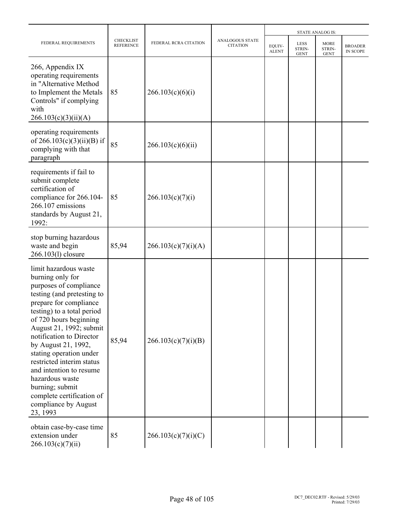|                                                                                                                                                                                                                                                                                                                                                                                                                                                             |                                      |                       |                                           |                        |                                      | <b>STATE ANALOG IS:</b>              |                            |  |
|-------------------------------------------------------------------------------------------------------------------------------------------------------------------------------------------------------------------------------------------------------------------------------------------------------------------------------------------------------------------------------------------------------------------------------------------------------------|--------------------------------------|-----------------------|-------------------------------------------|------------------------|--------------------------------------|--------------------------------------|----------------------------|--|
| FEDERAL REQUIREMENTS                                                                                                                                                                                                                                                                                                                                                                                                                                        | <b>CHECKLIST</b><br><b>REFERENCE</b> | FEDERAL RCRA CITATION | <b>ANALOGOUS STATE</b><br><b>CITATION</b> | EQUIV-<br><b>ALENT</b> | <b>LESS</b><br>STRIN-<br><b>GENT</b> | <b>MORE</b><br>STRIN-<br><b>GENT</b> | <b>BROADER</b><br>IN SCOPE |  |
| 266, Appendix IX<br>operating requirements<br>in "Alternative Method<br>to Implement the Metals<br>Controls" if complying<br>with<br>266.103(c)(3)(ii)(A)                                                                                                                                                                                                                                                                                                   | 85                                   | 266.103(c)(6)(i)      |                                           |                        |                                      |                                      |                            |  |
| operating requirements<br>of $266.103(c)(3)(ii)(B)$ if<br>complying with that<br>paragraph                                                                                                                                                                                                                                                                                                                                                                  | 85                                   | 266.103(c)(6)(ii)     |                                           |                        |                                      |                                      |                            |  |
| requirements if fail to<br>submit complete<br>certification of<br>compliance for 266.104-<br>266.107 emissions<br>standards by August 21,<br>1992:                                                                                                                                                                                                                                                                                                          | 85                                   | 266.103(c)(7)(i)      |                                           |                        |                                      |                                      |                            |  |
| stop burning hazardous<br>waste and begin<br>266.103(l) closure                                                                                                                                                                                                                                                                                                                                                                                             | 85,94                                | 266.103(c)(7)(i)(A)   |                                           |                        |                                      |                                      |                            |  |
| limit hazardous waste<br>burning only for<br>purposes of compliance<br>testing (and pretesting to<br>prepare for compliance<br>testing) to a total period<br>of 720 hours beginning<br>August 21, 1992; submit<br>notification to Director<br>by August 21, 1992,<br>stating operation under<br>restricted interim status<br>and intention to resume<br>hazardous waste<br>burning; submit<br>complete certification of<br>compliance by August<br>23, 1993 | 85,94                                | 266.103(c)(7)(i)(B)   |                                           |                        |                                      |                                      |                            |  |
| obtain case-by-case time<br>extension under<br>266.103(c)(7)(ii)                                                                                                                                                                                                                                                                                                                                                                                            | 85                                   | 266.103(c)(7)(i)(C)   |                                           |                        |                                      |                                      |                            |  |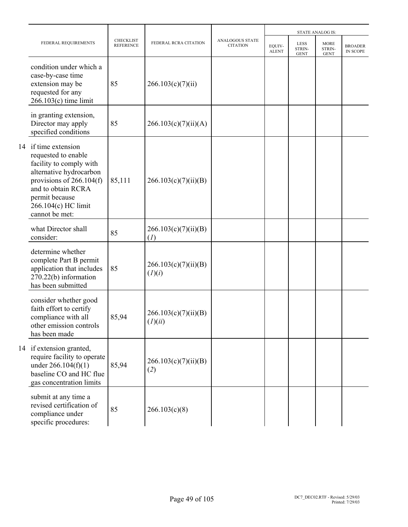|                                                                                                                                                                                                                  |                                      |                                 |                                    |                        |                                      | <b>STATE ANALOG IS:</b>              |                                   |
|------------------------------------------------------------------------------------------------------------------------------------------------------------------------------------------------------------------|--------------------------------------|---------------------------------|------------------------------------|------------------------|--------------------------------------|--------------------------------------|-----------------------------------|
| FEDERAL REQUIREMENTS                                                                                                                                                                                             | <b>CHECKLIST</b><br><b>REFERENCE</b> | FEDERAL RCRA CITATION           | ANALOGOUS STATE<br><b>CITATION</b> | EQUIV-<br><b>ALENT</b> | <b>LESS</b><br>STRIN-<br><b>GENT</b> | <b>MORE</b><br>STRIN-<br><b>GENT</b> | <b>BROADER</b><br><b>IN SCOPE</b> |
| condition under which a<br>case-by-case time<br>extension may be<br>requested for any<br>$266.103(c)$ time limit                                                                                                 | 85                                   | 266.103(c)(7)(ii)               |                                    |                        |                                      |                                      |                                   |
| in granting extension,<br>Director may apply<br>specified conditions                                                                                                                                             | 85                                   | 266.103(c)(7)(ii)(A)            |                                    |                        |                                      |                                      |                                   |
| 14 if time extension<br>requested to enable<br>facility to comply with<br>alternative hydrocarbon<br>provisions of $266.104(f)$<br>and to obtain RCRA<br>permit because<br>266.104(c) HC limit<br>cannot be met: | 85,111                               | 266.103(c)(7)(ii)(B)            |                                    |                        |                                      |                                      |                                   |
| what Director shall<br>consider:                                                                                                                                                                                 | 85                                   | 266.103(c)(7)(ii)(B)<br>(I)     |                                    |                        |                                      |                                      |                                   |
| determine whether<br>complete Part B permit<br>application that includes<br>270.22(b) information<br>has been submitted                                                                                          | 85                                   | 266.103(c)(7)(ii)(B)<br>(I)(i)  |                                    |                        |                                      |                                      |                                   |
| consider whether good<br>faith effort to certify<br>compliance with all<br>other emission controls<br>has been made                                                                                              | 85,94                                | 266.103(c)(7)(ii)(B)<br>(I)(ii) |                                    |                        |                                      |                                      |                                   |
| 14 if extension granted,<br>require facility to operate<br>under $266.104(f)(1)$<br>baseline CO and HC flue<br>gas concentration limits                                                                          | 85,94                                | 266.103(c)(7)(ii)(B)<br>(2)     |                                    |                        |                                      |                                      |                                   |
| submit at any time a<br>revised certification of<br>compliance under<br>specific procedures:                                                                                                                     | 85                                   | 266.103(c)(8)                   |                                    |                        |                                      |                                      |                                   |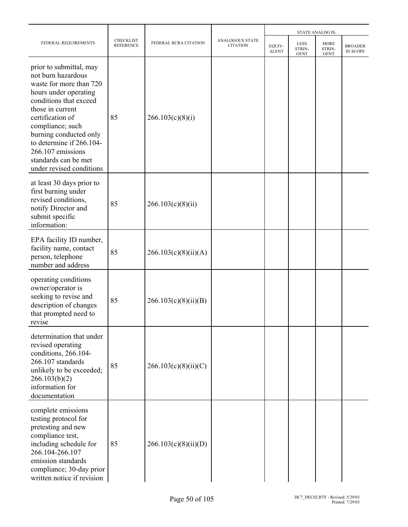|                                                                                                                                                                                                                                                                                                                        |                                      |                       |                                           | <b>STATE ANALOG IS:</b> |                                      |                                      |                                   |  |
|------------------------------------------------------------------------------------------------------------------------------------------------------------------------------------------------------------------------------------------------------------------------------------------------------------------------|--------------------------------------|-----------------------|-------------------------------------------|-------------------------|--------------------------------------|--------------------------------------|-----------------------------------|--|
| FEDERAL REQUIREMENTS                                                                                                                                                                                                                                                                                                   | <b>CHECKLIST</b><br><b>REFERENCE</b> | FEDERAL RCRA CITATION | <b>ANALOGOUS STATE</b><br><b>CITATION</b> | EQUIV-<br><b>ALENT</b>  | <b>LESS</b><br>STRIN-<br><b>GENT</b> | <b>MORE</b><br>STRIN-<br><b>GENT</b> | <b>BROADER</b><br><b>IN SCOPE</b> |  |
| prior to submittal, may<br>not burn hazardous<br>waste for more than 720<br>hours under operating<br>conditions that exceed<br>those in current<br>certification of<br>compliance; such<br>burning conducted only<br>to determine if 266.104-<br>266.107 emissions<br>standards can be met<br>under revised conditions | 85                                   | 266.103(c)(8)(i)      |                                           |                         |                                      |                                      |                                   |  |
| at least 30 days prior to<br>first burning under<br>revised conditions,<br>notify Director and<br>submit specific<br>information:                                                                                                                                                                                      | 85                                   | 266.103(c)(8)(ii)     |                                           |                         |                                      |                                      |                                   |  |
| EPA facility ID number,<br>facility name, contact<br>person, telephone<br>number and address                                                                                                                                                                                                                           | 85                                   | 266.103(c)(8)(ii)(A)  |                                           |                         |                                      |                                      |                                   |  |
| operating conditions<br>owner/operator is<br>seeking to revise and<br>description of changes<br>that prompted need to<br>revise                                                                                                                                                                                        | 85                                   | 266.103(c)(8)(ii)(B)  |                                           |                         |                                      |                                      |                                   |  |
| determination that under<br>revised operating<br>conditions, 266.104-<br>266.107 standards<br>unlikely to be exceeded;<br>266.103(b)(2)<br>information for<br>documentation                                                                                                                                            | 85                                   | 266.103(c)(8)(ii)(C)  |                                           |                         |                                      |                                      |                                   |  |
| complete emissions<br>testing protocol for<br>pretesting and new<br>compliance test,<br>including schedule for<br>266.104-266.107<br>emission standards<br>compliance; 30-day prior<br>written notice if revision                                                                                                      | 85                                   | 266.103(c)(8)(ii)(D)  |                                           |                         |                                      |                                      |                                   |  |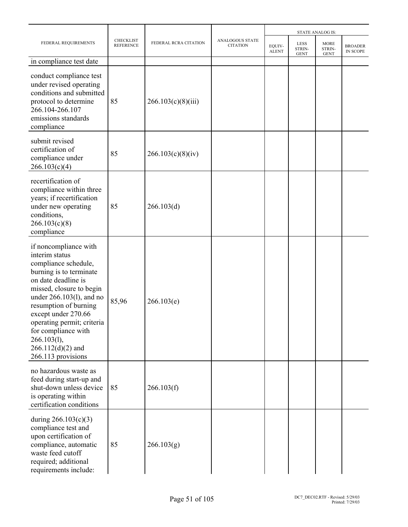|                                                                                                                                                                                                                                                                                                                                               |                                      |                       |                                           | <b>STATE ANALOG IS:</b> |                                      |                                      |                            |  |
|-----------------------------------------------------------------------------------------------------------------------------------------------------------------------------------------------------------------------------------------------------------------------------------------------------------------------------------------------|--------------------------------------|-----------------------|-------------------------------------------|-------------------------|--------------------------------------|--------------------------------------|----------------------------|--|
| FEDERAL REQUIREMENTS                                                                                                                                                                                                                                                                                                                          | <b>CHECKLIST</b><br><b>REFERENCE</b> | FEDERAL RCRA CITATION | <b>ANALOGOUS STATE</b><br><b>CITATION</b> | EQUIV-<br><b>ALENT</b>  | <b>LESS</b><br>STRIN-<br><b>GENT</b> | <b>MORE</b><br>STRIN-<br><b>GENT</b> | <b>BROADER</b><br>IN SCOPE |  |
| in compliance test date                                                                                                                                                                                                                                                                                                                       |                                      |                       |                                           |                         |                                      |                                      |                            |  |
| conduct compliance test<br>under revised operating<br>conditions and submitted<br>protocol to determine<br>266.104-266.107<br>emissions standards<br>compliance                                                                                                                                                                               | 85                                   | 266.103(c)(8)(iii)    |                                           |                         |                                      |                                      |                            |  |
| submit revised<br>certification of<br>compliance under<br>266.103(c)(4)                                                                                                                                                                                                                                                                       | 85                                   | 266.103(c)(8)(iv)     |                                           |                         |                                      |                                      |                            |  |
| recertification of<br>compliance within three<br>years; if recertification<br>under new operating<br>conditions,<br>266.103(c)(8)<br>compliance                                                                                                                                                                                               | 85                                   | 266.103(d)            |                                           |                         |                                      |                                      |                            |  |
| if noncompliance with<br>interim status<br>compliance schedule,<br>burning is to terminate<br>on date deadline is<br>missed, closure to begin<br>under 266.103(1), and no<br>resumption of burning<br>except under 270.66<br>operating permit; criteria<br>for compliance with<br>$266.103(l)$ ,<br>$266.112(d)(2)$ and<br>266.113 provisions | 85,96                                | 266.103(e)            |                                           |                         |                                      |                                      |                            |  |
| no hazardous waste as<br>feed during start-up and<br>shut-down unless device<br>is operating within<br>certification conditions                                                                                                                                                                                                               | 85                                   | 266.103(f)            |                                           |                         |                                      |                                      |                            |  |
| during $266.103(c)(3)$<br>compliance test and<br>upon certification of<br>compliance, automatic<br>waste feed cutoff<br>required; additional<br>requirements include:                                                                                                                                                                         | 85                                   | 266.103(g)            |                                           |                         |                                      |                                      |                            |  |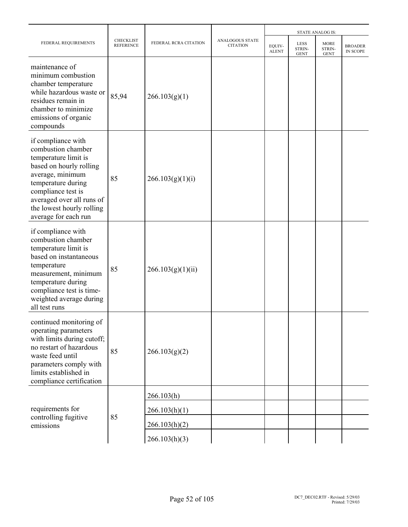| FEDERAL REQUIREMENTS                                                                                                                                                                                                                          |                                      |                       |                                           | <b>STATE ANALOG IS:</b> |                                      |                                      |                            |  |
|-----------------------------------------------------------------------------------------------------------------------------------------------------------------------------------------------------------------------------------------------|--------------------------------------|-----------------------|-------------------------------------------|-------------------------|--------------------------------------|--------------------------------------|----------------------------|--|
|                                                                                                                                                                                                                                               | <b>CHECKLIST</b><br><b>REFERENCE</b> | FEDERAL RCRA CITATION | <b>ANALOGOUS STATE</b><br><b>CITATION</b> | EQUIV-<br><b>ALENT</b>  | <b>LESS</b><br>STRIN-<br><b>GENT</b> | <b>MORE</b><br>STRIN-<br><b>GENT</b> | <b>BROADER</b><br>IN SCOPE |  |
| maintenance of<br>minimum combustion<br>chamber temperature<br>while hazardous waste or<br>residues remain in<br>chamber to minimize<br>emissions of organic<br>compounds                                                                     | 85,94                                | 266.103(g)(1)         |                                           |                         |                                      |                                      |                            |  |
| if compliance with<br>combustion chamber<br>temperature limit is<br>based on hourly rolling<br>average, minimum<br>temperature during<br>compliance test is<br>averaged over all runs of<br>the lowest hourly rolling<br>average for each run | 85                                   | 266.103(g)(1)(i)      |                                           |                         |                                      |                                      |                            |  |
| if compliance with<br>combustion chamber<br>temperature limit is<br>based on instantaneous<br>temperature<br>measurement, minimum<br>temperature during<br>compliance test is time-<br>weighted average during<br>all test runs               | 85                                   | 266.103(g)(1)(ii)     |                                           |                         |                                      |                                      |                            |  |
| continued monitoring of<br>operating parameters<br>with limits during cutoff;<br>no restart of hazardous<br>waste feed until<br>parameters comply with<br>limits established in<br>compliance certification                                   | 85                                   | 266.103(g)(2)         |                                           |                         |                                      |                                      |                            |  |
|                                                                                                                                                                                                                                               |                                      | 266.103(h)            |                                           |                         |                                      |                                      |                            |  |
| requirements for                                                                                                                                                                                                                              |                                      | 266.103(h)(1)         |                                           |                         |                                      |                                      |                            |  |
| controlling fugitive<br>emissions                                                                                                                                                                                                             | 85                                   | 266.103(h)(2)         |                                           |                         |                                      |                                      |                            |  |
|                                                                                                                                                                                                                                               |                                      | 266.103(h)(3)         |                                           |                         |                                      |                                      |                            |  |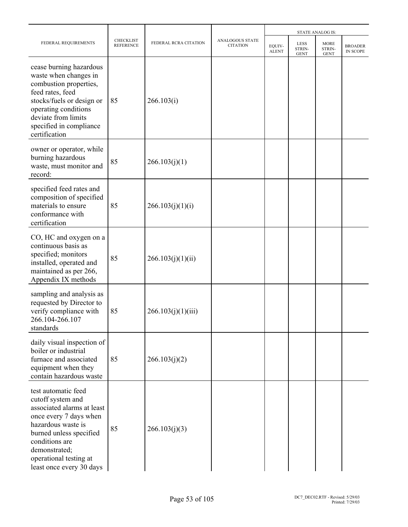|                                                                                                                                                                                                                                            |                                      |                       |                                           |                        | <b>STATE ANALOG IS:</b>              |                               |                                   |  |  |
|--------------------------------------------------------------------------------------------------------------------------------------------------------------------------------------------------------------------------------------------|--------------------------------------|-----------------------|-------------------------------------------|------------------------|--------------------------------------|-------------------------------|-----------------------------------|--|--|
| FEDERAL REQUIREMENTS                                                                                                                                                                                                                       | <b>CHECKLIST</b><br><b>REFERENCE</b> | FEDERAL RCRA CITATION | <b>ANALOGOUS STATE</b><br><b>CITATION</b> | EQUIV-<br><b>ALENT</b> | <b>LESS</b><br>STRIN-<br><b>GENT</b> | MORE<br>STRIN-<br><b>GENT</b> | <b>BROADER</b><br><b>IN SCOPE</b> |  |  |
| cease burning hazardous<br>waste when changes in<br>combustion properties,<br>feed rates, feed<br>stocks/fuels or design or<br>operating conditions<br>deviate from limits<br>specified in compliance<br>certification                     | 85                                   | 266.103(i)            |                                           |                        |                                      |                               |                                   |  |  |
| owner or operator, while<br>burning hazardous<br>waste, must monitor and<br>record:                                                                                                                                                        | 85                                   | 266.103(j)(1)         |                                           |                        |                                      |                               |                                   |  |  |
| specified feed rates and<br>composition of specified<br>materials to ensure<br>conformance with<br>certification                                                                                                                           | 85                                   | 266.103(j)(1)(i)      |                                           |                        |                                      |                               |                                   |  |  |
| CO, HC and oxygen on a<br>continuous basis as<br>specified; monitors<br>installed, operated and<br>maintained as per 266,<br>Appendix IX methods                                                                                           | 85                                   | 266.103(j)(1)(ii)     |                                           |                        |                                      |                               |                                   |  |  |
| sampling and analysis as<br>requested by Director to<br>verify compliance with<br>266.104-266.107<br>standards                                                                                                                             | 85                                   | 266.103(j)(1)(iii)    |                                           |                        |                                      |                               |                                   |  |  |
| daily visual inspection of<br>boiler or industrial<br>furnace and associated<br>equipment when they<br>contain hazardous waste                                                                                                             | 85                                   | 266.103(j)(2)         |                                           |                        |                                      |                               |                                   |  |  |
| test automatic feed<br>cutoff system and<br>associated alarms at least<br>once every 7 days when<br>hazardous waste is<br>burned unless specified<br>conditions are<br>demonstrated;<br>operational testing at<br>least once every 30 days | 85                                   | 266.103(j)(3)         |                                           |                        |                                      |                               |                                   |  |  |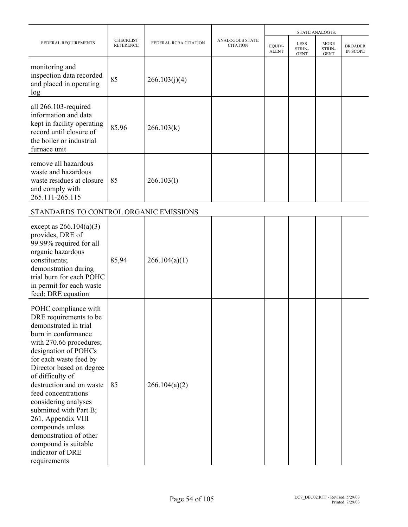|                                                                                                                                                                                                                                                                                                                                                                                                                                                                  |                                      |                       |                                           |                        |                               | <b>STATE ANALOG IS:</b>              |                            |
|------------------------------------------------------------------------------------------------------------------------------------------------------------------------------------------------------------------------------------------------------------------------------------------------------------------------------------------------------------------------------------------------------------------------------------------------------------------|--------------------------------------|-----------------------|-------------------------------------------|------------------------|-------------------------------|--------------------------------------|----------------------------|
| FEDERAL REQUIREMENTS                                                                                                                                                                                                                                                                                                                                                                                                                                             | <b>CHECKLIST</b><br><b>REFERENCE</b> | FEDERAL RCRA CITATION | <b>ANALOGOUS STATE</b><br><b>CITATION</b> | EQUIV-<br><b>ALENT</b> | LESS<br>STRIN-<br><b>GENT</b> | <b>MORE</b><br>STRIN-<br><b>GENT</b> | <b>BROADER</b><br>IN SCOPE |
| monitoring and<br>inspection data recorded<br>and placed in operating<br>log                                                                                                                                                                                                                                                                                                                                                                                     | 85                                   | 266.103(j)(4)         |                                           |                        |                               |                                      |                            |
| all 266.103-required<br>information and data<br>kept in facility operating<br>record until closure of<br>the boiler or industrial<br>furnace unit                                                                                                                                                                                                                                                                                                                | 85,96                                | 266.103(k)            |                                           |                        |                               |                                      |                            |
| remove all hazardous<br>waste and hazardous<br>waste residues at closure<br>and comply with<br>265.111-265.115                                                                                                                                                                                                                                                                                                                                                   | 85                                   | 266.103(l)            |                                           |                        |                               |                                      |                            |
| STANDARDS TO CONTROL ORGANIC EMISSIONS                                                                                                                                                                                                                                                                                                                                                                                                                           |                                      |                       |                                           |                        |                               |                                      |                            |
| except as $266.104(a)(3)$<br>provides, DRE of<br>99.99% required for all<br>organic hazardous<br>constituents;<br>demonstration during<br>trial burn for each POHC<br>in permit for each waste<br>feed; DRE equation                                                                                                                                                                                                                                             | 85,94                                | 266.104(a)(1)         |                                           |                        |                               |                                      |                            |
| POHC compliance with<br>DRE requirements to be<br>demonstrated in trial<br>burn in conformance<br>with 270.66 procedures;<br>designation of POHCs<br>for each waste feed by<br>Director based on degree<br>of difficulty of<br>destruction and on waste<br>feed concentrations<br>considering analyses<br>submitted with Part B;<br>261, Appendix VIII<br>compounds unless<br>demonstration of other<br>compound is suitable<br>indicator of DRE<br>requirements | 85                                   | 266.104(a)(2)         |                                           |                        |                               |                                      |                            |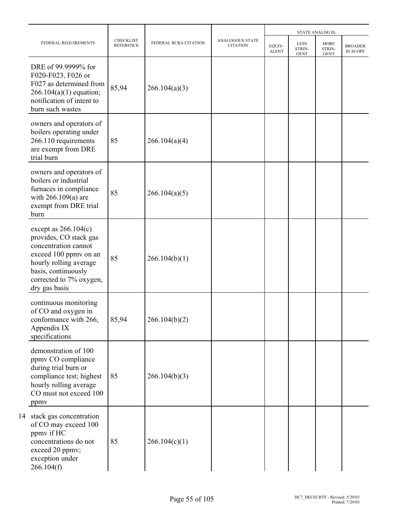|                                                                                                                                                                                                |                                      |                       |                                    |                        |                                      | <b>STATE ANALOG IS:</b>              |                            |
|------------------------------------------------------------------------------------------------------------------------------------------------------------------------------------------------|--------------------------------------|-----------------------|------------------------------------|------------------------|--------------------------------------|--------------------------------------|----------------------------|
| FEDERAL REQUIREMENTS                                                                                                                                                                           | <b>CHECKLIST</b><br><b>REFERENCE</b> | FEDERAL RCRA CITATION | ANALOGOUS STATE<br><b>CITATION</b> | EQUIV-<br><b>ALENT</b> | <b>LESS</b><br>STRIN-<br><b>GENT</b> | <b>MORE</b><br>STRIN-<br><b>GENT</b> | <b>BROADER</b><br>IN SCOPE |
| DRE of 99.9999% for<br>F020-F023, F026 or<br>F027 as determined from<br>$266.104(a)(1)$ equation;<br>notification of intent to<br>burn such wastes                                             | 85,94                                | 266.104(a)(3)         |                                    |                        |                                      |                                      |                            |
| owners and operators of<br>boilers operating under<br>266.110 requirements<br>are exempt from DRE<br>trial burn                                                                                | 85                                   | 266.104(a)(4)         |                                    |                        |                                      |                                      |                            |
| owners and operators of<br>boilers or industrial<br>furnaces in compliance<br>with $266.109(a)$ are<br>exempt from DRE trial<br>burn                                                           | 85                                   | 266.104(a)(5)         |                                    |                        |                                      |                                      |                            |
| except as $266.104(c)$<br>provides, CO stack gas<br>concentration cannot<br>exceed 100 ppmv on an<br>hourly rolling average<br>basis, continuously<br>corrected to 7% oxygen,<br>dry gas basis | 85                                   | 266.104(b)(1)         |                                    |                        |                                      |                                      |                            |
| continuous monitoring<br>of CO and oxygen in<br>conformance with 266,<br>Appendix IX<br>specifications                                                                                         | 85,94                                | 266.104(b)(2)         |                                    |                        |                                      |                                      |                            |
| demonstration of 100<br>ppmv CO compliance<br>during trial burn or<br>compliance test; highest<br>hourly rolling average<br>CO must not exceed 100<br>ppmy                                     | 85                                   | 266.104(b)(3)         |                                    |                        |                                      |                                      |                            |
| 14 stack gas concentration<br>of CO may exceed 100<br>ppmy if HC<br>concentrations do not<br>exceed 20 ppmv;<br>exception under<br>266.104(f)                                                  | 85                                   | 266.104(c)(1)         |                                    |                        |                                      |                                      |                            |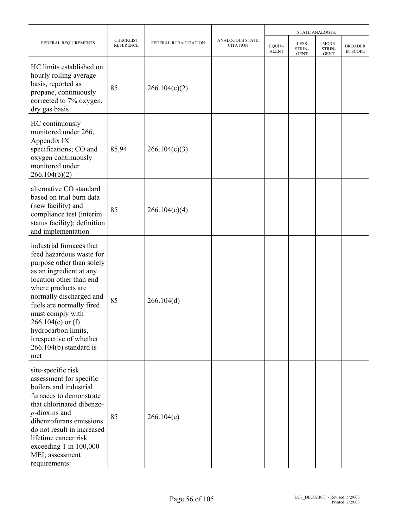| FEDERAL REQUIREMENTS<br>HC limits established on                                                                                                                                                                                                                                                                                                     |                                      |                       |                                           |                        | <b>STATE ANALOG IS:</b>              |                                      |                            |  |  |
|------------------------------------------------------------------------------------------------------------------------------------------------------------------------------------------------------------------------------------------------------------------------------------------------------------------------------------------------------|--------------------------------------|-----------------------|-------------------------------------------|------------------------|--------------------------------------|--------------------------------------|----------------------------|--|--|
|                                                                                                                                                                                                                                                                                                                                                      | <b>CHECKLIST</b><br><b>REFERENCE</b> | FEDERAL RCRA CITATION | <b>ANALOGOUS STATE</b><br><b>CITATION</b> | EQUIV-<br><b>ALENT</b> | <b>LESS</b><br>STRIN-<br><b>GENT</b> | <b>MORE</b><br>STRIN-<br><b>GENT</b> | <b>BROADER</b><br>IN SCOPE |  |  |
| hourly rolling average<br>basis, reported as<br>propane, continuously<br>corrected to 7% oxygen,<br>dry gas basis                                                                                                                                                                                                                                    | 85                                   | 266.104(c)(2)         |                                           |                        |                                      |                                      |                            |  |  |
| HC continuously<br>monitored under 266,<br>Appendix IX<br>specifications; CO and<br>oxygen continuously<br>monitored under<br>266.104(b)(2)                                                                                                                                                                                                          | 85,94                                | 266.104(c)(3)         |                                           |                        |                                      |                                      |                            |  |  |
| alternative CO standard<br>based on trial burn data<br>(new facility) and<br>compliance test (interim<br>status facility); definition<br>and implementation                                                                                                                                                                                          | 85                                   | 266.104(c)(4)         |                                           |                        |                                      |                                      |                            |  |  |
| industrial furnaces that<br>feed hazardous waste for<br>purpose other than solely<br>as an ingredient at any<br>location other than end<br>where products are<br>normally discharged and<br>fuels are normally fired<br>must comply with<br>$266.104(c)$ or (f)<br>hydrocarbon limits,<br>irrespective of whether<br>$266.104(b)$ standard is<br>met | 85                                   | 266.104(d)            |                                           |                        |                                      |                                      |                            |  |  |
| site-specific risk<br>assessment for specific<br>boilers and industrial<br>furnaces to demonstrate<br>that chlorinated dibenzo-<br>$p$ -dioxins and<br>dibenzofurans emissions<br>do not result in increased<br>lifetime cancer risk<br>exceeding 1 in 100,000<br>MEI; assessment<br>requirements:                                                   | 85                                   | 266.104(e)            |                                           |                        |                                      |                                      |                            |  |  |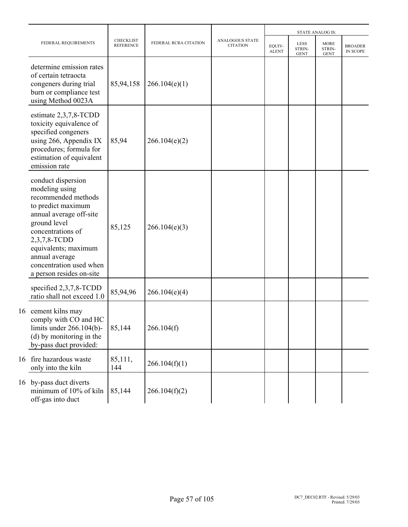|    |                                                                                                                                                                                                                                                                    |                                      |                       |                                           |                        |                                      | <b>STATE ANALOG IS:</b>              |                            |
|----|--------------------------------------------------------------------------------------------------------------------------------------------------------------------------------------------------------------------------------------------------------------------|--------------------------------------|-----------------------|-------------------------------------------|------------------------|--------------------------------------|--------------------------------------|----------------------------|
|    | FEDERAL REQUIREMENTS                                                                                                                                                                                                                                               | <b>CHECKLIST</b><br><b>REFERENCE</b> | FEDERAL RCRA CITATION | <b>ANALOGOUS STATE</b><br><b>CITATION</b> | EQUIV-<br><b>ALENT</b> | <b>LESS</b><br>STRIN-<br><b>GENT</b> | <b>MORE</b><br>STRIN-<br><b>GENT</b> | <b>BROADER</b><br>IN SCOPE |
|    | determine emission rates<br>of certain tetraocta<br>congeners during trial<br>burn or compliance test<br>using Method 0023A                                                                                                                                        | 85,94,158                            | 266.104(e)(1)         |                                           |                        |                                      |                                      |                            |
|    | estimate $2,3,7,8$ -TCDD<br>toxicity equivalence of<br>specified congeners<br>using 266, Appendix IX<br>procedures; formula for<br>estimation of equivalent<br>emission rate                                                                                       | 85,94                                | 266.104(e)(2)         |                                           |                        |                                      |                                      |                            |
|    | conduct dispersion<br>modeling using<br>recommended methods<br>to predict maximum<br>annual average off-site<br>ground level<br>concentrations of<br>2,3,7,8-TCDD<br>equivalents; maximum<br>annual average<br>concentration used when<br>a person resides on-site | 85,125                               | 266.104(e)(3)         |                                           |                        |                                      |                                      |                            |
|    | specified 2,3,7,8-TCDD<br>ratio shall not exceed 1.0                                                                                                                                                                                                               | 85,94,96                             | 266.104(e)(4)         |                                           |                        |                                      |                                      |                            |
| 16 | cement kilns may<br>comply with CO and HC<br>limits under $266.104(b)$ -<br>(d) by monitoring in the<br>by-pass duct provided:                                                                                                                                     | 85,144                               | 266.104(f)            |                                           |                        |                                      |                                      |                            |
| 16 | fire hazardous waste<br>only into the kiln                                                                                                                                                                                                                         | 85,111,<br>144                       | 266.104(f)(1)         |                                           |                        |                                      |                                      |                            |
| 16 | by-pass duct diverts<br>minimum of 10% of kiln<br>off-gas into duct                                                                                                                                                                                                | 85,144                               | 266.104(f)(2)         |                                           |                        |                                      |                                      |                            |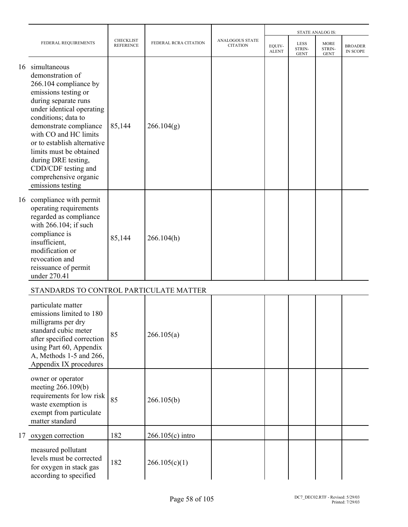|    |                                                                                                                                                                                                                                                                                                                                                                        |                               |                       |                                    |                        |                                      | <b>STATE ANALOG IS:</b>              |                            |
|----|------------------------------------------------------------------------------------------------------------------------------------------------------------------------------------------------------------------------------------------------------------------------------------------------------------------------------------------------------------------------|-------------------------------|-----------------------|------------------------------------|------------------------|--------------------------------------|--------------------------------------|----------------------------|
|    | FEDERAL REQUIREMENTS                                                                                                                                                                                                                                                                                                                                                   | <b>CHECKLIST</b><br>REFERENCE | FEDERAL RCRA CITATION | ANALOGOUS STATE<br><b>CITATION</b> | EQUIV-<br><b>ALENT</b> | <b>LESS</b><br>STRIN-<br><b>GENT</b> | <b>MORE</b><br>STRIN-<br><b>GENT</b> | <b>BROADER</b><br>IN SCOPE |
| 16 | simultaneous<br>demonstration of<br>266.104 compliance by<br>emissions testing or<br>during separate runs<br>under identical operating<br>conditions; data to<br>demonstrate compliance<br>with CO and HC limits<br>or to establish alternative<br>limits must be obtained<br>during DRE testing,<br>CDD/CDF testing and<br>comprehensive organic<br>emissions testing | 85,144                        | 266.104(g)            |                                    |                        |                                      |                                      |                            |
|    | 16 compliance with permit<br>operating requirements<br>regarded as compliance<br>with 266.104; if such<br>compliance is<br>insufficient,<br>modification or<br>revocation and<br>reissuance of permit<br>under 270.41                                                                                                                                                  | 85,144                        | 266.104(h)            |                                    |                        |                                      |                                      |                            |
|    | STANDARDS TO CONTROL PARTICULATE MATTER                                                                                                                                                                                                                                                                                                                                |                               |                       |                                    |                        |                                      |                                      |                            |
|    | particulate matter<br>emissions limited to 180<br>milligrams per dry<br>standard cubic meter<br>after specified correction<br>using Part 60, Appendix<br>A, Methods 1-5 and 266,<br>Appendix IX procedures                                                                                                                                                             | 85                            | 266.105(a)            |                                    |                        |                                      |                                      |                            |
|    | owner or operator<br>meeting 266.109(b)<br>requirements for low risk<br>waste exemption is<br>exempt from particulate<br>matter standard                                                                                                                                                                                                                               | 85                            | 266.105(b)            |                                    |                        |                                      |                                      |                            |
| 17 | oxygen correction                                                                                                                                                                                                                                                                                                                                                      | 182                           | $266.105(c)$ intro    |                                    |                        |                                      |                                      |                            |
|    | measured pollutant<br>levels must be corrected<br>for oxygen in stack gas<br>according to specified                                                                                                                                                                                                                                                                    | 182                           | 266.105(c)(1)         |                                    |                        |                                      |                                      |                            |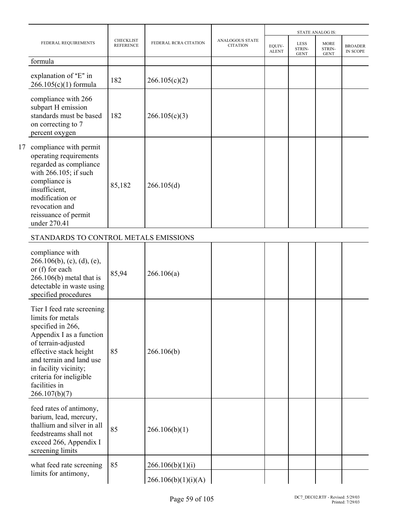|                                                                                                                                                                                                                                                                     |                                      |                       |                                           |                        | <b>STATE ANALOG IS:</b><br><b>LESS</b> |                                      |                            |
|---------------------------------------------------------------------------------------------------------------------------------------------------------------------------------------------------------------------------------------------------------------------|--------------------------------------|-----------------------|-------------------------------------------|------------------------|----------------------------------------|--------------------------------------|----------------------------|
| FEDERAL REQUIREMENTS                                                                                                                                                                                                                                                | <b>CHECKLIST</b><br><b>REFERENCE</b> | FEDERAL RCRA CITATION | <b>ANALOGOUS STATE</b><br><b>CITATION</b> | EQUIV-<br><b>ALENT</b> | STRIN-<br><b>GENT</b>                  | <b>MORE</b><br>STRIN-<br><b>GENT</b> | <b>BROADER</b><br>IN SCOPE |
| formula                                                                                                                                                                                                                                                             |                                      |                       |                                           |                        |                                        |                                      |                            |
| explanation of "E" in<br>$266.105(c)(1)$ formula                                                                                                                                                                                                                    | 182                                  | 266.105(c)(2)         |                                           |                        |                                        |                                      |                            |
| compliance with 266<br>subpart H emission<br>standards must be based<br>on correcting to 7<br>percent oxygen                                                                                                                                                        | 182                                  | 266.105(c)(3)         |                                           |                        |                                        |                                      |                            |
| 17 compliance with permit<br>operating requirements<br>regarded as compliance<br>with 266.105; if such<br>compliance is<br>insufficient,<br>modification or<br>revocation and<br>reissuance of permit<br>under 270.41                                               | 85,182                               | 266.105(d)            |                                           |                        |                                        |                                      |                            |
| STANDARDS TO CONTROL METALS EMISSIONS                                                                                                                                                                                                                               |                                      |                       |                                           |                        |                                        |                                      |                            |
| compliance with<br>$266.106(b)$ , (c), (d), (e),<br>or (f) for each<br>$266.106(b)$ metal that is<br>detectable in waste using<br>specified procedures                                                                                                              | 85,94                                | 266.106(a)            |                                           |                        |                                        |                                      |                            |
| Tier I feed rate screening<br>limits for metals<br>specified in 266,<br>Appendix I as a function<br>of terrain-adjusted<br>effective stack height<br>and terrain and land use<br>in facility vicinity;<br>criteria for ineligible<br>facilities in<br>266.107(b)(7) | 85                                   | 266.106(b)            |                                           |                        |                                        |                                      |                            |
| feed rates of antimony,<br>barium, lead, mercury,<br>thallium and silver in all<br>feedstreams shall not<br>exceed 266, Appendix I<br>screening limits                                                                                                              | 85                                   | 266.106(b)(1)         |                                           |                        |                                        |                                      |                            |
| what feed rate screening                                                                                                                                                                                                                                            | 85                                   | 266.106(b)(1)(i)      |                                           |                        |                                        |                                      |                            |
| limits for antimony,                                                                                                                                                                                                                                                |                                      | 266.106(b)(1)(i)(A)   |                                           |                        |                                        |                                      |                            |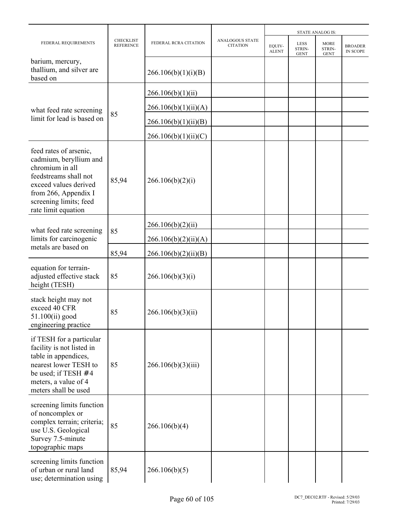|                                                                                                                                                                                                |                                      |                       |                                           |                        |                                      | <b>STATE ANALOG IS:</b>       |                            |
|------------------------------------------------------------------------------------------------------------------------------------------------------------------------------------------------|--------------------------------------|-----------------------|-------------------------------------------|------------------------|--------------------------------------|-------------------------------|----------------------------|
| FEDERAL REQUIREMENTS                                                                                                                                                                           | <b>CHECKLIST</b><br><b>REFERENCE</b> | FEDERAL RCRA CITATION | <b>ANALOGOUS STATE</b><br><b>CITATION</b> | EOUIV-<br><b>ALENT</b> | <b>LESS</b><br>STRIN-<br><b>GENT</b> | MORE<br>STRIN-<br><b>GENT</b> | <b>BROADER</b><br>IN SCOPE |
| barium, mercury,<br>thallium, and silver are<br>based on                                                                                                                                       |                                      | 266.106(b)(1)(i)(B)   |                                           |                        |                                      |                               |                            |
|                                                                                                                                                                                                |                                      | 266.106(b)(1)(ii)     |                                           |                        |                                      |                               |                            |
| what feed rate screening                                                                                                                                                                       | 85                                   | 266.106(b)(1)(ii)(A)  |                                           |                        |                                      |                               |                            |
| limit for lead is based on                                                                                                                                                                     |                                      | 266.106(b)(1)(ii)(B)  |                                           |                        |                                      |                               |                            |
|                                                                                                                                                                                                |                                      | 266.106(b)(1)(ii)(C)  |                                           |                        |                                      |                               |                            |
| feed rates of arsenic,<br>cadmium, beryllium and<br>chromium in all<br>feedstreams shall not<br>exceed values derived<br>from 266, Appendix I<br>screening limits; feed<br>rate limit equation | 85,94                                | 266.106(b)(2)(i)      |                                           |                        |                                      |                               |                            |
|                                                                                                                                                                                                |                                      | 266.106(b)(2)(ii)     |                                           |                        |                                      |                               |                            |
| what feed rate screening<br>limits for carcinogenic                                                                                                                                            | 85                                   | 266.106(b)(2)(ii)(A)  |                                           |                        |                                      |                               |                            |
| metals are based on                                                                                                                                                                            | 85,94                                | 266.106(b)(2)(ii)(B)  |                                           |                        |                                      |                               |                            |
| equation for terrain-<br>adjusted effective stack<br>height (TESH)                                                                                                                             | 85                                   | 266.106(b)(3)(i)      |                                           |                        |                                      |                               |                            |
| stack height may not<br>exceed 40 CFR<br>51.100(ii) good<br>engineering practice                                                                                                               | 85                                   | 266.106(b)(3)(ii)     |                                           |                        |                                      |                               |                            |
| if TESH for a particular<br>facility is not listed in<br>table in appendices,<br>nearest lower TESH to<br>be used; if TESH $# 4$<br>meters, a value of 4<br>meters shall be used               | 85                                   | 266.106(b)(3)(iii)    |                                           |                        |                                      |                               |                            |
| screening limits function<br>of noncomplex or<br>complex terrain; criteria;<br>use U.S. Geological<br>Survey 7.5-minute<br>topographic maps                                                    | 85                                   | 266.106(b)(4)         |                                           |                        |                                      |                               |                            |
| screening limits function<br>of urban or rural land<br>use; determination using                                                                                                                | 85,94                                | 266.106(b)(5)         |                                           |                        |                                      |                               |                            |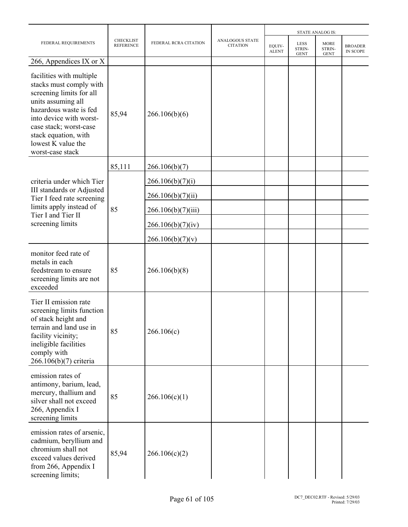|                                                                                                                                                                                                                                                        |                                      |                       |                                           |                        |                                      | <b>STATE ANALOG IS:</b>              |                            |
|--------------------------------------------------------------------------------------------------------------------------------------------------------------------------------------------------------------------------------------------------------|--------------------------------------|-----------------------|-------------------------------------------|------------------------|--------------------------------------|--------------------------------------|----------------------------|
| FEDERAL REQUIREMENTS                                                                                                                                                                                                                                   | <b>CHECKLIST</b><br><b>REFERENCE</b> | FEDERAL RCRA CITATION | <b>ANALOGOUS STATE</b><br><b>CITATION</b> | EQUIV-<br><b>ALENT</b> | <b>LESS</b><br>STRIN-<br><b>GENT</b> | <b>MORE</b><br>STRIN-<br><b>GENT</b> | <b>BROADER</b><br>IN SCOPE |
| 266, Appendices IX or X                                                                                                                                                                                                                                |                                      |                       |                                           |                        |                                      |                                      |                            |
| facilities with multiple<br>stacks must comply with<br>screening limits for all<br>units assuming all<br>hazardous waste is fed<br>into device with worst-<br>case stack; worst-case<br>stack equation, with<br>lowest K value the<br>worst-case stack | 85,94                                | 266.106(b)(6)         |                                           |                        |                                      |                                      |                            |
|                                                                                                                                                                                                                                                        | 85,111                               | 266.106(b)(7)         |                                           |                        |                                      |                                      |                            |
| criteria under which Tier<br>III standards or Adjusted<br>Tier I feed rate screening<br>limits apply instead of<br>Tier I and Tier II<br>screening limits                                                                                              |                                      | 266.106(b)(7)(i)      |                                           |                        |                                      |                                      |                            |
|                                                                                                                                                                                                                                                        |                                      | 266.106(b)(7)(ii)     |                                           |                        |                                      |                                      |                            |
|                                                                                                                                                                                                                                                        | 85                                   | 266.106(b)(7)(iii)    |                                           |                        |                                      |                                      |                            |
|                                                                                                                                                                                                                                                        |                                      | 266.106(b)(7)(iv)     |                                           |                        |                                      |                                      |                            |
|                                                                                                                                                                                                                                                        |                                      | 266.106(b)(7)(v)      |                                           |                        |                                      |                                      |                            |
| monitor feed rate of<br>metals in each<br>feedstream to ensure<br>screening limits are not<br>exceeded                                                                                                                                                 | 85                                   | 266.106(b)(8)         |                                           |                        |                                      |                                      |                            |
| Tier II emission rate<br>screening limits function<br>of stack height and<br>terrain and land use in<br>facility vicinity;<br>ineligible facilities<br>comply with<br>266.106(b)(7) criteria                                                           | 85                                   | 266.106(c)            |                                           |                        |                                      |                                      |                            |
| emission rates of<br>antimony, barium, lead,<br>mercury, thallium and<br>silver shall not exceed<br>266, Appendix I<br>screening limits                                                                                                                | 85                                   | 266.106(c)(1)         |                                           |                        |                                      |                                      |                            |
| emission rates of arsenic,<br>cadmium, beryllium and<br>chromium shall not<br>exceed values derived<br>from 266, Appendix I<br>screening limits;                                                                                                       | 85,94                                | 266.106(c)(2)         |                                           |                        |                                      |                                      |                            |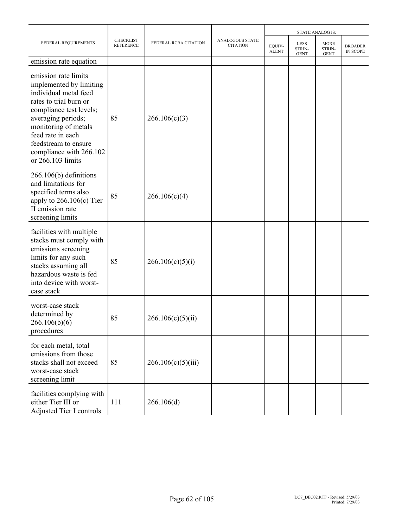|                                                                                                                                                                                                                                                                          |                                      |                       |                                           | <b>STATE ANALOG IS:</b> |                               |                                      |                            |  |
|--------------------------------------------------------------------------------------------------------------------------------------------------------------------------------------------------------------------------------------------------------------------------|--------------------------------------|-----------------------|-------------------------------------------|-------------------------|-------------------------------|--------------------------------------|----------------------------|--|
| FEDERAL REQUIREMENTS                                                                                                                                                                                                                                                     | <b>CHECKLIST</b><br><b>REFERENCE</b> | FEDERAL RCRA CITATION | <b>ANALOGOUS STATE</b><br><b>CITATION</b> | EQUIV-<br><b>ALENT</b>  | LESS<br>STRIN-<br><b>GENT</b> | <b>MORE</b><br>STRIN-<br><b>GENT</b> | <b>BROADER</b><br>IN SCOPE |  |
| emission rate equation                                                                                                                                                                                                                                                   |                                      |                       |                                           |                         |                               |                                      |                            |  |
| emission rate limits<br>implemented by limiting<br>individual metal feed<br>rates to trial burn or<br>compliance test levels;<br>averaging periods;<br>monitoring of metals<br>feed rate in each<br>feedstream to ensure<br>compliance with 266.102<br>or 266.103 limits | 85                                   | 266.106(c)(3)         |                                           |                         |                               |                                      |                            |  |
| $266.106(b)$ definitions<br>and limitations for<br>specified terms also<br>apply to $266.106(c)$ Tier<br>II emission rate<br>screening limits                                                                                                                            | 85                                   | 266.106(c)(4)         |                                           |                         |                               |                                      |                            |  |
| facilities with multiple<br>stacks must comply with<br>emissions screening<br>limits for any such<br>stacks assuming all<br>hazardous waste is fed<br>into device with worst-<br>case stack                                                                              | 85                                   | 266.106(c)(5)(i)      |                                           |                         |                               |                                      |                            |  |
| worst-case stack<br>determined by<br>266.106(b)(6)<br>procedures                                                                                                                                                                                                         | 85                                   | 266.106(c)(5)(ii)     |                                           |                         |                               |                                      |                            |  |
| for each metal, total<br>emissions from those<br>stacks shall not exceed<br>worst-case stack<br>screening limit                                                                                                                                                          | 85                                   | 266.106(c)(5)(iii)    |                                           |                         |                               |                                      |                            |  |
| facilities complying with<br>either Tier III or<br>Adjusted Tier I controls                                                                                                                                                                                              | 111                                  | 266.106(d)            |                                           |                         |                               |                                      |                            |  |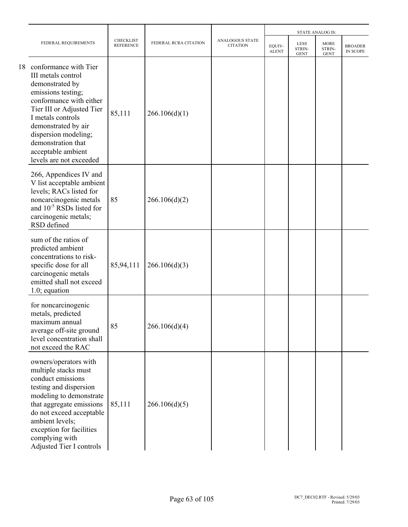|    |                                                                                                                                                                                                                                                                                         |                                      |                       |                                           |                        |                                      | <b>STATE ANALOG IS:</b>              |                            |
|----|-----------------------------------------------------------------------------------------------------------------------------------------------------------------------------------------------------------------------------------------------------------------------------------------|--------------------------------------|-----------------------|-------------------------------------------|------------------------|--------------------------------------|--------------------------------------|----------------------------|
|    | FEDERAL REQUIREMENTS                                                                                                                                                                                                                                                                    | <b>CHECKLIST</b><br><b>REFERENCE</b> | FEDERAL RCRA CITATION | <b>ANALOGOUS STATE</b><br><b>CITATION</b> | EQUIV-<br><b>ALENT</b> | <b>LESS</b><br>STRIN-<br><b>GENT</b> | <b>MORE</b><br>STRIN-<br><b>GENT</b> | <b>BROADER</b><br>IN SCOPE |
| 18 | conformance with Tier<br>III metals control<br>demonstrated by<br>emissions testing;<br>conformance with either<br>Tier III or Adjusted Tier<br>I metals controls<br>demonstrated by air<br>dispersion modeling;<br>demonstration that<br>acceptable ambient<br>levels are not exceeded | 85,111                               | 266.106(d)(1)         |                                           |                        |                                      |                                      |                            |
|    | 266, Appendices IV and<br>V list acceptable ambient<br>levels; RACs listed for<br>noncarcinogenic metals<br>and $10^{-5}$ RSDs listed for<br>carcinogenic metals;<br>RSD defined                                                                                                        | 85                                   | 266.106(d)(2)         |                                           |                        |                                      |                                      |                            |
|    | sum of the ratios of<br>predicted ambient<br>concentrations to risk-<br>specific dose for all<br>carcinogenic metals<br>emitted shall not exceed<br>$1.0$ ; equation                                                                                                                    | 85,94,111                            | 266.106(d)(3)         |                                           |                        |                                      |                                      |                            |
|    | for noncarcinogenic<br>metals, predicted<br>maximum annual<br>average off-site ground<br>level concentration shall<br>not exceed the RAC                                                                                                                                                | 85                                   | 266.106(d)(4)         |                                           |                        |                                      |                                      |                            |
|    | owners/operators with<br>multiple stacks must<br>conduct emissions<br>testing and dispersion<br>modeling to demonstrate<br>that aggregate emissions<br>do not exceed acceptable<br>ambient levels;<br>exception for facilities<br>complying with<br>Adjusted Tier I controls            | 85,111                               | 266.106(d)(5)         |                                           |                        |                                      |                                      |                            |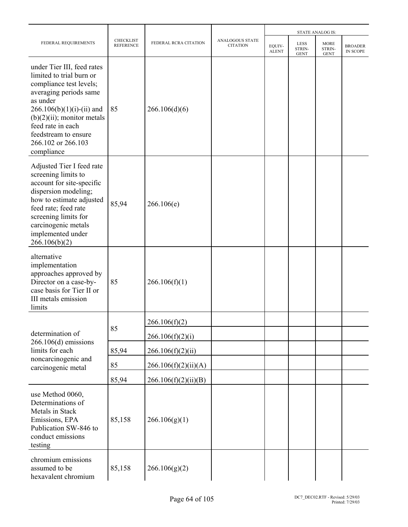|                                                                                                                                                                                                                                                                          |                                      |                       |                                           |                        |                                      | <b>STATE ANALOG IS:</b>              |                            |
|--------------------------------------------------------------------------------------------------------------------------------------------------------------------------------------------------------------------------------------------------------------------------|--------------------------------------|-----------------------|-------------------------------------------|------------------------|--------------------------------------|--------------------------------------|----------------------------|
| FEDERAL REQUIREMENTS                                                                                                                                                                                                                                                     | <b>CHECKLIST</b><br><b>REFERENCE</b> | FEDERAL RCRA CITATION | <b>ANALOGOUS STATE</b><br><b>CITATION</b> | EQUIV-<br><b>ALENT</b> | <b>LESS</b><br>STRIN-<br><b>GENT</b> | <b>MORE</b><br>STRIN-<br><b>GENT</b> | <b>BROADER</b><br>IN SCOPE |
| under Tier III, feed rates<br>limited to trial burn or<br>compliance test levels;<br>averaging periods same<br>as under<br>$266.106(b)(1)(i)-(ii)$ and<br>$(b)(2)(ii)$ ; monitor metals<br>feed rate in each<br>feedstream to ensure<br>266.102 or 266.103<br>compliance | 85                                   | 266.106(d)(6)         |                                           |                        |                                      |                                      |                            |
| Adjusted Tier I feed rate<br>screening limits to<br>account for site-specific<br>dispersion modeling;<br>how to estimate adjusted<br>feed rate; feed rate<br>screening limits for<br>carcinogenic metals<br>implemented under<br>266.106(b)(2)                           | 85,94                                | 266.106(e)            |                                           |                        |                                      |                                      |                            |
| alternative<br>implementation<br>approaches approved by<br>Director on a case-by-<br>case basis for Tier II or<br>III metals emission<br>limits                                                                                                                          | 85                                   | 266.106(f)(1)         |                                           |                        |                                      |                                      |                            |
|                                                                                                                                                                                                                                                                          |                                      | 266.106(f)(2)         |                                           |                        |                                      |                                      |                            |
| determination of                                                                                                                                                                                                                                                         | 85                                   | 266.106(f)(2)(i)      |                                           |                        |                                      |                                      |                            |
| $266.106(d)$ emissions<br>limits for each                                                                                                                                                                                                                                | 85,94                                | 266.106(f)(2)(ii)     |                                           |                        |                                      |                                      |                            |
| noncarcinogenic and<br>carcinogenic metal                                                                                                                                                                                                                                | 85                                   | 266.106(f)(2)(ii)(A)  |                                           |                        |                                      |                                      |                            |
|                                                                                                                                                                                                                                                                          | 85,94                                | 266.106(f)(2)(ii)(B)  |                                           |                        |                                      |                                      |                            |
| use Method 0060,<br>Determinations of<br>Metals in Stack<br>Emissions, EPA<br>Publication SW-846 to<br>conduct emissions<br>testing                                                                                                                                      | 85,158                               | 266.106(g)(1)         |                                           |                        |                                      |                                      |                            |
| chromium emissions<br>assumed to be<br>hexavalent chromium                                                                                                                                                                                                               | 85,158                               | 266.106(g)(2)         |                                           |                        |                                      |                                      |                            |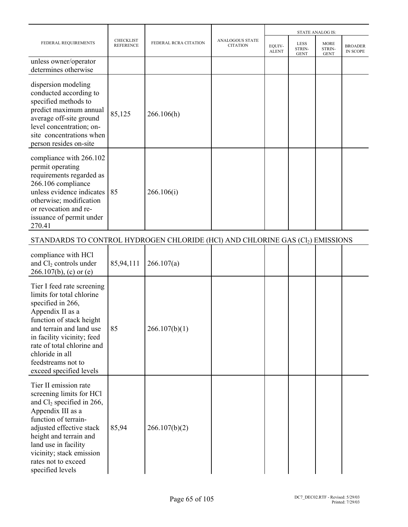|                                                                                                                                                                                                                                                                                          |                                      |                       |                                           | <b>STATE ANALOG IS:</b> |                               |                                      |                            |
|------------------------------------------------------------------------------------------------------------------------------------------------------------------------------------------------------------------------------------------------------------------------------------------|--------------------------------------|-----------------------|-------------------------------------------|-------------------------|-------------------------------|--------------------------------------|----------------------------|
| FEDERAL REQUIREMENTS                                                                                                                                                                                                                                                                     | <b>CHECKLIST</b><br><b>REFERENCE</b> | FEDERAL RCRA CITATION | <b>ANALOGOUS STATE</b><br><b>CITATION</b> | EQUIV-<br><b>ALENT</b>  | LESS<br>STRIN-<br><b>GENT</b> | <b>MORE</b><br>STRIN-<br><b>GENT</b> | <b>BROADER</b><br>IN SCOPE |
| unless owner/operator<br>determines otherwise                                                                                                                                                                                                                                            |                                      |                       |                                           |                         |                               |                                      |                            |
| dispersion modeling<br>conducted according to<br>specified methods to<br>predict maximum annual<br>average off-site ground<br>level concentration; on-<br>site concentrations when<br>person resides on-site                                                                             | 85,125                               | 266.106(h)            |                                           |                         |                               |                                      |                            |
| compliance with 266.102<br>permit operating<br>requirements regarded as<br>266.106 compliance<br>unless evidence indicates<br>otherwise; modification<br>or revocation and re-<br>issuance of permit under<br>270.41                                                                     | 85                                   | 266.106(i)            |                                           |                         |                               |                                      |                            |
| STANDARDS TO CONTROL HYDROGEN CHLORIDE (HCl) AND CHLORINE GAS (Cl2) EMISSIONS                                                                                                                                                                                                            |                                      |                       |                                           |                         |                               |                                      |                            |
| compliance with HCl<br>and Cl <sub>2</sub> controls under<br>$266.107(b)$ , (c) or (e)                                                                                                                                                                                                   | 85,94,111                            | 266.107(a)            |                                           |                         |                               |                                      |                            |
| Tier I feed rate screening<br>limits for total chlorine<br>specified in 266,<br>Appendix II as a<br>function of stack height<br>and terrain and land use<br>in facility vicinity; feed<br>rate of total chlorine and<br>chloride in all<br>feedstreams not to<br>exceed specified levels | 85                                   | 266.107(b)(1)         |                                           |                         |                               |                                      |                            |
| Tier II emission rate<br>screening limits for HCl<br>and $Cl_2$ specified in 266,<br>Appendix III as a<br>function of terrain-<br>adjusted effective stack<br>height and terrain and<br>land use in facility<br>vicinity; stack emission<br>rates not to exceed<br>specified levels      | 85,94                                | 266.107(b)(2)         |                                           |                         |                               |                                      |                            |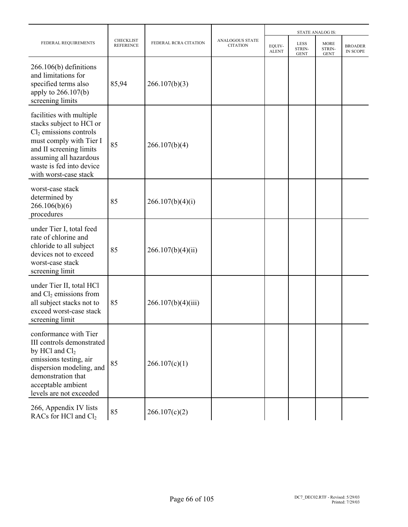|                                                                                                                                                                                                                       |                                      |                       |                                    |                        |                                      | <b>STATE ANALOG IS:</b>              |                            |
|-----------------------------------------------------------------------------------------------------------------------------------------------------------------------------------------------------------------------|--------------------------------------|-----------------------|------------------------------------|------------------------|--------------------------------------|--------------------------------------|----------------------------|
| FEDERAL REQUIREMENTS                                                                                                                                                                                                  | <b>CHECKLIST</b><br><b>REFERENCE</b> | FEDERAL RCRA CITATION | ANALOGOUS STATE<br><b>CITATION</b> | EQUIV-<br><b>ALENT</b> | <b>LESS</b><br>STRIN-<br><b>GENT</b> | <b>MORE</b><br>STRIN-<br><b>GENT</b> | <b>BROADER</b><br>IN SCOPE |
| $266.106(b)$ definitions<br>and limitations for<br>specified terms also<br>apply to 266.107(b)<br>screening limits                                                                                                    | 85,94                                | 266.107(b)(3)         |                                    |                        |                                      |                                      |                            |
| facilities with multiple<br>stacks subject to HCl or<br>$Cl2$ emissions controls<br>must comply with Tier I<br>and II screening limits<br>assuming all hazardous<br>waste is fed into device<br>with worst-case stack | 85                                   | 266.107(b)(4)         |                                    |                        |                                      |                                      |                            |
| worst-case stack<br>determined by<br>266.106(b)(6)<br>procedures                                                                                                                                                      | 85                                   | 266.107(b)(4)(i)      |                                    |                        |                                      |                                      |                            |
| under Tier I, total feed<br>rate of chlorine and<br>chloride to all subject<br>devices not to exceed<br>worst-case stack<br>screening limit                                                                           | 85                                   | 266.107(b)(4)(ii)     |                                    |                        |                                      |                                      |                            |
| under Tier II, total HCl<br>and $Cl2$ emissions from<br>all subject stacks not to<br>exceed worst-case stack<br>screening limit                                                                                       | 85                                   | 266.107(b)(4)(iii)    |                                    |                        |                                      |                                      |                            |
| conformance with Tier<br>III controls demonstrated<br>by HCl and $Cl2$<br>emissions testing, air<br>dispersion modeling, and<br>demonstration that<br>acceptable ambient<br>levels are not exceeded                   | 85                                   | 266.107(c)(1)         |                                    |                        |                                      |                                      |                            |
| 266, Appendix IV lists<br>RACs for HCl and Cl <sub>2</sub>                                                                                                                                                            | 85                                   | 266.107(c)(2)         |                                    |                        |                                      |                                      |                            |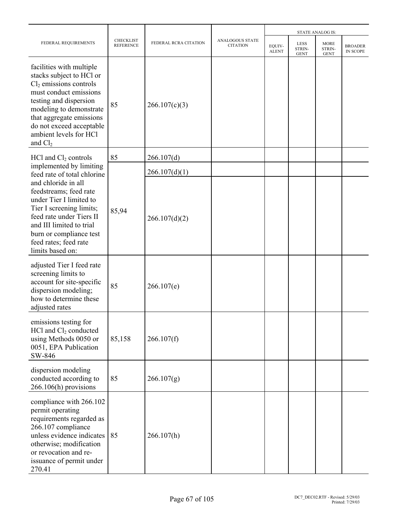|                                                                                                                                                                                                                                                                |                                      |                       |                                    |                        |                                      | <b>STATE ANALOG IS:</b>              |                            |
|----------------------------------------------------------------------------------------------------------------------------------------------------------------------------------------------------------------------------------------------------------------|--------------------------------------|-----------------------|------------------------------------|------------------------|--------------------------------------|--------------------------------------|----------------------------|
| FEDERAL REQUIREMENTS                                                                                                                                                                                                                                           | <b>CHECKLIST</b><br><b>REFERENCE</b> | FEDERAL RCRA CITATION | ANALOGOUS STATE<br><b>CITATION</b> | EQUIV-<br><b>ALENT</b> | <b>LESS</b><br>STRIN-<br><b>GENT</b> | <b>MORE</b><br>STRIN-<br><b>GENT</b> | <b>BROADER</b><br>IN SCOPE |
| facilities with multiple<br>stacks subject to HCl or<br>$Cl2$ emissions controls<br>must conduct emissions<br>testing and dispersion<br>modeling to demonstrate<br>that aggregate emissions<br>do not exceed acceptable<br>ambient levels for HCl<br>and $Cl2$ | 85                                   | 266.107(c)(3)         |                                    |                        |                                      |                                      |                            |
| $HC1$ and $Cl2$ controls                                                                                                                                                                                                                                       | 85                                   | 266.107(d)            |                                    |                        |                                      |                                      |                            |
| implemented by limiting<br>feed rate of total chlorine                                                                                                                                                                                                         |                                      | 266.107(d)(1)         |                                    |                        |                                      |                                      |                            |
| and chloride in all<br>feedstreams; feed rate<br>under Tier I limited to<br>Tier I screening limits;<br>feed rate under Tiers II<br>and III limited to trial<br>burn or compliance test<br>feed rates; feed rate<br>limits based on:                           | 85,94                                | 266.107(d)(2)         |                                    |                        |                                      |                                      |                            |
| adjusted Tier I feed rate<br>screening limits to<br>account for site-specific<br>dispersion modeling;<br>how to determine these<br>adjusted rates                                                                                                              | 85                                   | 266.107(e)            |                                    |                        |                                      |                                      |                            |
| emissions testing for<br>$HC1$ and $Cl2$ conducted<br>using Methods 0050 or<br>0051, EPA Publication<br>SW-846                                                                                                                                                 | 85,158                               | 266.107(f)            |                                    |                        |                                      |                                      |                            |
| dispersion modeling<br>conducted according to<br>266.106(h) provisions                                                                                                                                                                                         | 85                                   | 266.107(g)            |                                    |                        |                                      |                                      |                            |
| compliance with 266.102<br>permit operating<br>requirements regarded as<br>266.107 compliance<br>unless evidence indicates<br>otherwise; modification<br>or revocation and re-<br>issuance of permit under<br>270.41                                           | 85                                   | 266.107(h)            |                                    |                        |                                      |                                      |                            |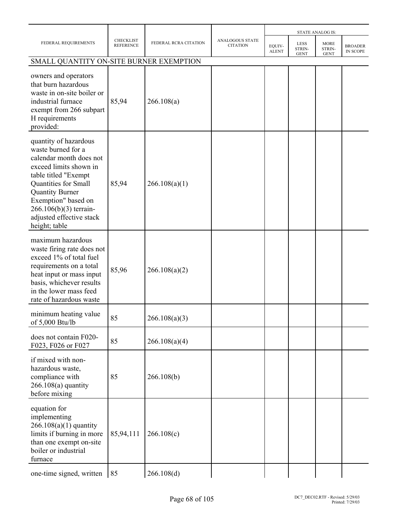|                                                                                                                                                                                                                                                                          |                                      |                       |                                           |                        |                                      | <b>STATE ANALOG IS:</b>              |                            |
|--------------------------------------------------------------------------------------------------------------------------------------------------------------------------------------------------------------------------------------------------------------------------|--------------------------------------|-----------------------|-------------------------------------------|------------------------|--------------------------------------|--------------------------------------|----------------------------|
| FEDERAL REQUIREMENTS                                                                                                                                                                                                                                                     | <b>CHECKLIST</b><br><b>REFERENCE</b> | FEDERAL RCRA CITATION | <b>ANALOGOUS STATE</b><br><b>CITATION</b> | EQUIV-<br><b>ALENT</b> | <b>LESS</b><br>STRIN-<br><b>GENT</b> | <b>MORE</b><br>STRIN-<br><b>GENT</b> | <b>BROADER</b><br>IN SCOPE |
| SMALL QUANTITY ON-SITE BURNER EXEMPTION                                                                                                                                                                                                                                  |                                      |                       |                                           |                        |                                      |                                      |                            |
| owners and operators<br>that burn hazardous<br>waste in on-site boiler or<br>industrial furnace<br>exempt from 266 subpart<br>H requirements<br>provided:                                                                                                                | 85,94                                | 266.108(a)            |                                           |                        |                                      |                                      |                            |
| quantity of hazardous<br>waste burned for a<br>calendar month does not<br>exceed limits shown in<br>table titled "Exempt<br>Quantities for Small<br><b>Quantity Burner</b><br>Exemption" based on<br>266.106(b)(3) terrain-<br>adjusted effective stack<br>height; table | 85,94                                | 266.108(a)(1)         |                                           |                        |                                      |                                      |                            |
| maximum hazardous<br>waste firing rate does not<br>exceed 1% of total fuel<br>requirements on a total<br>heat input or mass input<br>basis, whichever results<br>in the lower mass feed<br>rate of hazardous waste                                                       | 85,96                                | 266.108(a)(2)         |                                           |                        |                                      |                                      |                            |
| minimum heating value<br>of 5,000 Btu/lb                                                                                                                                                                                                                                 | 85                                   | 266.108(a)(3)         |                                           |                        |                                      |                                      |                            |
| does not contain F020-<br>F023, F026 or F027                                                                                                                                                                                                                             | 85                                   | 266.108(a)(4)         |                                           |                        |                                      |                                      |                            |
| if mixed with non-<br>hazardous waste,<br>compliance with<br>$266.108(a)$ quantity<br>before mixing                                                                                                                                                                      | 85                                   | 266.108(b)            |                                           |                        |                                      |                                      |                            |
| equation for<br>implementing<br>$266.108(a)(1)$ quantity<br>limits if burning in more<br>than one exempt on-site<br>boiler or industrial<br>furnace                                                                                                                      | 85,94,111                            | 266.108(c)            |                                           |                        |                                      |                                      |                            |
| one-time signed, written                                                                                                                                                                                                                                                 | 85                                   | 266.108(d)            |                                           |                        |                                      |                                      |                            |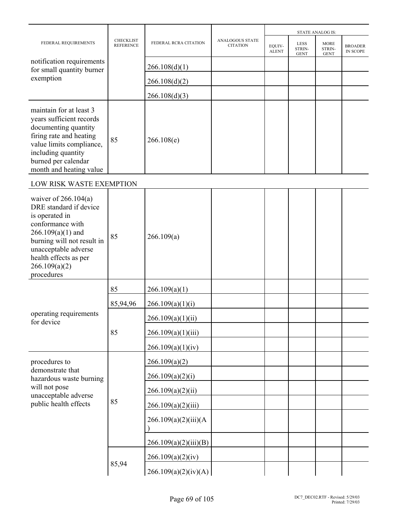|                                                                                                                                                                                                                             |                                      |                       |                                           |                        |                                      | <b>STATE ANALOG IS:</b>              |                                   |
|-----------------------------------------------------------------------------------------------------------------------------------------------------------------------------------------------------------------------------|--------------------------------------|-----------------------|-------------------------------------------|------------------------|--------------------------------------|--------------------------------------|-----------------------------------|
| FEDERAL REQUIREMENTS                                                                                                                                                                                                        | <b>CHECKLIST</b><br><b>REFERENCE</b> | FEDERAL RCRA CITATION | <b>ANALOGOUS STATE</b><br><b>CITATION</b> | EQUIV-<br><b>ALENT</b> | <b>LESS</b><br>STRIN-<br><b>GENT</b> | <b>MORE</b><br>STRIN-<br><b>GENT</b> | <b>BROADER</b><br><b>IN SCOPE</b> |
| notification requirements<br>for small quantity burner                                                                                                                                                                      |                                      | 266.108(d)(1)         |                                           |                        |                                      |                                      |                                   |
| exemption                                                                                                                                                                                                                   |                                      | 266.108(d)(2)         |                                           |                        |                                      |                                      |                                   |
|                                                                                                                                                                                                                             |                                      | 266.108(d)(3)         |                                           |                        |                                      |                                      |                                   |
| maintain for at least 3<br>years sufficient records<br>documenting quantity<br>firing rate and heating<br>value limits compliance,<br>including quantity<br>burned per calendar<br>month and heating value                  | 85                                   | 266.108(e)            |                                           |                        |                                      |                                      |                                   |
| LOW RISK WASTE EXEMPTION                                                                                                                                                                                                    |                                      |                       |                                           |                        |                                      |                                      |                                   |
| waiver of $266.104(a)$<br>DRE standard if device<br>is operated in<br>conformance with<br>$266.109(a)(1)$ and<br>burning will not result in<br>unacceptable adverse<br>health effects as per<br>266.109(a)(2)<br>procedures | 85                                   | 266.109(a)            |                                           |                        |                                      |                                      |                                   |
|                                                                                                                                                                                                                             | 85                                   | 266.109(a)(1)         |                                           |                        |                                      |                                      |                                   |
|                                                                                                                                                                                                                             | 85,94,96                             | 266.109(a)(1)(i)      |                                           |                        |                                      |                                      |                                   |
| operating requirements<br>for device                                                                                                                                                                                        |                                      | 266.109(a)(1)(ii)     |                                           |                        |                                      |                                      |                                   |
|                                                                                                                                                                                                                             | 85                                   | 266.109(a)(1)(iii)    |                                           |                        |                                      |                                      |                                   |
|                                                                                                                                                                                                                             |                                      | 266.109(a)(1)(iv)     |                                           |                        |                                      |                                      |                                   |
| procedures to                                                                                                                                                                                                               |                                      | 266.109(a)(2)         |                                           |                        |                                      |                                      |                                   |
| demonstrate that<br>hazardous waste burning                                                                                                                                                                                 |                                      | 266.109(a)(2)(i)      |                                           |                        |                                      |                                      |                                   |
| will not pose<br>unacceptable adverse                                                                                                                                                                                       |                                      | 266.109(a)(2)(ii)     |                                           |                        |                                      |                                      |                                   |
| public health effects                                                                                                                                                                                                       | 85                                   | 266.109(a)(2)(iii)    |                                           |                        |                                      |                                      |                                   |
|                                                                                                                                                                                                                             |                                      | 266.109(a)(2)(iii)(A) |                                           |                        |                                      |                                      |                                   |
|                                                                                                                                                                                                                             |                                      | 266.109(a)(2)(iii)(B) |                                           |                        |                                      |                                      |                                   |
|                                                                                                                                                                                                                             | 85,94                                | 266.109(a)(2)(iv)     |                                           |                        |                                      |                                      |                                   |
|                                                                                                                                                                                                                             |                                      | 266.109(a)(2)(iv)(A)  |                                           |                        |                                      |                                      |                                   |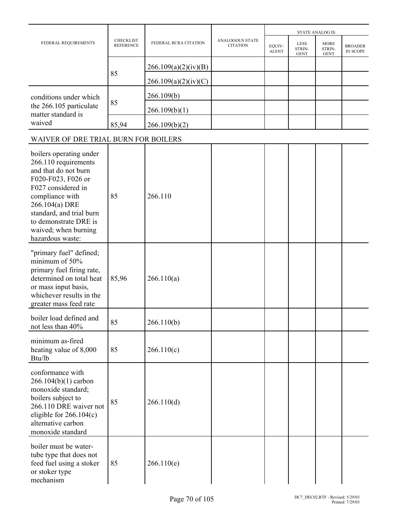|                                                                                                                                                                                                                                                           |                                      |                       |                                           |                        |                                      | <b>STATE ANALOG IS:</b>              |                            |
|-----------------------------------------------------------------------------------------------------------------------------------------------------------------------------------------------------------------------------------------------------------|--------------------------------------|-----------------------|-------------------------------------------|------------------------|--------------------------------------|--------------------------------------|----------------------------|
| FEDERAL REQUIREMENTS                                                                                                                                                                                                                                      | <b>CHECKLIST</b><br><b>REFERENCE</b> | FEDERAL RCRA CITATION | <b>ANALOGOUS STATE</b><br><b>CITATION</b> | EQUIV-<br><b>ALENT</b> | <b>LESS</b><br>STRIN-<br><b>GENT</b> | <b>MORE</b><br>STRIN-<br><b>GENT</b> | <b>BROADER</b><br>IN SCOPE |
|                                                                                                                                                                                                                                                           |                                      | 266.109(a)(2)(iv)(B)  |                                           |                        |                                      |                                      |                            |
|                                                                                                                                                                                                                                                           | 85                                   | 266.109(a)(2)(iv)(C)  |                                           |                        |                                      |                                      |                            |
| conditions under which                                                                                                                                                                                                                                    |                                      | 266.109(b)            |                                           |                        |                                      |                                      |                            |
| the 266.105 particulate<br>matter standard is                                                                                                                                                                                                             | 85                                   | 266.109(b)(1)         |                                           |                        |                                      |                                      |                            |
| waived                                                                                                                                                                                                                                                    | 85,94                                | 266.109(b)(2)         |                                           |                        |                                      |                                      |                            |
| WAIVER OF DRE TRIAL BURN FOR BOILERS                                                                                                                                                                                                                      |                                      |                       |                                           |                        |                                      |                                      |                            |
| boilers operating under<br>266.110 requirements<br>and that do not burn<br>F020-F023, F026 or<br>F027 considered in<br>compliance with<br>266.104(a) DRE<br>standard, and trial burn<br>to demonstrate DRE is<br>waived; when burning<br>hazardous waste: | 85                                   | 266.110               |                                           |                        |                                      |                                      |                            |
| "primary fuel" defined;<br>minimum of 50%<br>primary fuel firing rate,<br>determined on total heat<br>or mass input basis,<br>whichever results in the<br>greater mass feed rate                                                                          | 85,96                                | 266.110(a)            |                                           |                        |                                      |                                      |                            |
| boiler load defined and<br>not less than 40%                                                                                                                                                                                                              | 85                                   | 266.110(b)            |                                           |                        |                                      |                                      |                            |
| minimum as-fired<br>heating value of 8,000<br>Btu/lb                                                                                                                                                                                                      | 85                                   | 266.110(c)            |                                           |                        |                                      |                                      |                            |
| conformance with<br>266.104(b)(1) carbon<br>monoxide standard;<br>boilers subject to<br>266.110 DRE waiver not<br>eligible for $266.104(c)$<br>alternative carbon<br>monoxide standard                                                                    | 85                                   | 266.110(d)            |                                           |                        |                                      |                                      |                            |
| boiler must be water-<br>tube type that does not<br>feed fuel using a stoker<br>or stoker type<br>mechanism                                                                                                                                               | 85                                   | 266.110(e)            |                                           |                        |                                      |                                      |                            |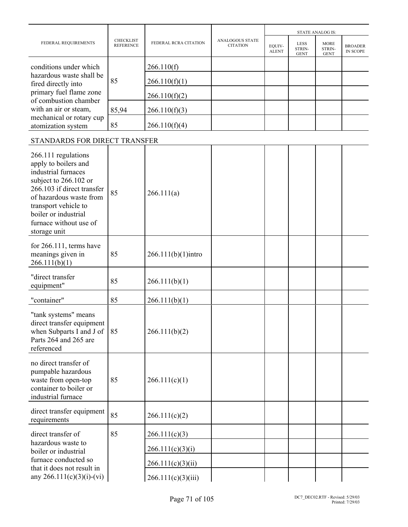|                                                                                                                                                                                                                                                |                                      |                       |                                           |                        |                                      | <b>STATE ANALOG IS:</b>              |                                   |
|------------------------------------------------------------------------------------------------------------------------------------------------------------------------------------------------------------------------------------------------|--------------------------------------|-----------------------|-------------------------------------------|------------------------|--------------------------------------|--------------------------------------|-----------------------------------|
| FEDERAL REQUIREMENTS                                                                                                                                                                                                                           | <b>CHECKLIST</b><br><b>REFERENCE</b> | FEDERAL RCRA CITATION | <b>ANALOGOUS STATE</b><br><b>CITATION</b> | EQUIV-<br><b>ALENT</b> | <b>LESS</b><br>STRIN-<br><b>GENT</b> | <b>MORE</b><br>STRIN-<br><b>GENT</b> | <b>BROADER</b><br><b>IN SCOPE</b> |
| conditions under which                                                                                                                                                                                                                         |                                      | 266.110(f)            |                                           |                        |                                      |                                      |                                   |
| hazardous waste shall be<br>fired directly into                                                                                                                                                                                                | 85                                   | 266.110(f)(1)         |                                           |                        |                                      |                                      |                                   |
| primary fuel flame zone<br>of combustion chamber                                                                                                                                                                                               |                                      | 266.110(f)(2)         |                                           |                        |                                      |                                      |                                   |
| with an air or steam,                                                                                                                                                                                                                          | 85,94                                | 266.110(f)(3)         |                                           |                        |                                      |                                      |                                   |
| mechanical or rotary cup<br>atomization system                                                                                                                                                                                                 | 85                                   | 266.110(f)(4)         |                                           |                        |                                      |                                      |                                   |
| STANDARDS FOR DIRECT TRANSFER                                                                                                                                                                                                                  |                                      |                       |                                           |                        |                                      |                                      |                                   |
| 266.111 regulations<br>apply to boilers and<br>industrial furnaces<br>subject to 266.102 or<br>266.103 if direct transfer<br>of hazardous waste from<br>transport vehicle to<br>boiler or industrial<br>furnace without use of<br>storage unit | 85                                   | 266.111(a)            |                                           |                        |                                      |                                      |                                   |
| for $266.111$ , terms have<br>meanings given in<br>266.111(b)(1)                                                                                                                                                                               | 85                                   | $266.111(b)(1)$ intro |                                           |                        |                                      |                                      |                                   |
| "direct transfer<br>equipment"                                                                                                                                                                                                                 | 85                                   | 266.111(b)(1)         |                                           |                        |                                      |                                      |                                   |
| "container"                                                                                                                                                                                                                                    | 85                                   | 266.111(b)(1)         |                                           |                        |                                      |                                      |                                   |
| "tank systems" means<br>direct transfer equipment<br>when Subparts I and J of<br>Parts 264 and 265 are<br>referenced                                                                                                                           | 85                                   | 266.111(b)(2)         |                                           |                        |                                      |                                      |                                   |
| no direct transfer of<br>pumpable hazardous<br>waste from open-top<br>container to boiler or<br>industrial furnace                                                                                                                             | 85                                   | 266.111(c)(1)         |                                           |                        |                                      |                                      |                                   |
| direct transfer equipment<br>requirements                                                                                                                                                                                                      | 85                                   | 266.111(c)(2)         |                                           |                        |                                      |                                      |                                   |
| direct transfer of                                                                                                                                                                                                                             | 85                                   | 266.111(c)(3)         |                                           |                        |                                      |                                      |                                   |
| hazardous waste to<br>boiler or industrial                                                                                                                                                                                                     |                                      | 266.111(c)(3)(i)      |                                           |                        |                                      |                                      |                                   |
| furnace conducted so<br>that it does not result in                                                                                                                                                                                             |                                      | 266.111(c)(3)(ii)     |                                           |                        |                                      |                                      |                                   |
| any 266.111(c)(3)(i)-(vi)                                                                                                                                                                                                                      |                                      | 266.111(c)(3)(iii)    |                                           |                        |                                      |                                      |                                   |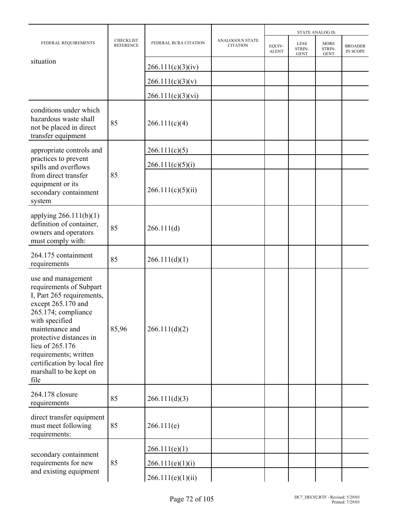|                                                                                                                                                                                                                                                                                                      |                                      |                       |                                           |                        |                                      | <b>STATE ANALOG IS:</b>              |                            |
|------------------------------------------------------------------------------------------------------------------------------------------------------------------------------------------------------------------------------------------------------------------------------------------------------|--------------------------------------|-----------------------|-------------------------------------------|------------------------|--------------------------------------|--------------------------------------|----------------------------|
| FEDERAL REQUIREMENTS                                                                                                                                                                                                                                                                                 | <b>CHECKLIST</b><br><b>REFERENCE</b> | FEDERAL RCRA CITATION | <b>ANALOGOUS STATE</b><br><b>CITATION</b> | EQUIV-<br><b>ALENT</b> | <b>LESS</b><br>STRIN-<br><b>GENT</b> | <b>MORE</b><br>STRIN-<br><b>GENT</b> | <b>BROADER</b><br>IN SCOPE |
| situation                                                                                                                                                                                                                                                                                            |                                      | 266.111(c)(3)(iv)     |                                           |                        |                                      |                                      |                            |
|                                                                                                                                                                                                                                                                                                      |                                      | 266.111(c)(3)(v)      |                                           |                        |                                      |                                      |                            |
|                                                                                                                                                                                                                                                                                                      |                                      | 266.111(c)(3)(vi)     |                                           |                        |                                      |                                      |                            |
| conditions under which<br>hazardous waste shall<br>not be placed in direct<br>transfer equipment                                                                                                                                                                                                     | 85                                   | 266.111(c)(4)         |                                           |                        |                                      |                                      |                            |
| appropriate controls and                                                                                                                                                                                                                                                                             |                                      | 266.111(c)(5)         |                                           |                        |                                      |                                      |                            |
| practices to prevent<br>spills and overflows                                                                                                                                                                                                                                                         |                                      | 266.111(c)(5)(i)      |                                           |                        |                                      |                                      |                            |
| from direct transfer<br>equipment or its<br>secondary containment<br>system                                                                                                                                                                                                                          | 85                                   | 266.111(c)(5)(ii)     |                                           |                        |                                      |                                      |                            |
| applying $266.111(b)(1)$<br>definition of container,<br>owners and operators<br>must comply with:                                                                                                                                                                                                    | 85                                   | 266.111(d)            |                                           |                        |                                      |                                      |                            |
| 264.175 containment<br>requirements                                                                                                                                                                                                                                                                  | 85                                   | 266.111(d)(1)         |                                           |                        |                                      |                                      |                            |
| use and management<br>requirements of Subpart<br>I, Part 265 requirements,<br>except 265.170 and<br>265.174; compliance<br>with specified<br>maintenance and<br>protective distances in<br>lieu of 265.176<br>requirements; written<br>certification by local fire<br>marshall to be kept on<br>file | 85,96                                | 266.111(d)(2)         |                                           |                        |                                      |                                      |                            |
| 264.178 closure<br>requirements                                                                                                                                                                                                                                                                      | 85                                   | 266.111(d)(3)         |                                           |                        |                                      |                                      |                            |
| direct transfer equipment<br>must meet following<br>requirements:                                                                                                                                                                                                                                    | 85                                   | 266.111(e)            |                                           |                        |                                      |                                      |                            |
|                                                                                                                                                                                                                                                                                                      |                                      | 266.111(e)(1)         |                                           |                        |                                      |                                      |                            |
| secondary containment<br>requirements for new                                                                                                                                                                                                                                                        | 85                                   | 266.111(e)(1)(i)      |                                           |                        |                                      |                                      |                            |
| and existing equipment                                                                                                                                                                                                                                                                               |                                      | 266.111(e)(1)(ii)     |                                           |                        |                                      |                                      |                            |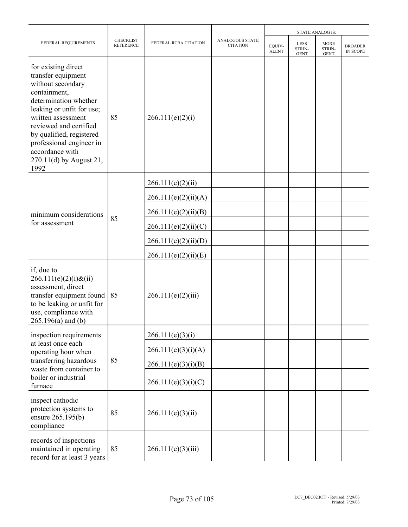|                                                                                                                                                                                                                                                                                                    |                                      |                       |                                           | <b>STATE ANALOG IS:</b> |                                      |                                      |                                   |  |
|----------------------------------------------------------------------------------------------------------------------------------------------------------------------------------------------------------------------------------------------------------------------------------------------------|--------------------------------------|-----------------------|-------------------------------------------|-------------------------|--------------------------------------|--------------------------------------|-----------------------------------|--|
| FEDERAL REQUIREMENTS                                                                                                                                                                                                                                                                               | <b>CHECKLIST</b><br><b>REFERENCE</b> | FEDERAL RCRA CITATION | <b>ANALOGOUS STATE</b><br><b>CITATION</b> | EQUIV-<br><b>ALENT</b>  | <b>LESS</b><br>STRIN-<br><b>GENT</b> | <b>MORE</b><br>STRIN-<br><b>GENT</b> | <b>BROADER</b><br><b>IN SCOPE</b> |  |
| for existing direct<br>transfer equipment<br>without secondary<br>containment,<br>determination whether<br>leaking or unfit for use;<br>written assessment<br>reviewed and certified<br>by qualified, registered<br>professional engineer in<br>accordance with<br>270.11(d) by August 21,<br>1992 | 85                                   | 266.111(e)(2)(i)      |                                           |                         |                                      |                                      |                                   |  |
|                                                                                                                                                                                                                                                                                                    |                                      | 266.111(e)(2)(ii)     |                                           |                         |                                      |                                      |                                   |  |
|                                                                                                                                                                                                                                                                                                    |                                      | 266.111(e)(2)(ii)(A)  |                                           |                         |                                      |                                      |                                   |  |
| minimum considerations                                                                                                                                                                                                                                                                             | 85                                   | 266.111(e)(2)(ii)(B)  |                                           |                         |                                      |                                      |                                   |  |
| for assessment                                                                                                                                                                                                                                                                                     |                                      | 266.111(e)(2)(ii)(C)  |                                           |                         |                                      |                                      |                                   |  |
|                                                                                                                                                                                                                                                                                                    |                                      | 266.111(e)(2)(ii)(D)  |                                           |                         |                                      |                                      |                                   |  |
|                                                                                                                                                                                                                                                                                                    |                                      | 266.111(e)(2)(ii)(E)  |                                           |                         |                                      |                                      |                                   |  |
| if, due to<br>$266.111(e)(2)(i)$ &(ii)<br>assessment, direct<br>transfer equipment found<br>to be leaking or unfit for<br>use, compliance with<br>$265.196(a)$ and (b)                                                                                                                             | 85                                   | 266.111(e)(2)(iii)    |                                           |                         |                                      |                                      |                                   |  |
| inspection requirements                                                                                                                                                                                                                                                                            |                                      | 266.111(e)(3)(i)      |                                           |                         |                                      |                                      |                                   |  |
| at least once each<br>operating hour when                                                                                                                                                                                                                                                          |                                      | 266.111(e)(3)(i)(A)   |                                           |                         |                                      |                                      |                                   |  |
| transferring hazardous<br>waste from container to                                                                                                                                                                                                                                                  | 85                                   | 266.111(e)(3)(i)(B)   |                                           |                         |                                      |                                      |                                   |  |
| boiler or industrial<br>furnace                                                                                                                                                                                                                                                                    |                                      | 266.111(e)(3)(i)(C)   |                                           |                         |                                      |                                      |                                   |  |
| inspect cathodic<br>protection systems to<br>ensure 265.195(b)<br>compliance                                                                                                                                                                                                                       | 85                                   | 266.111(e)(3)(ii)     |                                           |                         |                                      |                                      |                                   |  |
| records of inspections<br>maintained in operating<br>record for at least 3 years                                                                                                                                                                                                                   | 85                                   | 266.111(e)(3)(iii)    |                                           |                         |                                      |                                      |                                   |  |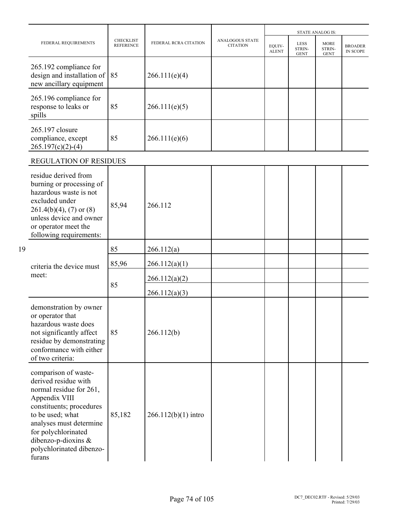|    |                                                                                                                                                                                                                                                            |                                      |                       |                                           |                        |                                      | <b>STATE ANALOG IS:</b>              |                            |
|----|------------------------------------------------------------------------------------------------------------------------------------------------------------------------------------------------------------------------------------------------------------|--------------------------------------|-----------------------|-------------------------------------------|------------------------|--------------------------------------|--------------------------------------|----------------------------|
|    | FEDERAL REQUIREMENTS                                                                                                                                                                                                                                       | <b>CHECKLIST</b><br><b>REFERENCE</b> | FEDERAL RCRA CITATION | <b>ANALOGOUS STATE</b><br><b>CITATION</b> | EOUIV-<br><b>ALENT</b> | <b>LESS</b><br>STRIN-<br><b>GENT</b> | <b>MORE</b><br>STRIN-<br><b>GENT</b> | <b>BROADER</b><br>IN SCOPE |
|    | 265.192 compliance for<br>design and installation of<br>new ancillary equipment                                                                                                                                                                            | 85                                   | 266.111(e)(4)         |                                           |                        |                                      |                                      |                            |
|    | 265.196 compliance for<br>response to leaks or<br>spills                                                                                                                                                                                                   | 85                                   | 266.111(e)(5)         |                                           |                        |                                      |                                      |                            |
|    | 265.197 closure<br>compliance, except<br>$265.197(c)(2)-(4)$                                                                                                                                                                                               | 85                                   | 266.111(e)(6)         |                                           |                        |                                      |                                      |                            |
|    | <b>REGULATION OF RESIDUES</b>                                                                                                                                                                                                                              |                                      |                       |                                           |                        |                                      |                                      |                            |
|    | residue derived from<br>burning or processing of<br>hazardous waste is not<br>excluded under<br>$261.4(b)(4)$ , (7) or (8)<br>unless device and owner<br>or operator meet the<br>following requirements:                                                   | 85,94                                | 266.112               |                                           |                        |                                      |                                      |                            |
| 19 |                                                                                                                                                                                                                                                            | 85                                   | 266.112(a)            |                                           |                        |                                      |                                      |                            |
|    | criteria the device must                                                                                                                                                                                                                                   | 85,96                                | 266.112(a)(1)         |                                           |                        |                                      |                                      |                            |
|    | meet:                                                                                                                                                                                                                                                      | 85                                   | 266.112(a)(2)         |                                           |                        |                                      |                                      |                            |
|    |                                                                                                                                                                                                                                                            |                                      | 266.112(a)(3)         |                                           |                        |                                      |                                      |                            |
|    | demonstration by owner<br>or operator that<br>hazardous waste does<br>not significantly affect<br>residue by demonstrating<br>conformance with either<br>of two criteria:                                                                                  | 85                                   | 266.112(b)            |                                           |                        |                                      |                                      |                            |
|    | comparison of waste-<br>derived residue with<br>normal residue for 261,<br>Appendix VIII<br>constituents; procedures<br>to be used; what<br>analyses must determine<br>for polychlorinated<br>dibenzo-p-dioxins $\&$<br>polychlorinated dibenzo-<br>furans | 85,182                               | $266.112(b)(1)$ intro |                                           |                        |                                      |                                      |                            |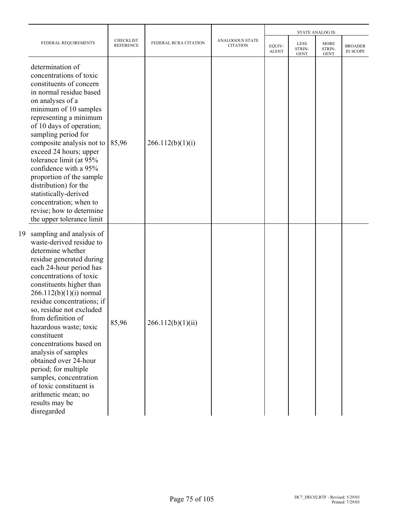|    |                                                                                                                                                                                                                                                                                                                                                                                                                                                                                                                                                               |                               |                       |                                           |                        |                                      | <b>STATE ANALOG IS:</b>              |                            |
|----|---------------------------------------------------------------------------------------------------------------------------------------------------------------------------------------------------------------------------------------------------------------------------------------------------------------------------------------------------------------------------------------------------------------------------------------------------------------------------------------------------------------------------------------------------------------|-------------------------------|-----------------------|-------------------------------------------|------------------------|--------------------------------------|--------------------------------------|----------------------------|
|    | FEDERAL REQUIREMENTS                                                                                                                                                                                                                                                                                                                                                                                                                                                                                                                                          | CHECKLIST<br><b>REFERENCE</b> | FEDERAL RCRA CITATION | <b>ANALOGOUS STATE</b><br><b>CITATION</b> | EQUIV-<br><b>ALENT</b> | <b>LESS</b><br>STRIN-<br><b>GENT</b> | <b>MORE</b><br>STRIN-<br><b>GENT</b> | <b>BROADER</b><br>IN SCOPE |
|    | determination of<br>concentrations of toxic<br>constituents of concern<br>in normal residue based<br>on analyses of a<br>minimum of 10 samples<br>representing a minimum<br>of 10 days of operation;<br>sampling period for<br>composite analysis not to<br>exceed 24 hours; upper<br>tolerance limit (at 95%<br>confidence with a 95%<br>proportion of the sample<br>distribution) for the<br>statistically-derived<br>concentration; when to<br>revise; how to determine<br>the upper tolerance limit                                                       | 85,96                         | 266.112(b)(1)(i)      |                                           |                        |                                      |                                      |                            |
| 19 | sampling and analysis of<br>waste-derived residue to<br>determine whether<br>residue generated during<br>each 24-hour period has<br>concentrations of toxic<br>constituents higher than<br>$266.112(b)(1)(i)$ normal<br>residue concentrations; if<br>so, residue not excluded<br>from definition of<br>hazardous waste; toxic<br>constituent<br>concentrations based on<br>analysis of samples<br>obtained over 24-hour<br>period; for multiple<br>samples, concentration<br>of toxic constituent is<br>arithmetic mean; no<br>results may be<br>disregarded | 85,96                         | 266.112(b)(1)(ii)     |                                           |                        |                                      |                                      |                            |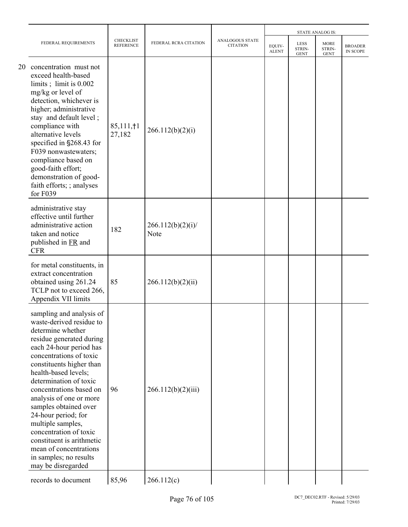|    |                                                                                                                                                                                                                                                                                                                                                                                                                                                                                                       |                                      |                          |                                    |                        |                                      | <b>STATE ANALOG IS:</b>       |                                   |
|----|-------------------------------------------------------------------------------------------------------------------------------------------------------------------------------------------------------------------------------------------------------------------------------------------------------------------------------------------------------------------------------------------------------------------------------------------------------------------------------------------------------|--------------------------------------|--------------------------|------------------------------------|------------------------|--------------------------------------|-------------------------------|-----------------------------------|
|    | FEDERAL REQUIREMENTS                                                                                                                                                                                                                                                                                                                                                                                                                                                                                  | <b>CHECKLIST</b><br><b>REFERENCE</b> | FEDERAL RCRA CITATION    | ANALOGOUS STATE<br><b>CITATION</b> | EQUIV-<br><b>ALENT</b> | <b>LESS</b><br>STRIN-<br><b>GENT</b> | MORE<br>STRIN-<br><b>GENT</b> | <b>BROADER</b><br><b>IN SCOPE</b> |
| 20 | concentration must not<br>exceed health-based<br>limits; limit is $0.002$<br>mg/kg or level of<br>detection, whichever is<br>higher; administrative<br>stay and default level;<br>compliance with<br>alternative levels<br>specified in §268.43 for<br>F039 nonwastewaters;<br>compliance based on<br>good-faith effort;<br>demonstration of good-<br>faith efforts; ; analyses<br>for F039                                                                                                           | $85,111, \dagger1$<br>27,182         | 266.112(b)(2)(i)         |                                    |                        |                                      |                               |                                   |
|    | administrative stay<br>effective until further<br>administrative action<br>taken and notice<br>published in FR and<br><b>CFR</b>                                                                                                                                                                                                                                                                                                                                                                      | 182                                  | 266.112(b)(2)(i)<br>Note |                                    |                        |                                      |                               |                                   |
|    | for metal constituents, in<br>extract concentration<br>obtained using 261.24<br>TCLP not to exceed 266,<br>Appendix VII limits                                                                                                                                                                                                                                                                                                                                                                        | 85                                   | 266.112(b)(2)(ii)        |                                    |                        |                                      |                               |                                   |
|    | sampling and analysis of<br>waste-derived residue to<br>determine whether<br>residue generated during<br>each 24-hour period has<br>concentrations of toxic<br>constituents higher than<br>health-based levels;<br>determination of toxic<br>concentrations based on<br>analysis of one or more<br>samples obtained over<br>24-hour period; for<br>multiple samples,<br>concentration of toxic<br>constituent is arithmetic<br>mean of concentrations<br>in samples; no results<br>may be disregarded | 96                                   | 266.112(b)(2)(iii)       |                                    |                        |                                      |                               |                                   |
|    | records to document                                                                                                                                                                                                                                                                                                                                                                                                                                                                                   | 85,96                                | 266.112(c)               |                                    |                        |                                      |                               |                                   |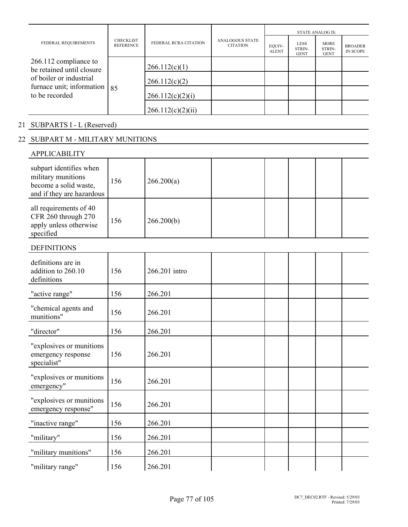| FEDERAL REQUIREMENTS<br>266.112 compliance to                                                              | <b>CHECKLIST</b><br><b>REFERENCE</b> | FEDERAL RCRA CITATION | <b>ANALOGOUS STATE</b><br><b>CITATION</b> | <b>STATE ANALOG IS:</b> |                                      |                                      |                                   |  |
|------------------------------------------------------------------------------------------------------------|--------------------------------------|-----------------------|-------------------------------------------|-------------------------|--------------------------------------|--------------------------------------|-----------------------------------|--|
|                                                                                                            |                                      |                       |                                           | EQUIV-<br><b>ALENT</b>  | <b>LESS</b><br>STRIN-<br><b>GENT</b> | <b>MORE</b><br>STRIN-<br><b>GENT</b> | <b>BROADER</b><br><b>IN SCOPE</b> |  |
| be retained until closure<br>of boiler or industrial<br>furnace unit; information $ 85 $<br>to be recorded |                                      | 266.112(c)(1)         |                                           |                         |                                      |                                      |                                   |  |
|                                                                                                            |                                      | 266.112(c)(2)         |                                           |                         |                                      |                                      |                                   |  |
|                                                                                                            |                                      | 266.112(c)(2)(i)      |                                           |                         |                                      |                                      |                                   |  |
|                                                                                                            |                                      | 266.112(c)(2)(ii)     |                                           |                         |                                      |                                      |                                   |  |

# 21 SUBPARTS I - L (Reserved)

# 22 SUBPART M - MILITARY MUNITIONS

| <b>APPLICABILITY</b>                                                                                |     |               |  |
|-----------------------------------------------------------------------------------------------------|-----|---------------|--|
| subpart identifies when<br>military munitions<br>become a solid waste,<br>and if they are hazardous | 156 | 266.200(a)    |  |
| all requirements of 40<br>CFR 260 through 270<br>apply unless otherwise<br>specified                | 156 | 266.200(b)    |  |
| <b>DEFINITIONS</b>                                                                                  |     |               |  |
| definitions are in<br>addition to 260.10<br>definitions                                             | 156 | 266.201 intro |  |
| "active range"                                                                                      | 156 | 266.201       |  |
| "chemical agents and<br>munitions"                                                                  | 156 | 266.201       |  |
| "director"                                                                                          | 156 | 266.201       |  |
| "explosives or munitions<br>emergency response<br>specialist"                                       | 156 | 266.201       |  |
| "explosives or munitions<br>emergency"                                                              | 156 | 266.201       |  |
| "explosives or munitions<br>emergency response"                                                     | 156 | 266.201       |  |
| "inactive range"                                                                                    | 156 | 266.201       |  |
| "military"                                                                                          | 156 | 266.201       |  |
| "military munitions"                                                                                | 156 | 266.201       |  |
| "military range"                                                                                    | 156 | 266.201       |  |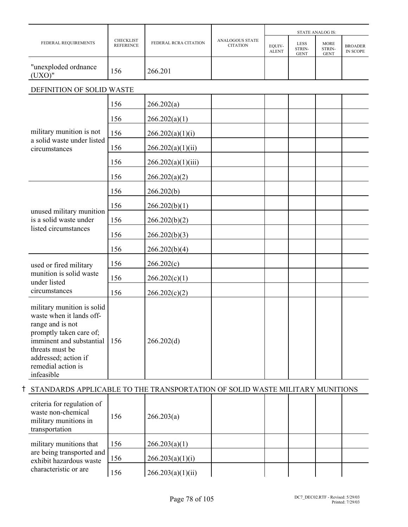|                                                                                                                                                                                                                  |                                      |                       |                                           | <b>STATE ANALOG IS:</b> |                                      |                                      |                                   |  |
|------------------------------------------------------------------------------------------------------------------------------------------------------------------------------------------------------------------|--------------------------------------|-----------------------|-------------------------------------------|-------------------------|--------------------------------------|--------------------------------------|-----------------------------------|--|
| FEDERAL REQUIREMENTS                                                                                                                                                                                             | <b>CHECKLIST</b><br><b>REFERENCE</b> | FEDERAL RCRA CITATION | <b>ANALOGOUS STATE</b><br><b>CITATION</b> | EQUIV-<br><b>ALENT</b>  | <b>LESS</b><br>STRIN-<br><b>GENT</b> | <b>MORE</b><br>STRIN-<br><b>GENT</b> | <b>BROADER</b><br><b>IN SCOPE</b> |  |
| "unexploded ordnance<br>(UXO)''                                                                                                                                                                                  | 156                                  | 266.201               |                                           |                         |                                      |                                      |                                   |  |
| DEFINITION OF SOLID WASTE                                                                                                                                                                                        |                                      |                       |                                           |                         |                                      |                                      |                                   |  |
|                                                                                                                                                                                                                  | 156                                  | 266.202(a)            |                                           |                         |                                      |                                      |                                   |  |
|                                                                                                                                                                                                                  | 156                                  | 266.202(a)(1)         |                                           |                         |                                      |                                      |                                   |  |
| military munition is not                                                                                                                                                                                         | 156                                  | 266.202(a)(1)(i)      |                                           |                         |                                      |                                      |                                   |  |
| a solid waste under listed<br>circumstances                                                                                                                                                                      | 156                                  | 266.202(a)(1)(ii)     |                                           |                         |                                      |                                      |                                   |  |
|                                                                                                                                                                                                                  | 156                                  | 266.202(a)(1)(iii)    |                                           |                         |                                      |                                      |                                   |  |
|                                                                                                                                                                                                                  | 156                                  | 266.202(a)(2)         |                                           |                         |                                      |                                      |                                   |  |
|                                                                                                                                                                                                                  | 156                                  | 266.202(b)            |                                           |                         |                                      |                                      |                                   |  |
| unused military munition                                                                                                                                                                                         | 156                                  | 266.202(b)(1)         |                                           |                         |                                      |                                      |                                   |  |
| is a solid waste under                                                                                                                                                                                           | 156                                  | 266.202(b)(2)         |                                           |                         |                                      |                                      |                                   |  |
| listed circumstances                                                                                                                                                                                             | 156                                  | 266.202(b)(3)         |                                           |                         |                                      |                                      |                                   |  |
|                                                                                                                                                                                                                  | 156                                  | 266.202(b)(4)         |                                           |                         |                                      |                                      |                                   |  |
| used or fired military                                                                                                                                                                                           | 156                                  | 266.202(c)            |                                           |                         |                                      |                                      |                                   |  |
| munition is solid waste<br>under listed                                                                                                                                                                          | 156                                  | 266.202(c)(1)         |                                           |                         |                                      |                                      |                                   |  |
| circumstances                                                                                                                                                                                                    | 156                                  | 266.202(c)(2)         |                                           |                         |                                      |                                      |                                   |  |
| military munition is solid<br>waste when it lands off-<br>range and is not<br>promptly taken care of;<br>imminent and substantial<br>threats must be<br>addressed; action if<br>remedial action is<br>infeasible | 156                                  | 266.202(d)            |                                           |                         |                                      |                                      |                                   |  |
| STANDARDS APPLICABLE TO THE TRANSPORTATION OF SOLID WASTE MILITARY MUNITIONS                                                                                                                                     |                                      |                       |                                           |                         |                                      |                                      |                                   |  |
| criteria for regulation of<br>waste non-chemical<br>military munitions in<br>transportation                                                                                                                      | 156                                  | 266.203(a)            |                                           |                         |                                      |                                      |                                   |  |
| military munitions that                                                                                                                                                                                          | 156                                  | 266.203(a)(1)         |                                           |                         |                                      |                                      |                                   |  |
| are being transported and<br>exhibit hazardous waste                                                                                                                                                             | 156                                  | 266.203(a)(1)(i)      |                                           |                         |                                      |                                      |                                   |  |
| characteristic or are                                                                                                                                                                                            | 156                                  | 266.203(a)(1)(ii)     |                                           |                         |                                      |                                      |                                   |  |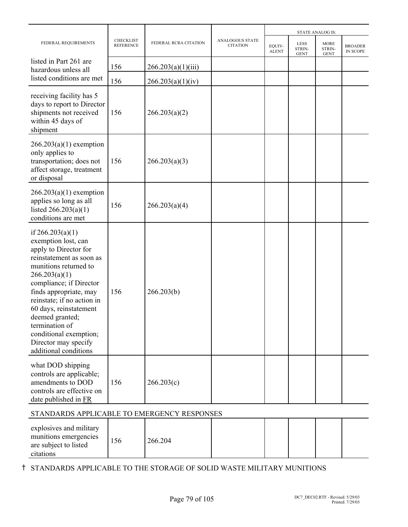| FEDERAL REQUIREMENTS                                                                                                                                                                                                                                                                                                                                                  | <b>CHECKLIST</b><br><b>REFERENCE</b> |                       |                                    |                        |                                      |                                      |                            |
|-----------------------------------------------------------------------------------------------------------------------------------------------------------------------------------------------------------------------------------------------------------------------------------------------------------------------------------------------------------------------|--------------------------------------|-----------------------|------------------------------------|------------------------|--------------------------------------|--------------------------------------|----------------------------|
|                                                                                                                                                                                                                                                                                                                                                                       |                                      | FEDERAL RCRA CITATION | ANALOGOUS STATE<br><b>CITATION</b> | EQUIV-<br><b>ALENT</b> | <b>LESS</b><br>STRIN-<br><b>GENT</b> | <b>MORE</b><br>STRIN-<br><b>GENT</b> | <b>BROADER</b><br>IN SCOPE |
| listed in Part 261 are<br>hazardous unless all                                                                                                                                                                                                                                                                                                                        | 156                                  | 266.203(a)(1)(iii)    |                                    |                        |                                      |                                      |                            |
| listed conditions are met                                                                                                                                                                                                                                                                                                                                             | 156                                  | 266.203(a)(1)(iv)     |                                    |                        |                                      |                                      |                            |
| receiving facility has 5<br>days to report to Director<br>shipments not received<br>within 45 days of<br>shipment                                                                                                                                                                                                                                                     | 156                                  | 266.203(a)(2)         |                                    |                        |                                      |                                      |                            |
| $266.203(a)(1)$ exemption<br>only applies to<br>transportation; does not<br>affect storage, treatment<br>or disposal                                                                                                                                                                                                                                                  | 156                                  | 266.203(a)(3)         |                                    |                        |                                      |                                      |                            |
| $266.203(a)(1)$ exemption<br>applies so long as all<br>listed $266.203(a)(1)$<br>conditions are met                                                                                                                                                                                                                                                                   | 156                                  | 266.203(a)(4)         |                                    |                        |                                      |                                      |                            |
| if $266.203(a)(1)$<br>exemption lost, can<br>apply to Director for<br>reinstatement as soon as<br>munitions returned to<br>266.203(a)(1)<br>compliance; if Director<br>finds appropriate, may<br>reinstate; if no action in<br>60 days, reinstatement<br>deemed granted;<br>termination of<br>conditional exemption;<br>Director may specify<br>additional conditions | 156                                  | 266.203(b)            |                                    |                        |                                      |                                      |                            |
| what DOD shipping<br>controls are applicable;<br>amendments to DOD<br>controls are effective on<br>date published in FR<br>STANDARDS APPLICABLE TO EMERGENCY RESPONSES                                                                                                                                                                                                | 156                                  | 266.203(c)            |                                    |                        |                                      |                                      |                            |

| explosives and military<br>munitions emergencies<br>are subject to listed | .56 | 266.204 |  |  |  |
|---------------------------------------------------------------------------|-----|---------|--|--|--|
| citations                                                                 |     |         |  |  |  |

H STANDARDS APPLICABLE TO THE STORAGE OF SOLID WASTE MILITARY MUNITIONS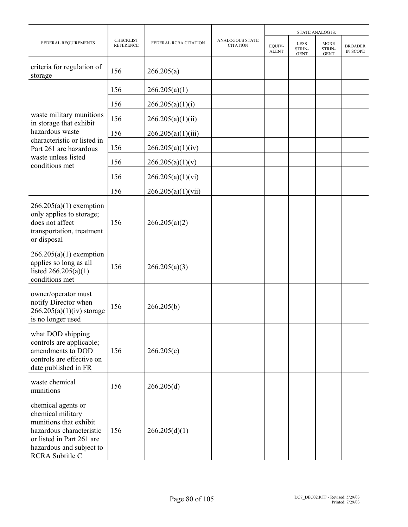|                                                                                                                                                                           |                                      |                       |                                    |                        |                                             | <b>STATE ANALOG IS:</b>              |                                   |
|---------------------------------------------------------------------------------------------------------------------------------------------------------------------------|--------------------------------------|-----------------------|------------------------------------|------------------------|---------------------------------------------|--------------------------------------|-----------------------------------|
| FEDERAL REQUIREMENTS                                                                                                                                                      | <b>CHECKLIST</b><br><b>REFERENCE</b> | FEDERAL RCRA CITATION | ANALOGOUS STATE<br><b>CITATION</b> | EQUIV-<br><b>ALENT</b> | <b>LESS</b><br><b>STRIN-</b><br><b>GENT</b> | <b>MORE</b><br>STRIN-<br><b>GENT</b> | <b>BROADER</b><br><b>IN SCOPE</b> |
| criteria for regulation of<br>storage                                                                                                                                     | 156                                  | 266.205(a)            |                                    |                        |                                             |                                      |                                   |
|                                                                                                                                                                           | 156                                  | 266.205(a)(1)         |                                    |                        |                                             |                                      |                                   |
|                                                                                                                                                                           | 156                                  | 266.205(a)(1)(i)      |                                    |                        |                                             |                                      |                                   |
| waste military munitions<br>in storage that exhibit                                                                                                                       | 156                                  | 266.205(a)(1)(ii)     |                                    |                        |                                             |                                      |                                   |
| hazardous waste                                                                                                                                                           | 156                                  | 266.205(a)(1)(iii)    |                                    |                        |                                             |                                      |                                   |
| characteristic or listed in<br>Part 261 are hazardous                                                                                                                     | 156                                  | 266.205(a)(1)(iv)     |                                    |                        |                                             |                                      |                                   |
| waste unless listed<br>conditions met                                                                                                                                     | 156                                  | 266.205(a)(1)(v)      |                                    |                        |                                             |                                      |                                   |
|                                                                                                                                                                           | 156                                  | 266.205(a)(1)(vi)     |                                    |                        |                                             |                                      |                                   |
|                                                                                                                                                                           | 156                                  | 266.205(a)(1)(vii)    |                                    |                        |                                             |                                      |                                   |
| $266.205(a)(1)$ exemption<br>only applies to storage;<br>does not affect<br>transportation, treatment<br>or disposal                                                      | 156                                  | 266.205(a)(2)         |                                    |                        |                                             |                                      |                                   |
| $266.205(a)(1)$ exemption<br>applies so long as all<br>listed $266.205(a)(1)$<br>conditions met                                                                           | 156                                  | 266.205(a)(3)         |                                    |                        |                                             |                                      |                                   |
| owner/operator must<br>notify Director when<br>$266.205(a)(1)(iv)$ storage<br>is no longer used                                                                           | 156                                  | 266.205(b)            |                                    |                        |                                             |                                      |                                   |
| what DOD shipping<br>controls are applicable;<br>amendments to DOD<br>controls are effective on<br>date published in FR                                                   | 156                                  | 266.205(c)            |                                    |                        |                                             |                                      |                                   |
| waste chemical<br>munitions                                                                                                                                               | 156                                  | 266.205(d)            |                                    |                        |                                             |                                      |                                   |
| chemical agents or<br>chemical military<br>munitions that exhibit<br>hazardous characteristic<br>or listed in Part 261 are<br>hazardous and subject to<br>RCRA Subtitle C | 156                                  | 266.205(d)(1)         |                                    |                        |                                             |                                      |                                   |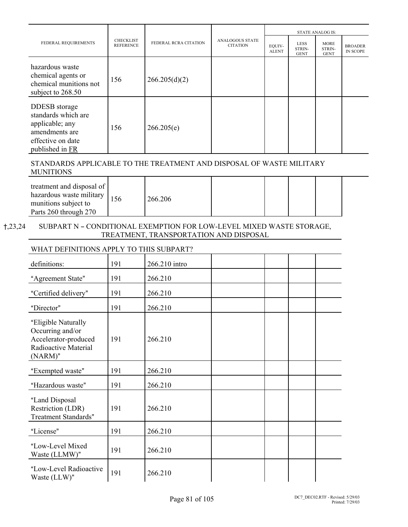|                                                                                                                          |                                      |                       |                                           | <b>STATE ANALOG IS:</b> |                                      |                                      |                            |  |
|--------------------------------------------------------------------------------------------------------------------------|--------------------------------------|-----------------------|-------------------------------------------|-------------------------|--------------------------------------|--------------------------------------|----------------------------|--|
| FEDERAL REQUIREMENTS                                                                                                     | <b>CHECKLIST</b><br><b>REFERENCE</b> | FEDERAL RCRA CITATION | <b>ANALOGOUS STATE</b><br><b>CITATION</b> | EQUIV-<br><b>ALENT</b>  | <b>LESS</b><br>STRIN-<br><b>GENT</b> | <b>MORE</b><br>STRIN-<br><b>GENT</b> | <b>BROADER</b><br>IN SCOPE |  |
| hazardous waste<br>chemical agents or<br>chemical munitions not<br>subject to 268.50                                     | 156                                  | 266.205(d)(2)         |                                           |                         |                                      |                                      |                            |  |
| <b>DDESB</b> storage<br>standards which are<br>applicable; any<br>amendments are<br>effective on date<br>published in FR | 156                                  | 266.205(e)            |                                           |                         |                                      |                                      |                            |  |

## STANDARDS APPLICABLE TO THE TREATMENT AND DISPOSAL OF WASTE MILITARY MUNITIONS

|--|

## $\dagger$ ,23,24 SUBPART N - CONDITIONAL EXEMPTION FOR LOW-LEVEL MIXED WASTE STORAGE, TREATMENT, TRANSPORTATION AND DISPOSAL

## WHAT DEFINITIONS APPLY TO THIS SUBPART?

| definitions:                                                                                          | 191 | 266.210 intro |  |  |
|-------------------------------------------------------------------------------------------------------|-----|---------------|--|--|
| "Agreement State"                                                                                     | 191 | 266.210       |  |  |
| "Certified delivery"                                                                                  | 191 | 266.210       |  |  |
| "Director"                                                                                            | 191 | 266.210       |  |  |
| "Eligible Naturally<br>Occurring and/or<br>Accelerator-produced<br>Radioactive Material<br>$(NARM)$ " | 191 | 266.210       |  |  |
| "Exempted waste"                                                                                      | 191 | 266.210       |  |  |
| "Hazardous waste"                                                                                     | 191 | 266.210       |  |  |
| "Land Disposal<br>Restriction (LDR)<br><b>Treatment Standards"</b>                                    | 191 | 266.210       |  |  |
| "License"                                                                                             | 191 | 266.210       |  |  |
| "Low-Level Mixed<br>Waste (LLMW)"                                                                     | 191 | 266.210       |  |  |
| "Low-Level Radioactive<br>Waste (LLW)"                                                                | 191 | 266.210       |  |  |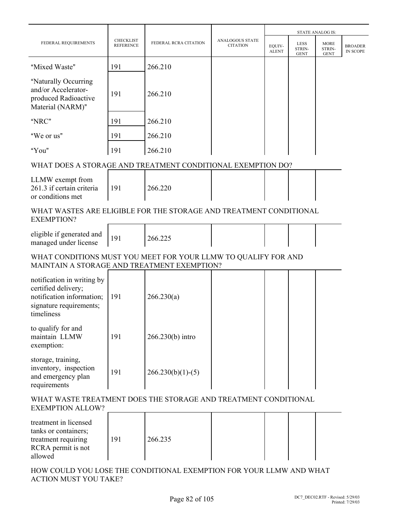|                                                                                                                         |                                      |                       |                                           |                        |                                      | <b>STATE ANALOG IS:</b>              |                                   |
|-------------------------------------------------------------------------------------------------------------------------|--------------------------------------|-----------------------|-------------------------------------------|------------------------|--------------------------------------|--------------------------------------|-----------------------------------|
| FEDERAL REQUIREMENTS                                                                                                    | <b>CHECKLIST</b><br><b>REFERENCE</b> | FEDERAL RCRA CITATION | <b>ANALOGOUS STATE</b><br><b>CITATION</b> | EQUIV-<br><b>ALENT</b> | <b>LESS</b><br>STRIN-<br><b>GENT</b> | <b>MORE</b><br>STRIN-<br><b>GENT</b> | <b>BROADER</b><br><b>IN SCOPE</b> |
| "Mixed Waste"                                                                                                           | 191                                  | 266.210               |                                           |                        |                                      |                                      |                                   |
| "Naturally Occurring<br>and/or Accelerator-<br>produced Radioactive<br>Material (NARM)"                                 | 191                                  | 266.210               |                                           |                        |                                      |                                      |                                   |
| "NRC"                                                                                                                   | 191                                  | 266.210               |                                           |                        |                                      |                                      |                                   |
| "We or us"                                                                                                              | 191                                  | 266.210               |                                           |                        |                                      |                                      |                                   |
| "You"                                                                                                                   | 191                                  | 266.210               |                                           |                        |                                      |                                      |                                   |
| WHAT DOES A STORAGE AND TREATMENT CONDITIONAL EXEMPTION DO?                                                             |                                      |                       |                                           |                        |                                      |                                      |                                   |
| LLMW exempt from<br>261.3 if certain criteria<br>or conditions met                                                      | 191                                  | 266.220               |                                           |                        |                                      |                                      |                                   |
| WHAT WASTES ARE ELIGIBLE FOR THE STORAGE AND TREATMENT CONDITIONAL<br><b>EXEMPTION?</b>                                 |                                      |                       |                                           |                        |                                      |                                      |                                   |
| eligible if generated and<br>managed under license                                                                      | 191                                  | 266.225               |                                           |                        |                                      |                                      |                                   |
| WHAT CONDITIONS MUST YOU MEET FOR YOUR LLMW TO QUALIFY FOR AND<br>MAINTAIN A STORAGE AND TREATMENT EXEMPTION?           |                                      |                       |                                           |                        |                                      |                                      |                                   |
| notification in writing by<br>certified delivery;<br>notification information;<br>signature requirements;<br>timeliness | 191                                  | 266.230(a)            |                                           |                        |                                      |                                      |                                   |
| to qualify for and<br>maintain LLMW<br>exemption:                                                                       | 191                                  | $266.230(b)$ intro    |                                           |                        |                                      |                                      |                                   |
| storage, training,<br>inventory, inspection<br>and emergency plan<br>requirements                                       | 191                                  | $266.230(b)(1)-(5)$   |                                           |                        |                                      |                                      |                                   |
| WHAT WASTE TREATMENT DOES THE STORAGE AND TREATMENT CONDITIONAL<br><b>EXEMPTION ALLOW?</b>                              |                                      |                       |                                           |                        |                                      |                                      |                                   |
| treatment in licensed<br>tanks or containers;<br>treatment requiring<br>RCRA permit is not<br>allowed                   | 191                                  | 266.235               |                                           |                        |                                      |                                      |                                   |

HOW COULD YOU LOSE THE CONDITIONAL EXEMPTION FOR YOUR LLMW AND WHAT ACTION MUST YOU TAKE?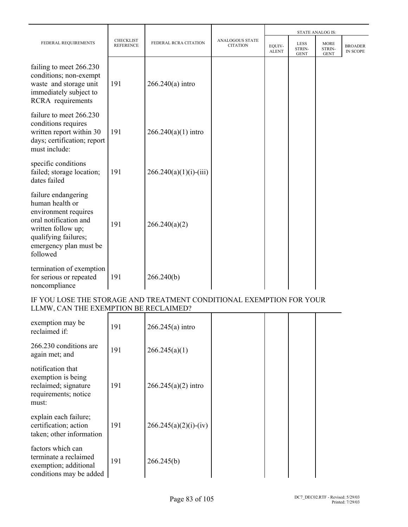|                                                                                                                                                                             |                                      |                          |                                           | <b>STATE ANALOG IS:</b> |                                      |                                      |                                   |
|-----------------------------------------------------------------------------------------------------------------------------------------------------------------------------|--------------------------------------|--------------------------|-------------------------------------------|-------------------------|--------------------------------------|--------------------------------------|-----------------------------------|
| FEDERAL REQUIREMENTS                                                                                                                                                        | <b>CHECKLIST</b><br><b>REFERENCE</b> | FEDERAL RCRA CITATION    | <b>ANALOGOUS STATE</b><br><b>CITATION</b> | EQUIV-<br><b>ALENT</b>  | <b>LESS</b><br>STRIN-<br><b>GENT</b> | <b>MORE</b><br>STRIN-<br><b>GENT</b> | <b>BROADER</b><br><b>IN SCOPE</b> |
| failing to meet 266.230<br>conditions; non-exempt<br>waste and storage unit<br>immediately subject to<br>RCRA requirements                                                  | 191                                  | $266.240(a)$ intro       |                                           |                         |                                      |                                      |                                   |
| failure to meet 266.230<br>conditions requires<br>written report within 30<br>days; certification; report<br>must include:                                                  | 191                                  | $266.240(a)(1)$ intro    |                                           |                         |                                      |                                      |                                   |
| specific conditions<br>failed; storage location;<br>dates failed                                                                                                            | 191                                  | $266.240(a)(1)(i)-(iii)$ |                                           |                         |                                      |                                      |                                   |
| failure endangering<br>human health or<br>environment requires<br>oral notification and<br>written follow up;<br>qualifying failures;<br>emergency plan must be<br>followed | 191                                  | 266.240(a)(2)            |                                           |                         |                                      |                                      |                                   |
| termination of exemption<br>for serious or repeated<br>noncompliance                                                                                                        | 191                                  | 266.240(b)               |                                           |                         |                                      |                                      |                                   |

## IF YOU LOSE THE STORAGE AND TREATMENT CONDITIONAL EXEMPTION FOR YOUR LLMW, CAN THE EXEMPTION BE RECLAIMED?

| exemption may be<br>reclaimed if:                                                                | 191 | $266.245(a)$ intro      |  |  |
|--------------------------------------------------------------------------------------------------|-----|-------------------------|--|--|
| 266.230 conditions are<br>again met; and                                                         | 191 | 266.245(a)(1)           |  |  |
| notification that<br>exemption is being<br>reclaimed; signature<br>requirements; notice<br>must: | 191 | $266.245(a)(2)$ intro   |  |  |
| explain each failure;<br>certification; action<br>taken; other information                       | 191 | $266.245(a)(2)(i)-(iv)$ |  |  |
| factors which can<br>terminate a reclaimed<br>exemption; additional<br>conditions may be added   | 191 | 266.245(b)              |  |  |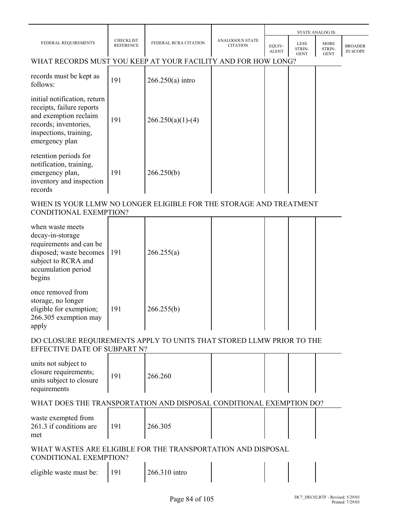|                                                                                                                                                         |                                      |                       |                                           |                        |                                      | <b>STATE ANALOG IS:</b>              |                                   |
|---------------------------------------------------------------------------------------------------------------------------------------------------------|--------------------------------------|-----------------------|-------------------------------------------|------------------------|--------------------------------------|--------------------------------------|-----------------------------------|
| FEDERAL REQUIREMENTS                                                                                                                                    | <b>CHECKLIST</b><br><b>REFERENCE</b> | FEDERAL RCRA CITATION | <b>ANALOGOUS STATE</b><br><b>CITATION</b> | EQUIV-<br><b>ALENT</b> | <b>LESS</b><br>STRIN-<br><b>GENT</b> | <b>MORE</b><br>STRIN-<br><b>GENT</b> | <b>BROADER</b><br><b>IN SCOPE</b> |
| WHAT RECORDS MUST YOU KEEP AT YOUR FACILITY AND FOR HOW LONG?                                                                                           |                                      |                       |                                           |                        |                                      |                                      |                                   |
| records must be kept as<br>follows:                                                                                                                     | 191                                  | $266.250(a)$ intro    |                                           |                        |                                      |                                      |                                   |
| initial notification, return<br>receipts, failure reports<br>and exemption reclaim<br>records; inventories,<br>inspections, training,<br>emergency plan | 191                                  | $266.250(a)(1)-(4)$   |                                           |                        |                                      |                                      |                                   |
| retention periods for<br>notification, training,<br>emergency plan,<br>inventory and inspection<br>records                                              | 191                                  | 266.250(b)            |                                           |                        |                                      |                                      |                                   |

## WHEN IS YOUR LLMW NO LONGER ELIGIBLE FOR THE STORAGE AND TREATMENT CONDITIONAL EXEMPTION?

| when waste meets<br>decay-in-storage<br>requirements and can be<br>disposed; waste becomes<br>subject to RCRA and<br>accumulation period<br>begins | 191 | 266.255(a) |  |  |
|----------------------------------------------------------------------------------------------------------------------------------------------------|-----|------------|--|--|
| once removed from<br>storage, no longer<br>eligible for exemption;<br>266.305 exemption may<br>apply                                               | 191 | 266.255(b) |  |  |

## DO CLOSURE REQUIREMENTS APPLY TO UNITS THAT STORED LLMW PRIOR TO THE EFFECTIVE DATE OF SUBPART N?

| units not subject to<br>closure requirements;<br>units subject to closure<br>requirements | 191 | 266.260 |  |  |  |  |
|-------------------------------------------------------------------------------------------|-----|---------|--|--|--|--|
|-------------------------------------------------------------------------------------------|-----|---------|--|--|--|--|

## WHAT DOES THE TRANSPORTATION AND DISPOSAL CONDITIONAL EXEMPTION DO?

| waste exempted from<br>261.3 if conditions are<br>met | 191 | 266.305 |  |  |  |  |
|-------------------------------------------------------|-----|---------|--|--|--|--|
|-------------------------------------------------------|-----|---------|--|--|--|--|

## WHAT WASTES ARE ELIGIBLE FOR THE TRANSPORTATION AND DISPOSAL CONDITIONAL EXEMPTION?

| $\sim$                  |               |  |  |
|-------------------------|---------------|--|--|
| eligible waste must be: | 266.310 intro |  |  |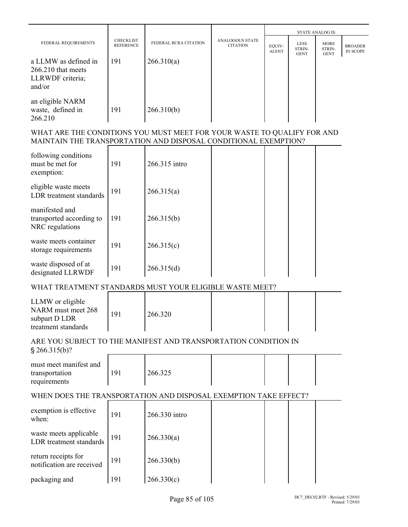|                      |                                      |                       |                                           | <b>STATE ANALOG IS:</b> |                                      |                                      |                            |
|----------------------|--------------------------------------|-----------------------|-------------------------------------------|-------------------------|--------------------------------------|--------------------------------------|----------------------------|
| FEDERAL REQUIREMENTS | <b>CHECKLIST</b><br><b>REFERENCE</b> | FEDERAL RCRA CITATION | <b>ANALOGOUS STATE</b><br><b>CITATION</b> | EQUIV-<br><b>ALENT</b>  | <b>LESS</b><br>STRIN-<br><b>GENT</b> | <b>MORE</b><br>STRIN-<br><b>GENT</b> | <b>BROADER</b><br>IN SCOPE |
| a LLMW as defined in | 191                                  | 266.310(a)            |                                           |                         |                                      |                                      |                            |
| $266.210$ that meets |                                      |                       |                                           |                         |                                      |                                      |                            |
| LLRWDF criteria;     |                                      |                       |                                           |                         |                                      |                                      |                            |
| and/or               |                                      |                       |                                           |                         |                                      |                                      |                            |
| an eligible NARM     |                                      |                       |                                           |                         |                                      |                                      |                            |
| waste, defined in    | 191                                  | 266.310(b)            |                                           |                         |                                      |                                      |                            |
| 266.210              |                                      |                       |                                           |                         |                                      |                                      |                            |

## WHAT ARE THE CONDITIONS YOU MUST MEET FOR YOUR WASTE TO QUALIFY FOR AND MAINTAIN THE TRANSPORTATION AND DISPOSAL CONDITIONAL EXEMPTION?

| following conditions<br>must be met for<br>exemption:         | 191 | 266.315 intro |  |  |
|---------------------------------------------------------------|-----|---------------|--|--|
| eligible waste meets<br>LDR treatment standards               | 191 | 266.315(a)    |  |  |
| manifested and<br>transported according to<br>NRC regulations | 191 | 266.315(b)    |  |  |
| waste meets container<br>storage requirements                 | 191 | 266.315(c)    |  |  |
| waste disposed of at<br>designated LLRWDF                     | 191 | 266.315(d)    |  |  |

# WHAT TREATMENT STANDARDS MUST YOUR ELIGIBLE WASTE MEET?

| LLMW or eligible<br>NARM must meet 268<br>1 <sub>q</sub><br>subpart D LDR<br>treatment standards | 266.320 |  |  |  |  |
|--------------------------------------------------------------------------------------------------|---------|--|--|--|--|
|--------------------------------------------------------------------------------------------------|---------|--|--|--|--|

# ARE YOU SUBJECT TO THE MANIFEST AND TRANSPORTATION CONDITION IN

| \$266.315(b)? |  |
|---------------|--|
|---------------|--|

| must meet manifest and<br>transportation | 191 | 266.325 |  |  |
|------------------------------------------|-----|---------|--|--|
| requirements                             |     |         |  |  |

## WHEN DOES THE TRANSPORTATION AND DISPOSAL EXEMPTION TAKE EFFECT?

| exemption is effective<br>when:                   | 191 | 266.330 intro |  |  |
|---------------------------------------------------|-----|---------------|--|--|
| waste meets applicable<br>LDR treatment standards | 191 | 266.330(a)    |  |  |
| return receipts for<br>notification are received  | 191 | 266.330(b)    |  |  |
| packaging and                                     | 191 | 266.330(c)    |  |  |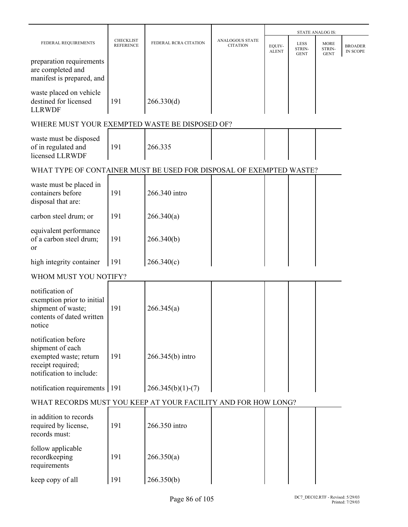|                                                                                                                    |                                      |                       |                                    |                        |                                      | STATE ANALOG IS:                     |                            |
|--------------------------------------------------------------------------------------------------------------------|--------------------------------------|-----------------------|------------------------------------|------------------------|--------------------------------------|--------------------------------------|----------------------------|
| FEDERAL REQUIREMENTS                                                                                               | <b>CHECKLIST</b><br><b>REFERENCE</b> | FEDERAL RCRA CITATION | ANALOGOUS STATE<br><b>CITATION</b> | EQUIV-<br><b>ALENT</b> | <b>LESS</b><br>STRIN-<br><b>GENT</b> | <b>MORE</b><br>STRIN-<br><b>GENT</b> | <b>BROADER</b><br>IN SCOPE |
| preparation requirements<br>are completed and<br>manifest is prepared, and                                         |                                      |                       |                                    |                        |                                      |                                      |                            |
| waste placed on vehicle<br>destined for licensed<br><b>LLRWDF</b>                                                  | 191                                  | 266.330(d)            |                                    |                        |                                      |                                      |                            |
| WHERE MUST YOUR EXEMPTED WASTE BE DISPOSED OF?                                                                     |                                      |                       |                                    |                        |                                      |                                      |                            |
| waste must be disposed<br>of in regulated and<br>licensed LLRWDF                                                   | 191                                  | 266.335               |                                    |                        |                                      |                                      |                            |
| WHAT TYPE OF CONTAINER MUST BE USED FOR DISPOSAL OF EXEMPTED WASTE?                                                |                                      |                       |                                    |                        |                                      |                                      |                            |
| waste must be placed in<br>containers before<br>disposal that are:                                                 | 191                                  | 266.340 intro         |                                    |                        |                                      |                                      |                            |
| carbon steel drum; or                                                                                              | 191                                  | 266.340(a)            |                                    |                        |                                      |                                      |                            |
| equivalent performance<br>of a carbon steel drum;<br><sub>or</sub>                                                 | 191                                  | 266.340(b)            |                                    |                        |                                      |                                      |                            |
| high integrity container                                                                                           | 191                                  | 266.340(c)            |                                    |                        |                                      |                                      |                            |
| WHOM MUST YOU NOTIFY?                                                                                              |                                      |                       |                                    |                        |                                      |                                      |                            |
| notification of<br>exemption prior to initial<br>shipment of waste;<br>contents of dated written<br>notice         | 191                                  | 266.345(a)            |                                    |                        |                                      |                                      |                            |
| notification before<br>shipment of each<br>exempted waste; return<br>receipt required;<br>notification to include: | 191                                  | 266.345(b) intro      |                                    |                        |                                      |                                      |                            |
| notification requirements 191                                                                                      |                                      | $266.345(b)(1)-(7)$   |                                    |                        |                                      |                                      |                            |
| WHAT RECORDS MUST YOU KEEP AT YOUR FACILITY AND FOR HOW LONG?                                                      |                                      |                       |                                    |                        |                                      |                                      |                            |
| in addition to records<br>required by license,<br>records must:                                                    | 191                                  | 266.350 intro         |                                    |                        |                                      |                                      |                            |
| follow applicable<br>recordkeeping<br>requirements                                                                 | 191                                  | 266.350(a)            |                                    |                        |                                      |                                      |                            |
| keep copy of all                                                                                                   | 191                                  | 266.350(b)            |                                    |                        |                                      |                                      |                            |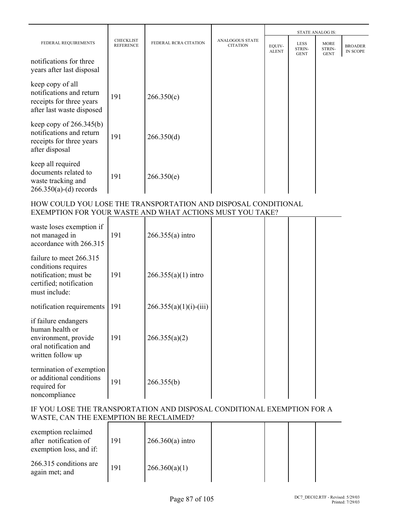|                                                                                                       |                                      |                       |                                           |                        |                                      | <b>STATE ANALOG IS:</b>              |                                   |
|-------------------------------------------------------------------------------------------------------|--------------------------------------|-----------------------|-------------------------------------------|------------------------|--------------------------------------|--------------------------------------|-----------------------------------|
| FEDERAL REQUIREMENTS                                                                                  | <b>CHECKLIST</b><br><b>REFERENCE</b> | FEDERAL RCRA CITATION | <b>ANALOGOUS STATE</b><br><b>CITATION</b> | EQUIV-<br><b>ALENT</b> | <b>LESS</b><br>STRIN-<br><b>GENT</b> | <b>MORE</b><br>STRIN-<br><b>GENT</b> | <b>BROADER</b><br><b>IN SCOPE</b> |
| notifications for three<br>years after last disposal                                                  |                                      |                       |                                           |                        |                                      |                                      |                                   |
| keep copy of all<br>notifications and return<br>receipts for three years<br>after last waste disposed | 191                                  | 266.350(c)            |                                           |                        |                                      |                                      |                                   |
| keep copy of $266.345(b)$<br>notifications and return<br>receipts for three years<br>after disposal   | 191                                  | 266.350(d)            |                                           |                        |                                      |                                      |                                   |
| keep all required<br>documents related to<br>waste tracking and<br>$266.350(a)-(d)$ records           | 191                                  | 266.350(e)            |                                           |                        |                                      |                                      |                                   |

## HOW COULD YOU LOSE THE TRANSPORTATION AND DISPOSAL CONDITIONAL EXEMPTION FOR YOUR WASTE AND WHAT ACTIONS MUST YOU TAKE?

| waste loses exemption if<br>not managed in<br>accordance with 266.315                                               | 191 | $266.355(a)$ intro       |  |  |
|---------------------------------------------------------------------------------------------------------------------|-----|--------------------------|--|--|
| failure to meet 266.315<br>conditions requires<br>notification; must be<br>certified; notification<br>must include: | 191 | $266.355(a)(1)$ intro    |  |  |
| notification requirements                                                                                           | 191 | $266.355(a)(1)(i)-(iii)$ |  |  |
| if failure endangers<br>human health or<br>environment, provide<br>oral notification and<br>written follow up       | 191 | 266.355(a)(2)            |  |  |
| termination of exemption<br>or additional conditions<br>required for<br>noncompliance                               | 191 | 266.355(b)               |  |  |

## IF YOU LOSE THE TRANSPORTATION AND DISPOSAL CONDITIONAL EXEMPTION FOR A WASTE, CAN THE EXEMPTION BE RECLAIMED?

| exemption reclaimed<br>after notification of<br>exemption loss, and if: | 191 | $266.360(a)$ intro |  |  |
|-------------------------------------------------------------------------|-----|--------------------|--|--|
| 266.315 conditions are<br>again met; and                                | 191 | 266.360(a)(1)      |  |  |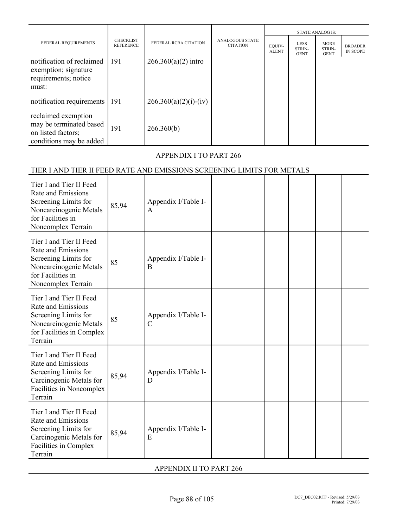|                                                                                                 |                                      |                         |                                           |                        | <b>STATE ANALOG IS:</b>       |                                      |                                   |
|-------------------------------------------------------------------------------------------------|--------------------------------------|-------------------------|-------------------------------------------|------------------------|-------------------------------|--------------------------------------|-----------------------------------|
| FEDERAL REQUIREMENTS                                                                            | <b>CHECKLIST</b><br><b>REFERENCE</b> | FEDERAL RCRA CITATION   | <b>ANALOGOUS STATE</b><br><b>CITATION</b> | EQUIV-<br><b>ALENT</b> | LESS<br>STRIN-<br><b>GENT</b> | <b>MORE</b><br>STRIN-<br><b>GENT</b> | <b>BROADER</b><br><b>IN SCOPE</b> |
| notification of reclaimed<br>exemption; signature<br>requirements; notice<br>must:              | 191                                  | $266.360(a)(2)$ intro   |                                           |                        |                               |                                      |                                   |
| notification requirements                                                                       | 191                                  | $266.360(a)(2)(i)-(iv)$ |                                           |                        |                               |                                      |                                   |
| reclaimed exemption<br>may be terminated based<br>on listed factors;<br>conditions may be added | 191                                  | 266.360(b)              |                                           |                        |                               |                                      |                                   |

# APPENDIX I TO PART 266

# TIER I AND TIER II FEED RATE AND EMISSIONS SCREENING LIMITS FOR METALS

| Tier I and Tier II Feed<br>Rate and Emissions<br>Screening Limits for<br>Noncarcinogenic Metals<br>for Facilities in<br>Noncomplex Terrain | 85,94 | Appendix I/Table I-<br>A             |  |  |  |
|--------------------------------------------------------------------------------------------------------------------------------------------|-------|--------------------------------------|--|--|--|
| Tier I and Tier II Feed<br>Rate and Emissions<br>Screening Limits for<br>Noncarcinogenic Metals<br>for Facilities in<br>Noncomplex Terrain | 85    | Appendix I/Table I-<br>B             |  |  |  |
| Tier I and Tier II Feed<br>Rate and Emissions<br>Screening Limits for<br>Noncarcinogenic Metals<br>for Facilities in Complex<br>Terrain    | 85    | Appendix I/Table I-<br>$\mathcal{C}$ |  |  |  |
| Tier I and Tier II Feed<br>Rate and Emissions<br>Screening Limits for<br>Carcinogenic Metals for<br>Facilities in Noncomplex<br>Terrain    | 85,94 | Appendix I/Table I-<br>D             |  |  |  |
| Tier I and Tier II Feed<br>Rate and Emissions<br>Screening Limits for<br>Carcinogenic Metals for<br>Facilities in Complex<br>Terrain       | 85,94 | Appendix I/Table I-<br>E             |  |  |  |

APPENDIX II TO PART 266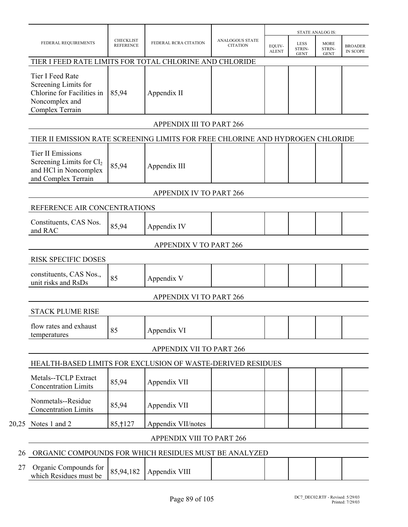|    |                                                                                                                  |                                      |                                 |                                           |                        |                                      | <b>STATE ANALOG IS:</b>              |                            |  |
|----|------------------------------------------------------------------------------------------------------------------|--------------------------------------|---------------------------------|-------------------------------------------|------------------------|--------------------------------------|--------------------------------------|----------------------------|--|
|    | FEDERAL REQUIREMENTS                                                                                             | <b>CHECKLIST</b><br><b>REFERENCE</b> | FEDERAL RCRA CITATION           | <b>ANALOGOUS STATE</b><br><b>CITATION</b> | EQUIV-<br><b>ALENT</b> | <b>LESS</b><br>STRIN-<br><b>GENT</b> | <b>MORE</b><br>STRIN-<br><b>GENT</b> | <b>BROADER</b><br>IN SCOPE |  |
|    | TIER I FEED RATE LIMITS FOR TOTAL CHLORINE AND CHLORIDE                                                          |                                      |                                 |                                           |                        |                                      |                                      |                            |  |
|    | Tier I Feed Rate<br>Screening Limits for<br>Chlorine for Facilities in<br>Noncomplex and<br>Complex Terrain      | 85,94                                | Appendix II                     |                                           |                        |                                      |                                      |                            |  |
|    |                                                                                                                  |                                      | <b>APPENDIX III TO PART 266</b> |                                           |                        |                                      |                                      |                            |  |
|    | TIER II EMISSION RATE SCREENING LIMITS FOR FREE CHLORINE AND HYDROGEN CHLORIDE                                   |                                      |                                 |                                           |                        |                                      |                                      |                            |  |
|    | <b>Tier II Emissions</b><br>Screening Limits for Cl <sub>2</sub><br>and HCl in Noncomplex<br>and Complex Terrain | 85,94                                | Appendix III                    |                                           |                        |                                      |                                      |                            |  |
|    |                                                                                                                  |                                      | <b>APPENDIX IV TO PART 266</b>  |                                           |                        |                                      |                                      |                            |  |
|    | REFERENCE AIR CONCENTRATIONS                                                                                     |                                      |                                 |                                           |                        |                                      |                                      |                            |  |
|    | Constituents, CAS Nos.<br>and RAC                                                                                | 85,94                                | Appendix IV                     |                                           |                        |                                      |                                      |                            |  |
|    |                                                                                                                  |                                      | <b>APPENDIX V TO PART 266</b>   |                                           |                        |                                      |                                      |                            |  |
|    | <b>RISK SPECIFIC DOSES</b>                                                                                       |                                      |                                 |                                           |                        |                                      |                                      |                            |  |
|    | constituents, CAS Nos.,<br>unit risks and RsDs                                                                   | 85                                   | Appendix V                      |                                           |                        |                                      |                                      |                            |  |
|    |                                                                                                                  |                                      | <b>APPENDIX VI TO PART 266</b>  |                                           |                        |                                      |                                      |                            |  |
|    | <b>STACK PLUME RISE</b>                                                                                          |                                      |                                 |                                           |                        |                                      |                                      |                            |  |
|    | flow rates and exhaust<br>temperatures                                                                           | 85                                   | Appendix VI                     |                                           |                        |                                      |                                      |                            |  |
|    |                                                                                                                  |                                      | <b>APPENDIX VII TO PART 266</b> |                                           |                        |                                      |                                      |                            |  |
|    | HEALTH-BASED LIMITS FOR EXCLUSION OF WASTE-DERIVED RESIDUES                                                      |                                      |                                 |                                           |                        |                                      |                                      |                            |  |
|    | Metals--TCLP Extract<br><b>Concentration Limits</b>                                                              | 85,94                                | Appendix VII                    |                                           |                        |                                      |                                      |                            |  |
|    | Nonmetals--Residue<br><b>Concentration Limits</b>                                                                | 85,94                                | Appendix VII                    |                                           |                        |                                      |                                      |                            |  |
|    | 20,25 Notes 1 and 2                                                                                              | 85, † 127                            | Appendix VII/notes              |                                           |                        |                                      |                                      |                            |  |
|    |                                                                                                                  |                                      | APPENDIX VIII TO PART 266       |                                           |                        |                                      |                                      |                            |  |
| 26 | ORGANIC COMPOUNDS FOR WHICH RESIDUES MUST BE ANALYZED                                                            |                                      |                                 |                                           |                        |                                      |                                      |                            |  |
| 27 | Organia Compounds for                                                                                            |                                      |                                 |                                           |                        |                                      |                                      |                            |  |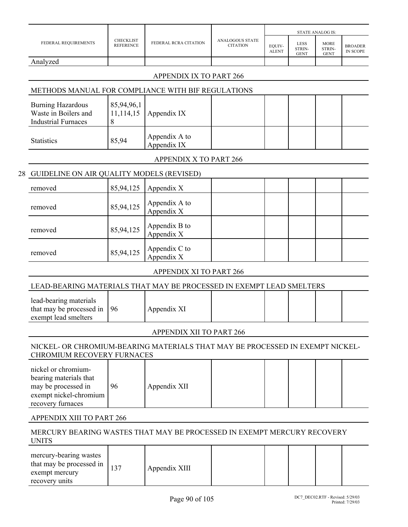|    |                                                                                                                     |                                      |                                 |                                           |                        |                                      | <b>STATE ANALOG IS:</b>              |                                   |
|----|---------------------------------------------------------------------------------------------------------------------|--------------------------------------|---------------------------------|-------------------------------------------|------------------------|--------------------------------------|--------------------------------------|-----------------------------------|
|    | FEDERAL REQUIREMENTS                                                                                                | <b>CHECKLIST</b><br><b>REFERENCE</b> | FEDERAL RCRA CITATION           | <b>ANALOGOUS STATE</b><br><b>CITATION</b> | EQUIV-<br><b>ALENT</b> | <b>LESS</b><br>STRIN-<br><b>GENT</b> | <b>MORE</b><br>STRIN-<br><b>GENT</b> | <b>BROADER</b><br><b>IN SCOPE</b> |
|    | Analyzed                                                                                                            |                                      |                                 |                                           |                        |                                      |                                      |                                   |
|    |                                                                                                                     |                                      | <b>APPENDIX IX TO PART 266</b>  |                                           |                        |                                      |                                      |                                   |
|    | METHODS MANUAL FOR COMPLIANCE WITH BIF REGULATIONS                                                                  |                                      |                                 |                                           |                        |                                      |                                      |                                   |
|    | <b>Burning Hazardous</b><br>Waste in Boilers and<br><b>Industrial Furnaces</b>                                      | 85,94,96,1<br>11,114,15<br>8         | Appendix IX                     |                                           |                        |                                      |                                      |                                   |
|    | <b>Statistics</b>                                                                                                   | 85,94                                | Appendix A to<br>Appendix IX    |                                           |                        |                                      |                                      |                                   |
|    |                                                                                                                     |                                      | APPENDIX X TO PART 266          |                                           |                        |                                      |                                      |                                   |
| 28 | GUIDELINE ON AIR QUALITY MODELS (REVISED)                                                                           |                                      |                                 |                                           |                        |                                      |                                      |                                   |
|    | removed                                                                                                             | 85,94,125                            | Appendix X                      |                                           |                        |                                      |                                      |                                   |
|    | removed                                                                                                             | 85,94,125                            | Appendix A to<br>Appendix X     |                                           |                        |                                      |                                      |                                   |
|    | removed                                                                                                             | 85,94,125                            | Appendix B to<br>Appendix X     |                                           |                        |                                      |                                      |                                   |
|    | removed                                                                                                             | 85,94,125                            | Appendix C to<br>Appendix X     |                                           |                        |                                      |                                      |                                   |
|    |                                                                                                                     |                                      | APPENDIX XI TO PART 266         |                                           |                        |                                      |                                      |                                   |
|    | LEAD-BEARING MATERIALS THAT MAY BE PROCESSED IN EXEMPT LEAD SMELTERS                                                |                                      |                                 |                                           |                        |                                      |                                      |                                   |
|    | lead-bearing materials<br>that may be processed in<br>exempt lead smelters                                          | 96                                   | Appendix XI                     |                                           |                        |                                      |                                      |                                   |
|    |                                                                                                                     |                                      | <b>APPENDIX XII TO PART 266</b> |                                           |                        |                                      |                                      |                                   |
|    | NICKEL- OR CHROMIUM-BEARING MATERIALS THAT MAY BE PROCESSED IN EXEMPT NICKEL-<br>CHROMIUM RECOVERY FURNACES         |                                      |                                 |                                           |                        |                                      |                                      |                                   |
|    | nickel or chromium-<br>bearing materials that<br>may be processed in<br>exempt nickel-chromium<br>recovery furnaces | 96                                   | Appendix XII                    |                                           |                        |                                      |                                      |                                   |
|    | APPENDIX XIII TO PART 266                                                                                           |                                      |                                 |                                           |                        |                                      |                                      |                                   |
|    | MERCURY BEARING WASTES THAT MAY BE PROCESSED IN EXEMPT MERCURY RECOVERY<br><b>UNITS</b>                             |                                      |                                 |                                           |                        |                                      |                                      |                                   |
|    | mercury-bearing wastes<br>that may be processed in<br>exempt mercury                                                | 137                                  | Appendix XIII                   |                                           |                        |                                      |                                      |                                   |

recovery units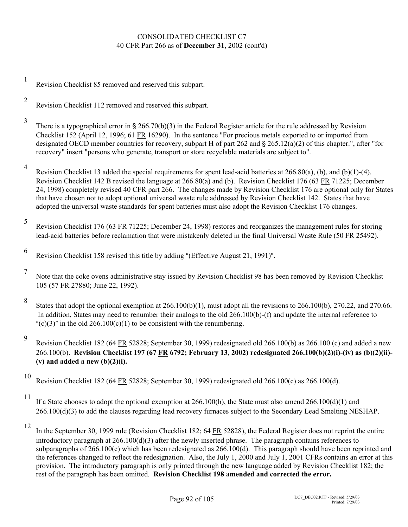## CONSOLIDATED CHECKLIST C7 40 CFR Part 266 as of **December 31**, 2002 (cont'd)

Revision Checklist 85 removed and reserved this subpart.

- 9 Revision Checklist 182 (64 FR 52828; September 30, 1999) redesignated old 266.100(b) as 266.100 (c) and added a new 266.100(b). **Revision Checklist 197 (67 FR 6792; February 13, 2002) redesignated 266.100(b)(2)(i)-(iv) as (b)(2)(ii)- (v) and added a new (b)(2)(i).**
- 10 Revision Checklist 182 (64 FR 52828; September 30, 1999) redesignated old 266.100(c) as 266.100(d).
- 

 $\overline{a}$ 1

2

3

4

5

12 In the September 30, 1999 rule (Revision Checklist 182; 64 FR 52828), the Federal Register does not reprint the entire introductory paragraph at 266.100(d)(3) after the newly inserted phrase. The paragraph contains references to subparagraphs of 266.100(c) which has been redesignated as 266.100(d). This paragraph should have been reprinted and the references changed to reflect the redesignation. Also, the July 1, 2000 and July 1, 2001 CFRs contains an error at this provision. The introductory paragraph is only printed through the new language added by Revision Checklist 182; the rest of the paragraph has been omitted. **Revision Checklist 198 amended and corrected the error.**

Revision Checklist 112 removed and reserved this subpart. There is a typographical error in  $\S 266.70(b)(3)$  in the Federal Register article for the rule addressed by Revision Checklist 152 (April 12, 1996; 61 FR 16290). In the sentence "For precious metals exported to or imported from designated OECD member countries for recovery, subpart H of part 262 and  $\S$  265.12(a)(2) of this chapter.", after "for recovery" insert "persons who generate, transport or store recyclable materials are subject to". Revision Checklist 13 added the special requirements for spent lead-acid batteries at 266.80(a), (b), and (b)(1)-(4). Revision Checklist 142 B revised the language at 266.80(a) and (b). Revision Checklist 176 (63 FR 71225; December 24, 1998) completely revised 40 CFR part 266. The changes made by Revision Checklist 176 are optional only for States that have chosen not to adopt optional universal waste rule addressed by Revision Checklist 142. States that have adopted the universal waste standards for spent batteries must also adopt the Revision Checklist 176 changes. Revision Checklist 176 (63 FR 71225; December 24, 1998) restores and reorganizes the management rules for storing lead-acid batteries before reclamation that were mistakenly deleted in the final Universal Waste Rule (50 FR 25492).

<sup>6</sup> Revision Checklist 158 revised this title by adding "(Effective August 21, 1991)".

<sup>7</sup> Note that the coke ovens administrative stay issued by Revision Checklist 98 has been removed by Revision Checklist 105 (57 FR 27880; June 22, 1992).

<sup>8</sup> States that adopt the optional exemption at  $266.100(b)(1)$ , must adopt all the revisions to  $266.100(b)$ ,  $270.22$ , and  $270.66$ . In addition, States may need to renumber their analogs to the old 266.100(b)-(f) and update the internal reference to "(c)(3)" in the old  $266.100(c)(1)$  to be consistent with the renumbering.

<sup>&</sup>lt;sup>11</sup> If a State chooses to adopt the optional exemption at 266.100(h), the State must also amend 266.100(d)(1) and 266.100(d)(3) to add the clauses regarding lead recovery furnaces subject to the Secondary Lead Smelting NESHAP.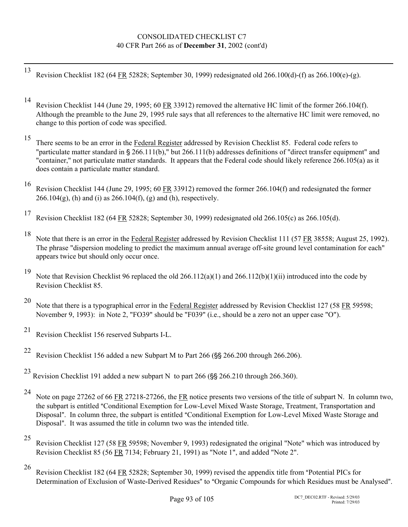## CONSOLIDATED CHECKLIST C7 40 CFR Part 266 as of **December 31**, 2002 (cont'd)

13 Revision Checklist 182 (64 FR 52828; September 30, 1999) redesignated old 266.100(d)-(f) as 266.100(e)-(g).

14 Revision Checklist 144 (June 29, 1995; 60 FR 33912) removed the alternative HC limit of the former 266.104(f). Although the preamble to the June 29, 1995 rule says that all references to the alternative HC limit were removed, no change to this portion of code was specified.

<sup>15</sup> There seems to be an error in the Federal Register addressed by Revision Checklist 85. Federal code refers to "particulate matter standard in  $\S 266.111(b)$ ," but 266.111(b) addresses definitions of "direct transfer equipment" and "container," not particulate matter standards. It appears that the Federal code should likely reference 266.105(a) as it does contain a particulate matter standard.

- 16 Revision Checklist 144 (June 29, 1995; 60 FR 33912) removed the former 266.104(f) and redesignated the former  $266.104(g)$ , (h) and (i) as  $266.104(f)$ , (g) and (h), respectively.
- 17 Revision Checklist 182 (64 FR 52828; September 30, 1999) redesignated old 266.105(c) as 266.105(d).
- 18 Note that there is an error in the Federal Register addressed by Revision Checklist 111 (57 FR 38558; August 25, 1992). The phrase "dispersion modeling to predict the maximum annual average off-site ground level contamination for each" appears twice but should only occur once.

19 Note that Revision Checklist 96 replaced the old 266.112(a)(1) and 266.112(b)(1)(ii) introduced into the code by Revision Checklist 85.

- 
- 20 Note that there is a typographical error in the Federal Register addressed by Revision Checklist 127 (58 FR 59598; November 9, 1993): in Note 2, "FO39" should be "F039" (i.e., should be a zero not an upper case "O").
- 

21 Revision Checklist 156 reserved Subparts I-L.

- <sup>22</sup> Revision Checklist 156 added a new Subpart M to Part 266 ( $\$ § 266.200 through 266.206).
- <sup>23</sup> Revision Checklist 191 added a new subpart N to part 266 ( $\frac{8}{5}$  266.210 through 266.360).
	-

24 Note on page 27262 of 66 FR 27218-27266, the FR notice presents two versions of the title of subpart N. In column two, the subpart is entitled "Conditional Exemption for Low-Level Mixed Waste Storage, Treatment, Transportation and Disposal". In column three, the subpart is entitled "Conditional Exemption for Low-Level Mixed Waste Storage and Disposal". It was assumed the title in column two was the intended title.

- 
- 25 Revision Checklist 127 (58 FR 59598; November 9, 1993) redesignated the original "Note" which was introduced by Revision Checklist 85 (56 FR 7134; February 21, 1991) as "Note 1", and added "Note 2".
- 

<sup>&</sup>lt;sup>26</sup> Revision Checklist 182 (64 FR 52828; September 30, 1999) revised the appendix title from "Potential PICs for Determination of Exclusion of Waste-Derived Residues" to "Organic Compounds for which Residues must be Analysed".